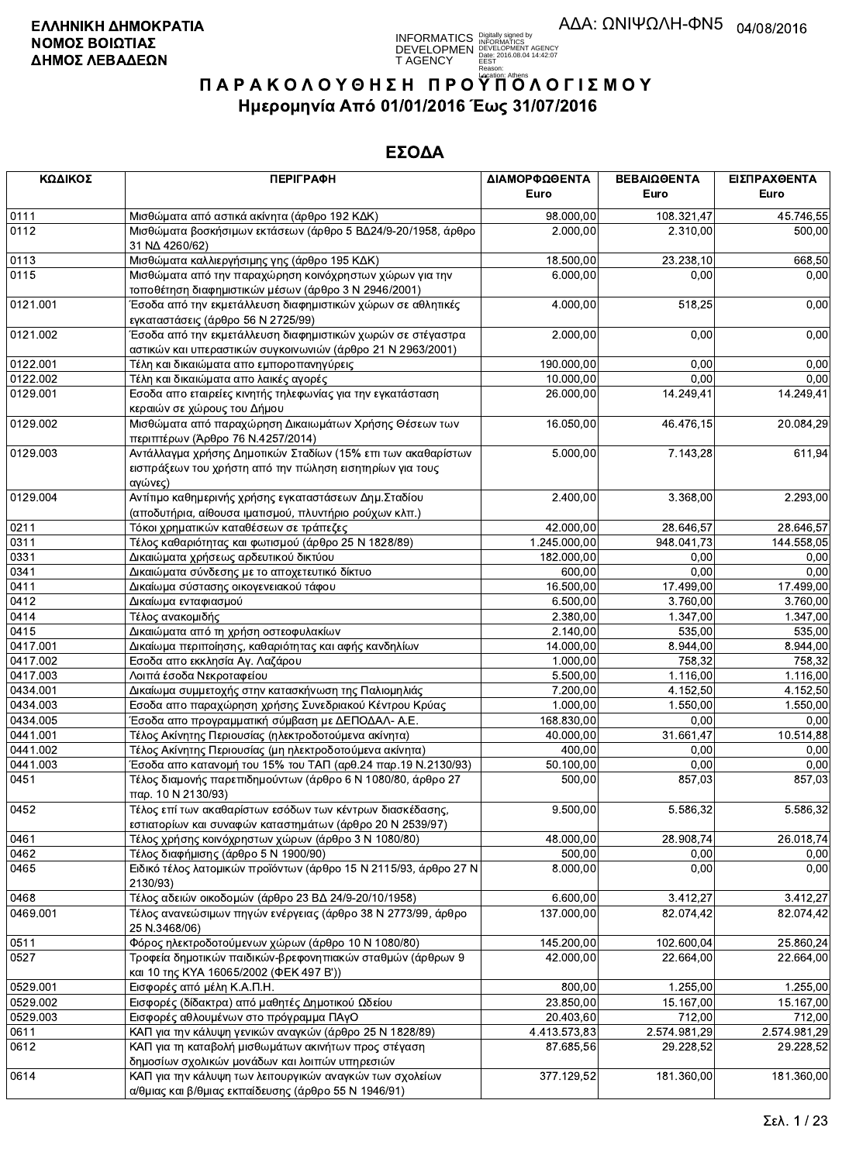**INFORMATICS** Digitally signed by<br>DEVELOPMEN DEVELOPMENT AGENCY<br>T AGENCY PERSY 2016.08.04 14:42:07<br>T AGENCY PERSY DIGITAL

# ΠΑΡΑΚΟΛΟΥΘΗΣΗ ΠΡΟΥΠΌΛΟΓΙΣΜΟΥ Ημερομηνία Από 01/01/2016 Έως 31/07/2016

| ΚΩΔΙΚΟΣ  | <b>ПЕРІГРАФН</b>                                                                                                                                                   | ΔΙΑΜΟΡΦΩΘΕΝΤΑ<br>Euro  | ΒΕΒΑΙΩΘΕΝΤΑ<br>Euro | ΕΙΣΠΡΑΧΘΕΝΤΑ<br>Euro |
|----------|--------------------------------------------------------------------------------------------------------------------------------------------------------------------|------------------------|---------------------|----------------------|
| 0111     | Μισθώματα από αστικά ακίνητα (άρθρο 192 ΚΔΚ)                                                                                                                       | 98.000,00              | 108.321,47          | 45.746,55            |
| 0112     | Μισθώματα βοσκήσιμων εκτάσεων (άρθρο 5 ΒΔ24/9-20/1958, άρθρο<br>31 NA 4260/62)                                                                                     | 2.000,00               | 2.310,00            | 500,00               |
| 0113     | Μισθώματα καλλιεργήσιμης γης (άρθρο 195 ΚΔΚ)                                                                                                                       | 18.500,00              | 23.238,10           | 668,50               |
| 0115     | Μισθώματα από την παραχώρηση κοινόχρηστων χώρων για την<br>τοποθέτηση διαφημιστικών μέσων (άρθρο 3 Ν 2946/2001)                                                    | 6.000,00               | 0.00                | 0,00                 |
| 0121.001 | Έσοδα από την εκμετάλλευση διαφημιστικών χώρων σε αθλητικές<br>εγκαταστάσεις (άρθρο 56 Ν 2725/99)                                                                  | 4.000,00               | 518,25              | 0,00                 |
| 0121.002 | Έσοδα από την εκμετάλλευση διαφημιστικών χωρών σε στέγαστρα <sup>·</sup><br>αστικών και υπεραστικών συγκοινωνιών (άρθρο 21 Ν 2963/2001)                            | 2.000,00               | 0,00                | 0,00                 |
| 0122.001 | Τέλη και δικαιώματα απο εμποροπανηγύρεις                                                                                                                           | 190.000,00             | 0,00                | 0,00                 |
| 0122.002 | Τέλη και δικαιώματα απο λαικές αγορές                                                                                                                              | 10.000,00              | 0,00                | 0,00                 |
| 0129.001 | Εσοδα απο εταιρείες κινητής τηλεφωνίας για την εγκατάσταση<br>κεραιών σε χώρους του Δήμου                                                                          | 26.000,00              | 14.249,41           | 14.249,41            |
| 0129.002 | Μισθώματα από παραχώρηση Δικαιωμάτων Χρήσης Θέσεων των<br>περιπτέρων (Άρθρο 76 Ν.4257/2014)                                                                        | 16.050,00              | 46.476,15           | 20.084,29            |
| 0129.003 | Αντάλλαγμα χρήσης Δημοτικών Σταδίων (15% επι των ακαθαρίστων<br>εισπράξεων του χρήστη από την πώληση εισητηρίων για τους<br>αγώνες)                                | 5.000,00               | 7.143,28            | 611,94               |
| 0129.004 | Αντίτιμο καθημερινής χρήσης εγκαταστάσεων Δημ. Σταδίου<br>(αποδυτήρια, αίθουσα ιματισμού, πλυντήριο ρούχων κλπ.)                                                   | 2.400,00               | 3.368,00            | 2.293,00             |
| 0211     | Τόκοι χρηματικών καταθέσεων σε τράπεζες                                                                                                                            | $\overline{42.000,00}$ | 28.646,57           | 28.646,57            |
| 0311     | Τέλος καθαριότητας και φωτισμού (άρθρο 25 Ν 1828/89)                                                                                                               | 1.245.000,00           | 948.041,73          | 144.558,05           |
| 0331     | Δικαιώματα χρήσεως αρδευτικού δικτύου                                                                                                                              | 182.000,00             | 0,00                | 0,00                 |
| 0341     | Δικαιώματα σύνδεσης με το αποχετευτικό δίκτυο                                                                                                                      | 600,00                 | 0,00                | 0,00                 |
| 0411     | Δικαίωμα σύστασης οικογενειακού τάφου                                                                                                                              | 16.500,00              | 17.499,00           | 17.499,00            |
| 0412     | Δικαίωμα ενταφιασμού                                                                                                                                               | 6.500,00               | 3.760,00            | 3.760,00             |
| 0414     | Τέλος ανακομιδής                                                                                                                                                   | 2.380,00               | 1.347,00            | 1.347,00             |
| 0415     | Δικαιώματα από τη χρήση οστεοφυλακίων                                                                                                                              | 2.140,00               | 535,00              | 535,00               |
| 0417.001 | Δικαίωμα περιποίησης, καθαριότητας και αφής κανδηλίων                                                                                                              | 14.000,00              | 8.944,00            | 8.944,00             |
| 0417.002 | Εσοδα απο εκκλησία Αγ. Λαζάρου                                                                                                                                     | 1.000,00               | 758,32              | 758,32               |
| 0417.003 | Λοιπά έσοδα Νεκροταφείου                                                                                                                                           | 5.500,00               | 1.116,00            | 1.116,00             |
| 0434.001 | Δικαίωμα συμμετοχής στην κατασκήνωση της Παλιομηλιάς                                                                                                               | 7.200,00               | 4.152,50            | 4.152,50             |
| 0434.003 | Εσοδα απο παραχώρηση χρήσης Συνεδριακού Κέντρου Κρύας                                                                                                              | 1.000,00               | 1.550,00            | 1.550,00             |
| 0434.005 | Έσοδα απο προγραμματική σύμβαση με ΔΕΠΟΔΑΛ- Α.Ε.                                                                                                                   | 168.830,00             | 0,00                | 0,00                 |
| 0441.001 | Τέλος Ακίνητης Περιουσίας (ηλεκτροδοτούμενα ακίνητα)                                                                                                               | 40.000,00              | 31.661,47           | 10.514,88            |
| 0441.002 | Τέλος Ακίνητης Περιουσίας (μη ηλεκτροδοτούμενα ακίνητα)                                                                                                            | 400,00                 | 0,00                | 0,00                 |
| 0441.003 | Έσοδα απο κατανομή του 15% του ΤΑΠ (αρθ.24 παρ.19 Ν.2130/93)                                                                                                       | 50.100,00              | 0,00                | 0,00                 |
| 0451     | Τέλος διαμονής παρεπιδημούντων (άρθρο 6 Ν 1080/80, άρθρο 27<br>παρ. 10 Ν 2130/93)                                                                                  | 500,00                 | 857,03              | 857,03               |
| 0452     | Τέλος επί των ακαθαρίστων εσόδων των κέντρων διασκέδασης,<br>εστιατορίων και συναφών καταστημάτων (άρθρο 20 Ν 2539/97)                                             | 9.500,00               | 5.586,32            | 5.586,32             |
| 0461     | Τέλος χρήσης κοινόχρηστων χώρων (άρθρο 3 Ν 1080/80)                                                                                                                | 48.000,00              | 28.908,74           | 26.018,74            |
| 0462     | Τέλος διαφήμισης (άρθρο 5 Ν 1900/90)                                                                                                                               | 500,00                 | 0,00                | 0,00                 |
| 0465     | Ειδικό τέλος λατομικών προϊόντων (άρθρο 15 Ν 2115/93, άρθρο 27 Ν<br>2130/93)                                                                                       | 8.000,00               | 0,00                | 0,00                 |
| 0468     | Τέλος αδειών οικοδομών (άρθρο 23 ΒΔ 24/9-20/10/1958)                                                                                                               | 6.600,00               | 3.412,27            | 3.412,27             |
| 0469.001 | Τέλος ανανεώσιμων πηγών ενέργειας (άρθρο 38 Ν 2773/99, άρθρο<br>25 N.3468/06)                                                                                      | 137.000,00             | 82.074,42           | 82.074,42            |
| 0511     | Φόρος ηλεκτροδοτούμενων χώρων (άρθρο 10 Ν 1080/80)                                                                                                                 | 145.200,00             | 102.600,04          | 25.860,24            |
| 0527     | Τροφεία δημοτικών παιδικών-βρεφονηπιακών σταθμών (άρθρων 9<br>και 10 της ΚΥΑ 16065/2002 (ΦΕΚ 497 Β'))                                                              | 42.000,00              | 22.664,00           | 22.664,00            |
| 0529.001 | Εισφορές από μέλη Κ.Α.Π.Η.                                                                                                                                         | 800,00                 | 1.255,00            | 1.255,00             |
| 0529.002 | Εισφορές (δίδακτρα) από μαθητές Δημοτικού Ωδείου                                                                                                                   | 23.850,00              | 15.167,00           | 15.167,00            |
| 0529.003 | Εισφορές αθλουμένων στο πρόγραμμα ΠΑγΟ                                                                                                                             | 20.403,60              | 712,00              | 712,00               |
| 0611     | ΚΑΠ για την κάλυψη γενικών αναγκών (άρθρο 25 Ν 1828/89)                                                                                                            | 4.413.573,83           | 2.574.981,29        | 2.574.981,29         |
| 0612     | ΚΑΠ για τη καταβολή μισθωμάτων ακινήτων προς στέγαση                                                                                                               | 87.685,56              | 29.228,52           | 29.228,52            |
| 0614     | δημοσίων σχολικών μονάδων και λοιπών υπηρεσιών<br>ΚΑΠ για την κάλυψη των λειτουργικών αναγκών των σχολείων<br>α/θμιας και β/θμιας εκπαίδευσης (άρθρο 55 Ν 1946/91) | 377.129,52             | 181.360,00          | 181.360,00           |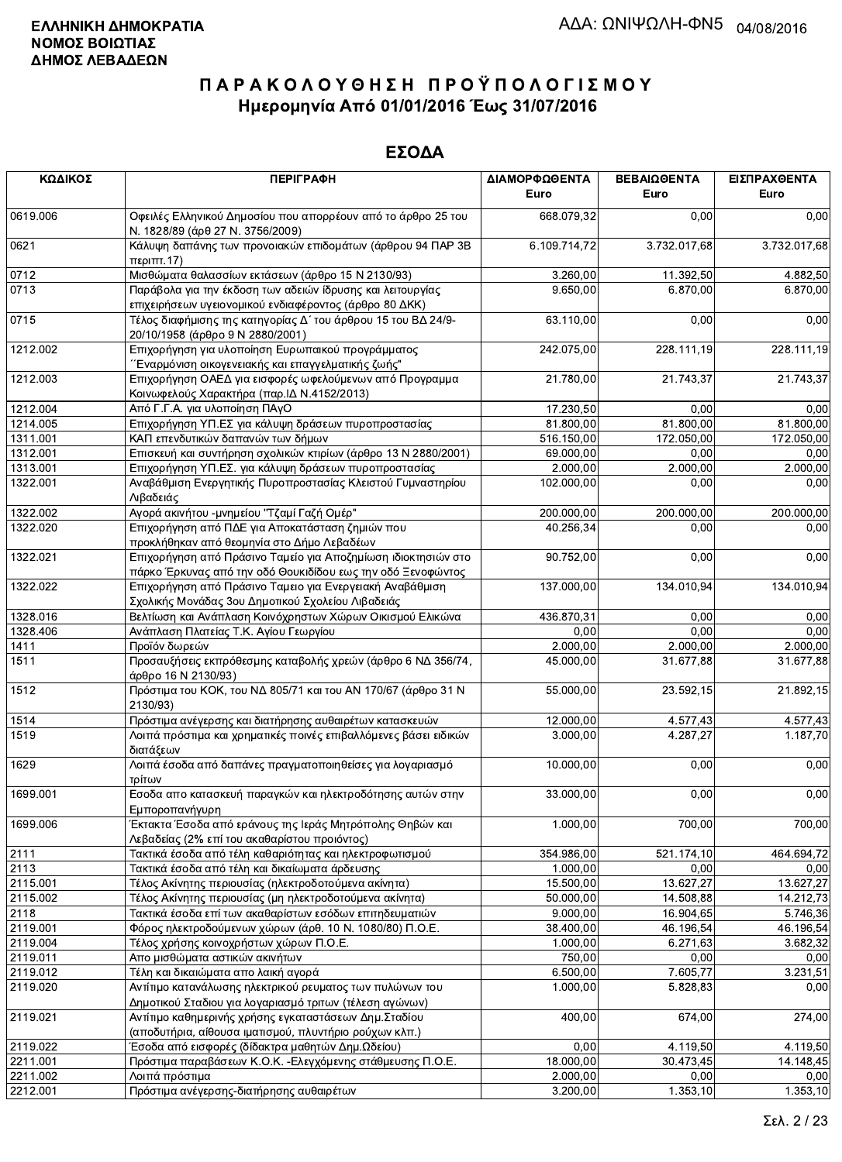| ΚΩΔΙΚΟΣ  | <b>ПЕРІГРАФН</b>                                                                                                             | ΔΙΑΜΟΡΦΩΘΕΝΤΑ<br>Euro | ΒΕΒΑΙΩΘΕΝΤΑ<br>Euro | ΕΙΣΠΡΑΧΘΕΝΤΑ<br>Euro |
|----------|------------------------------------------------------------------------------------------------------------------------------|-----------------------|---------------------|----------------------|
| 0619.006 | Οφειλές Ελληνικού Δημοσίου που απορρέουν από το άρθρο 25 του<br>Ν. 1828/89 (άρθ 27 Ν. 3756/2009)                             | 668.079,32            | 0,00                | 0,00                 |
| 0621     | Κάλυψη δαπάνης των προνοιακών επιδομάτων (άρθρου 94 ΠΑΡ 3Β<br>περιπτ.17)                                                     | 6.109.714,72          | 3.732.017,68        | 3.732.017,68         |
| 0712     | Μισθώματα θαλασσίων εκτάσεων (άρθρο 15 Ν 2130/93)                                                                            | 3.260,00              | 11.392,50           | 4.882,50             |
| 0713     | Παράβολα για την έκδοση των αδειών ίδρυσης και λειτουργίας<br>επιχειρήσεων υγειονομικού ενδιαφέροντος (άρθρο 80 ΔΚΚ)         | 9.650,00              | 6.870,00            | 6.870,00             |
| 0715     | Τέλος διαφήμισης της κατηγορίας Δ΄ του άρθρου 15 του ΒΔ 24/9-<br>20/10/1958 (άρθρο 9 Ν 2880/2001)                            | 63.110,00             | 0,00                | 0,00                 |
| 1212.002 | Επιχορήγηση για υλοποίηση Ευρωπαικού προγράμματος<br>΄΄Εναρμόνιση οικογενειακής και επαγγελματικής ζωής"                     | 242.075,00            | 228.111,19          | 228.111,19           |
| 1212.003 | Επιχορήγηση ΟΑΕΔ για εισφορές ωφελούμενων από Προγραμμα<br>Κοινωφελούς Χαρακτήρα (παρ. ΙΔ Ν.4152/2013)                       | 21.780,00             | 21.743,37           | 21.743,37            |
| 1212.004 | Από Γ.Γ.Α. για υλοποίηση ΠΑγΟ                                                                                                | 17.230,50             | 0.00                | 0,00                 |
| 1214.005 | Επιχορήγηση ΥΠ.ΕΣ για κάλυψη δράσεων πυροπροστασίας                                                                          | 81.800,00             | 81.800,00           | 81.800,00            |
| 1311.001 | ΚΑΠ επενδυτικών δαπανών των δήμων                                                                                            | 516.150,00            | 172.050,00          | 172.050,00           |
| 1312.001 | Επισκευή και συντήρηση σχολικών κτιρίων (άρθρο 13 Ν 2880/2001)                                                               | 69.000,00             | 0,00                | 0,00                 |
| 1313.001 | Επιχορήγηση ΥΠ.ΕΣ. για κάλυψη δράσεων πυροπροστασίας                                                                         | 2.000,00              | 2.000,00            | 2.000,00             |
| 1322.001 | Αναβάθμιση Ενεργητικής Πυροπροστασίας Κλειστού Γυμναστηρίου<br>Λιβαδειάς                                                     | 102.000,00            | 0,00                | 0,00                 |
| 1322.002 | Αγορά ακινήτου - μνημείου "Τζαμί Γαζή Ομέρ"                                                                                  | 200.000,00            | 200.000,00          | 200.000,00           |
| 1322.020 | Επιχορήγηση από ΠΔΕ για Αποκατάσταση ζημιών που<br>προκλήθηκαν από θεομηνία στο Δήμο Λεβαδέων                                | 40.256,34             | 0.00                | 0,00                 |
| 1322.021 | Επιχορήγηση από Πράσινο Ταμείο για Αποζημίωση ιδιοκτησιών στο<br>πάρκο Έρκυνας από την οδό Θουκιδίδου εως την οδό Ξενοφώντος | 90.752,00             | 0,00                | 0,00                 |
| 1322.022 | Επιχορήγηση από Πράσινο Ταμειο για Ενεργειακή Αναβάθμιση<br>Σχολικής Μονάδας 3ου Δημοτικού Σχολείου Λιβαδειάς                | 137.000,00            | 134.010,94          | 134.010,94           |
| 1328.016 | Βελτίωση και Ανάπλαση Κοινόχρηστων Χώρων Οικισμού Ελικώνα                                                                    | 436.870,31            | 0,00                | 0,00                 |
| 1328.406 | Ανάπλαση Πλατείας Τ.Κ. Αγίου Γεωργίου                                                                                        | 0,00                  | 0,00                | 0.00                 |
| 1411     | Προϊόν δωρεών                                                                                                                | 2.000,00              | 2.000,00            | 2.000,00             |
| 1511     | Προσαυξήσεις εκπρόθεσμης καταβολής χρεών (άρθρο 6 ΝΔ 356/74,<br>άρθρο 16 Ν 2130/93)                                          | 45.000,00             | 31.677,88           | 31.677,88            |
| 1512     | Πρόστιμα του ΚΟΚ, του ΝΔ 805/71 και του ΑΝ 170/67 (άρθρο 31 Ν<br>2130/93)                                                    | 55.000,00             | 23.592,15           | 21.892,15            |
| 1514     | Πρόστιμα ανέγερσης και διατήρησης αυθαιρέτων κατασκευών                                                                      | 12.000,00             | 4.577,43            | 4.577,43             |
| 1519     | Λοιπά πρόστιμα και χρηματικές ποινές επιβαλλόμενες βάσει ειδικών<br>διατάξεων                                                | 3.000,00              | 4.287,27            | 1.187,70             |
| 1629     | Λοιπά έσοδα από δαπάνες πραγματοποιηθείσες για λογαριασμό<br>τρίτων                                                          | 10.000,00             | 0,00                | 0,00                 |
| 1699.001 | Εσοδα απο κατασκευή παραγκών και ηλεκτροδότησης αυτών στην<br>Εμποροπανήγυρη                                                 | 33.000,00             | 0,00                | 0,00                 |
| 1699.006 | Έκτακτα Έσοδα από εράνους της Ιεράς Μητρόπολης Θηβών και<br>Λεβαδείας (2% επί του ακαθαρίστου προιόντος)                     | 1.000,00              | 700,00              | 700,00               |
| 2111     | Τακτικά έσοδα από τέλη καθαριότητας και ηλεκτροφωτισμού                                                                      | 354.986,00            | 521.174,10          | 464.694,72           |
| 2113     | Τακτικά έσοδα από τέλη και δικαίωματα άρδευσης                                                                               | 1.000,00              | 0,00                | 0,00                 |
| 2115.001 | Τέλος Ακίνητης περιουσίας (ηλεκτροδοτούμενα ακίνητα)                                                                         | 15.500,00             | 13.627,27           | 13.627,27            |
| 2115.002 | Τέλος Ακίνητης περιουσίας (μη ηλεκτροδοτούμενα ακίνητα)                                                                      | 50.000,00             | 14.508,88           | 14.212,73            |
| 2118     | Τακτικά έσοδα επί των ακαθαρίστων εσόδων επιτηδευματιών                                                                      | 9.000,00              | 16.904,65           | 5.746,36             |
| 2119.001 | Φόρος ηλεκτροδούμενων χώρων (άρθ. 10 Ν. 1080/80) Π.Ο.Ε.                                                                      | 38.400,00             | 46.196,54           | 46.196,54            |
| 2119.004 | Τέλος χρήσης κοινοχρήστων χώρων Π.Ο.Ε.                                                                                       | 1.000,00              | 6.271,63            | 3.682,32             |
| 2119.011 | Απο μισθώματα αστικών ακινήτων                                                                                               | 750,00                | 0,00                | 0,00                 |
| 2119.012 | Τέλη και δικαιώματα απο λαική αγορά                                                                                          | 6.500,00              | 7.605,77            | 3.231,51             |
| 2119.020 | Αντίτιμο κατανάλωσης ηλεκτρικού ρευματος των πυλώνων του<br>Δημοτικού Σταδιου για λογαριασμό τριτων (τέλεση αγώνων)          | 1.000,00              | 5.828,83            | 0,00                 |
| 2119.021 | Αντίτιμο καθημερινής χρήσης εγκαταστάσεων Δημ.Σταδίου<br>(αποδυτήρια, αίθουσα ιματισμού, πλυντήριο ρούχων κλπ.)              | 400,00                | 674,00              | 274,00               |
| 2119.022 | Έσοδα από εισφορές (δίδακτρα μαθητών Δημ.Ωδείου)                                                                             | 0,00                  | 4.119,50            | 4.119,50             |
| 2211.001 | Πρόστιμα παραβάσεων Κ.Ο.Κ. - Ελεγχόμενης στάθμευσης Π.Ο.Ε.                                                                   | 18.000,00             | 30.473,45           | 14.148,45            |
| 2211.002 | Λοιπά πρόστιμα                                                                                                               | 2.000,00              | 0,00                | 0,00                 |
| 2212.001 | Πρόστιμα ανέγερσης-διατήρησης αυθαιρέτων                                                                                     | 3.200,00              | 1.353,10            | 1.353,10             |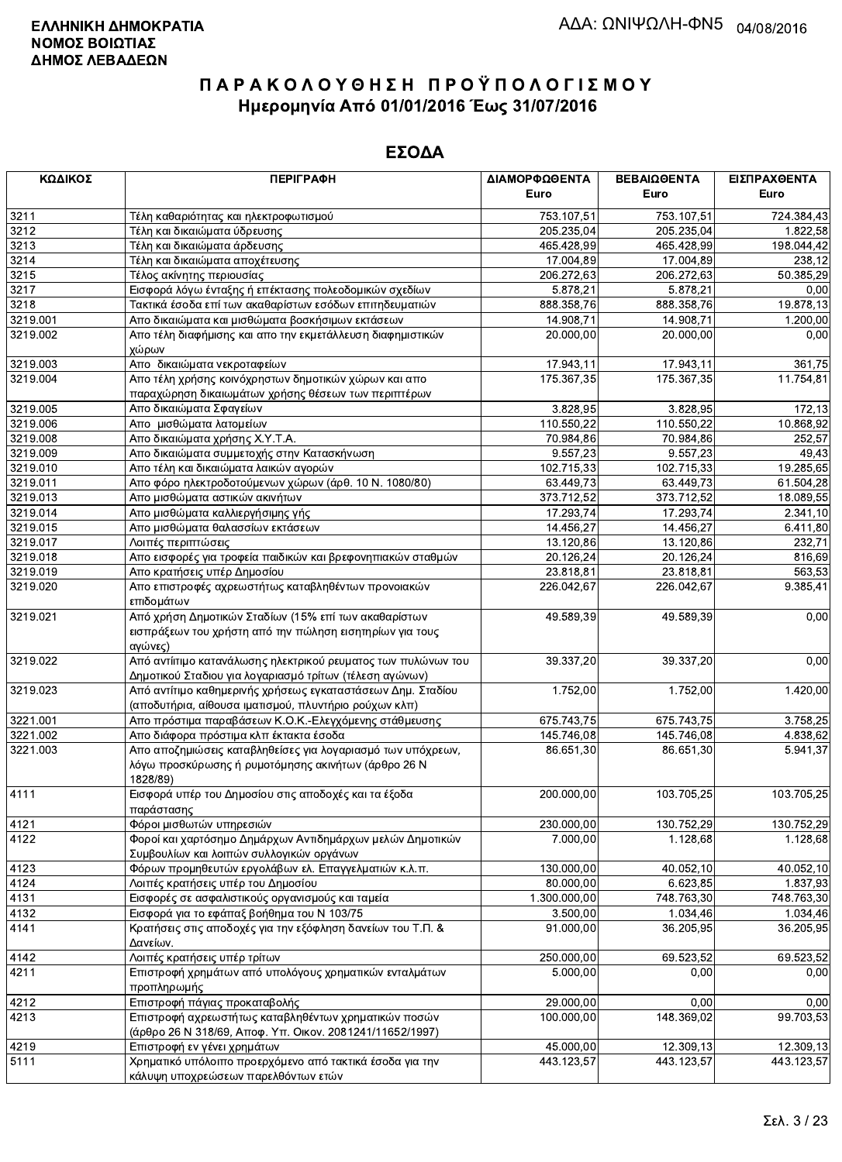| ΚΩΔΙΚΟΣ  | <b>ПЕРІГРАФН</b>                                                                                                               | ΔΙΑΜΟΡΦΩΘΕΝΤΑ | ΒΕΒΑΙΩΘΕΝΤΑ | ΕΙΣΠΡΑΧΘΕΝΤΑ |
|----------|--------------------------------------------------------------------------------------------------------------------------------|---------------|-------------|--------------|
|          |                                                                                                                                | Euro          | Euro        | Euro         |
| 3211     | Τέλη καθαριότητας και ηλεκτροφωτισμού                                                                                          | 753.107,51    | 753.107,51  | 724.384,43   |
| 3212     | Τέλη και δικαιώματα ύδρευσης                                                                                                   | 205.235,04    | 205.235,04  | 1.822,58     |
| 3213     | Τέλη και δικαιώματα άρδευσης                                                                                                   | 465.428,99    | 465.428,99  | 198.044,42   |
| 3214     | Τέλη και δικαιώματα αποχέτευσης                                                                                                | 17.004,89     | 17.004,89   | 238,12       |
| 3215     | Τέλος ακίνητης περιουσίας                                                                                                      | 206.272,63    | 206.272,63  | 50.385,29    |
| 3217     | Εισφορά λόγω ένταξης ή επέκτασης πολεοδομικών σχεδίων                                                                          | 5.878,21      | 5.878,21    | 0,00         |
| 3218     | Τακτικά έσοδα επί των ακαθαρίστων εσόδων επιτηδευματιών                                                                        | 888.358,76    | 888.358,76  | 19.878,13    |
| 3219.001 | Απο δικαιώματα και μισθώματα βοσκήσιμων εκτάσεων                                                                               | 14.908,71     | 14.908,71   | 1.200,00     |
| 3219.002 | Απο τέλη διαφήμισης και απο την εκμετάλλευση διαφημιστικών<br>χώρων                                                            | 20.000,00     | 20.000,00   | 0,00         |
| 3219.003 | Απο δικαιώματα νεκροταφείων                                                                                                    | 17.943,11     | 17.943,11   | 361,75       |
| 3219.004 | Απο τέλη χρήσης κοινόχρηστων δημοτικών χώρων και απο                                                                           | 175.367,35    | 175.367,35  | 11.754,81    |
|          | παραχώρηση δικαιωμάτων χρήσης θέσεων των περιπτέρων                                                                            |               |             |              |
| 3219.005 | Απο δικαιώματα Σφαγείων                                                                                                        | 3.828,95      | 3.828,95    | 172,13       |
| 3219.006 | Απο μισθώματα λατομείων                                                                                                        | 110.550,22    | 110.550,22  | 10.868,92    |
| 3219.008 | Απο δικαιώματα χρήσης Χ.Υ.Τ.Α.                                                                                                 | 70.984,86     | 70.984,86   | 252,57       |
| 3219.009 | Απο δικαιώματα συμμετοχής στην Κατασκήνωση                                                                                     | 9.557,23      | 9.557,23    | 49,43        |
| 3219.010 | Απο τέλη και δικαιώματα λαικών αγορών                                                                                          | 102.715,33    | 102.715,33  | 19.285,65    |
| 3219.011 | Απο φόρο ηλεκτροδοτούμενων χώρων (άρθ. 10 Ν. 1080/80)                                                                          | 63.449,73     | 63.449,73   | 61.504,28    |
| 3219.013 | Απο μισθώματα αστικών ακινήτων                                                                                                 | 373.712,52    | 373.712,52  | 18.089,55    |
| 3219.014 | Απο μισθώματα καλλιεργήσιμης γής                                                                                               | 17.293,74     | 17.293,74   | 2.341, 10    |
| 3219.015 | Απο μισθώματα θαλασσίων εκτάσεων                                                                                               | 14.456,27     | 14.456,27   | 6.411,80     |
| 3219.017 | Λοιπές περιπτώσεις                                                                                                             | 13.120,86     | 13.120,86   | 232,71       |
| 3219.018 | Απο εισφορές για τροφεία παιδικών και βρεφονηπιακών σταθμών                                                                    | 20.126,24     | 20.126,24   | 816,69       |
| 3219.019 | Απο κρατήσεις υπέρ Δημοσίου                                                                                                    | 23.818,81     | 23.818,81   | 563,53       |
| 3219.020 | Απο επιστροφές αχρεωστήτως καταβληθέντων προνοιακών<br>επιδομάτων                                                              | 226.042,67    | 226.042,67  | 9.385,41     |
| 3219.021 | Από χρήση Δημοτικών Σταδίων (15% επί των ακαθαρίστων                                                                           | 49.589,39     | 49.589,39   | 0,00         |
|          | εισπράξεων του χρήστη από την πώληση εισητηρίων για τους<br>αγώνες)                                                            |               |             |              |
| 3219.022 | Από αντίιτιμο κατανάλωσης ηλεκτρικού ρευματος των πυλώνων του                                                                  | 39.337,20     | 39.337,20   | 0,00         |
|          | Δημοτικού Σταδιου για λογαριασμό τρίτων (τέλεση αγώνων)                                                                        |               |             |              |
| 3219.023 | Από αντίτιμο καθημερινής χρήσεως εγκαταστάσεων Δημ. Σταδίου                                                                    | 1.752,00      | 1.752,00    | 1.420,00     |
|          | (αποδυτήρια, αίθουσα ιματισμού, πλυντήριο ρούχων κλπ)                                                                          |               |             |              |
| 3221.001 | Απο πρόστιμα παραβάσεων Κ.Ο.Κ.-Ελεγχόμενης στάθμευσης                                                                          | 675.743,75    | 675.743,75  | 3.758,25     |
| 3221.002 | Απο διάφορα πρόστιμα κλπ έκτακτα έσοδα                                                                                         | 145.746,08    | 145.746,08  | 4.838,62     |
| 3221.003 | Απο αποζημιώσεις καταβληθείσες για λογαριασμό των υπόχρεων,<br>λόγω προσκύρωσης ή ρυμοτόμησης ακινήτων (άρθρο 26 Ν<br>1828/89) | 86.651,30     | 86.651,30   | 5.941,37     |
| 4111     | Εισφορά υπέρ του Δημοσίου στις αποδοχές και τα έξοδα                                                                           | 200.000,00    | 103.705,25  | 103.705,25   |
|          | παράστασης                                                                                                                     |               |             |              |
| 4121     | Φόροι μισθωτών υπηρεσιών                                                                                                       | 230.000,00    | 130.752,29  | 130.752,29   |
| 4122     | Φοροί και χαρτόσημο Δημάρχων Αντιδημάρχων μελών Δημοτικών                                                                      | 7.000.00      | 1.128,68    | 1.128,68     |
|          | Συμβουλίων και λοιπών συλλογικών οργάνων                                                                                       |               |             |              |
| 4123     | Φόρων προμηθευτών εργολάβων ελ. Επαγγελματιών κ.λ.π.                                                                           | 130.000,00    | 40.052,10   | 40.052,10    |
| 4124     | Λοιπές κρατήσεις υπέρ του Δημοσίου                                                                                             | 80.000,00     | 6.623,85    | 1.837,93     |
| 4131     | Εισφορές σε ασφαλιστικούς οργανισμούς και ταμεία                                                                               | 1.300.000,00  | 748.763,30  | 748.763,30   |
| 4132     | Εισφορά για το εφάπαξ βοήθημα του Ν 103/75                                                                                     | 3.500,00      | 1.034,46    | 1.034,46     |
| 4141     | Κρατήσεις στις αποδοχές για την εξόφληση δανείων του Τ.Π. &                                                                    | 91.000.00     | 36.205,95   | 36.205,95    |
|          | Δανείων.                                                                                                                       |               |             |              |
| 4142     | Λοιπές κρατήσεις υπέρ τρίτων                                                                                                   | 250.000,00    | 69.523,52   | 69.523,52    |
| 4211     | Επιστροφή χρημάτων από υπολόγους χρηματικών ενταλμάτων                                                                         | 5.000,00      | 0,00        | 0,00         |
|          | προπληρωμής                                                                                                                    |               |             |              |
| 4212     | Επιστροφή πάγιας προκαταβολής                                                                                                  | 29.000,00     | 0,00        | 0,00         |
| 4213     | Επιστροφή αχρεωστήτως καταβληθέντων χρηματικών ποσών<br>(άρθρο 26 Ν 318/69, Αποφ. Υπ. Οικον. 2081241/11652/1997)               | 100.000,00    | 148.369,02  | 99.703,53    |
| 4219     | Επιστροφή εν γένει χρημάτων                                                                                                    | 45.000,00     | 12.309,13   | 12.309,13    |
| 5111     | Χρηματικό υπόλοιπο προερχόμενο από τακτικά έσοδα για την<br>κάλυψη υποχρεώσεων παρελθόντων ετών                                | 443.123,57    | 443.123,57  | 443.123,57   |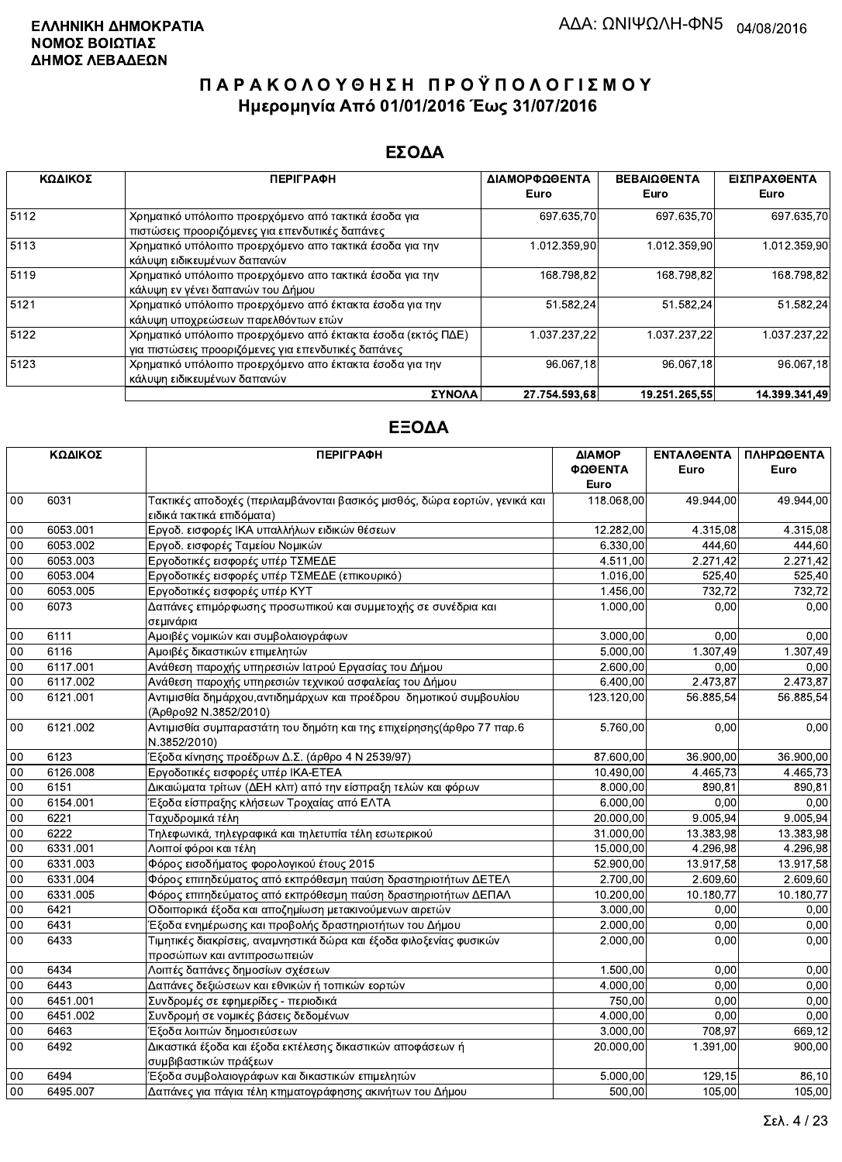#### ΕΣΟΔΑ

| ΚΩΔΙΚΟΣ | <b>ПЕРІГРАФН</b>                                                                                                    | ΔΙΑΜΟΡΦΩΘΕΝΤΑ | <b>ΒΕΒΑΙΩΘΕΝΤΑ</b> | ΕΙΣΠΡΑΧΘΕΝΤΑ  |
|---------|---------------------------------------------------------------------------------------------------------------------|---------------|--------------------|---------------|
|         |                                                                                                                     | Euro          | Euro               | Euro          |
| 5112    | Χρηματικό υπόλοιπο προερχόμενο από τακτικά έσοδα για<br>πιστώσεις προοριζόμενες για επενδυτικές δαπάνες             | 697 635,70    | 697 635.70         | 697.635,70    |
| 5113    | Χρηματικό υπόλοιπο προερχόμενο απο τακτικά έσοδα για την<br>κάλυψη ειδικευμένων δαπανών                             | 1.012.359,90  | 1.012.359,90       | 1.012.359,90  |
| 5119    | Χρηματικό υπόλοιπο προερχόμενο απο τακτικά έσοδα για την<br>κάλυψη εν γένει δαπανών του Δήμου                       | 168.798,82    | 168.798.82         | 168.798,82    |
| 5121    | Χρηματικό υπόλοιπο προερχόμενο από έκτακτα έσοδα για την<br>κάλυψη υποχρεώσεων παρελθόντων ετών                     | 51.582,24     | 51.582,24          | 51.582,24     |
| 5122    | Χρηματικό υπόλοιπο προερχόμενο από έκτακτα έσοδα (εκτός ΠΔΕ)<br>για πιστώσεις προοριζόμενες για επενδυτικές δαπάνες | 1.037.237.22  | 1.037.237.22       | 1.037.237.22  |
| 5123    | Χρηματικό υπόλοιπο προερχόμενο απο έκτακτα έσοδα για την<br>κάλυψη ειδικευμένων δαπανών                             | 96.067,18     | 96.067.18          | 96.067,18     |
|         | ΣΥΝΟΛΑ                                                                                                              | 27.754.593.68 | 19.251.265.55      | 14.399.341.49 |

|        | ΚΩΔΙΚΟΣ  | <b>ПЕРІГРАФН</b>                                                                                        | ΔΙΑΜΟΡ<br>ΦΩΘΕΝΤΑ<br>Euro | <b>ENTAAGENTA</b><br>Euro | ΠΛΗΡΩΘΕΝΤΑ<br>Euro |
|--------|----------|---------------------------------------------------------------------------------------------------------|---------------------------|---------------------------|--------------------|
| 00     | 6031     | Τακτικές αποδοχές (περιλαμβάνονται βασικός μισθός, δώρα εορτών, γενικά και<br>ειδικά τακτικά επιδόματα) | 118.068,00                | 49.944.00                 | 49.944,00          |
| 00     | 6053.001 | Εργοδ. εισφορές ΙΚΑ υπαλλήλων ειδικών θέσεων                                                            | 12.282,00                 | 4.315.08                  | 4.315,08           |
| 00     | 6053.002 | Εργοδ. εισφορές Ταμείου Νομικών                                                                         | 6.330,00                  | 444,60                    | 444.60             |
| 00     | 6053.003 | Εργοδοτικές εισφορές υπέρ ΤΣΜΕΔΕ                                                                        | 4.511,00                  | 2.271,42                  | 2.271,42           |
| $00\,$ | 6053.004 | Εργοδοτικές εισφορές υπέρ ΤΣΜΕΔΕ (επικουρικό)                                                           | 1.016,00                  | 525,40                    | 525,40             |
| 00     | 6053.005 | Εργοδοτικές εισφορές υπέρ ΚΥΤ                                                                           | 1.456,00                  | 732.72                    | 732,72             |
| 00     | 6073     | Δαπάνες επιμόρφωσης προσωπικού και συμμετοχής σε συνέδρια και<br>σεμινάρια                              | 1.000,00                  | 0.00                      | 0.00               |
| $00\,$ | 6111     | Αμοιβές νομικών και συμβολαιογράφων                                                                     | 3.000,00                  | 0.00                      | 0,00               |
| 00     | 6116     | Αμοιβές δικαστικών επιμελητών                                                                           | 5.000,00                  | 1.307,49                  | 1.307,49           |
| 00     | 6117.001 | Ανάθεση παροχής υπηρεσιών Ιατρού Εργασίας του Δήμου                                                     | 2.600,00                  | 0.00                      | 0.00               |
| 00     | 6117.002 | Ανάθεση παροχής υπηρεσιών τεχνικού ασφαλείας του Δήμου                                                  | 6.400,00                  | 2.473,87                  | 2.473,87           |
| 00     | 6121.001 | Αντιμισθία δημάρχου, αντιδημάρχων και προέδρου δημοτικού συμβουλίου<br>(Άρθρο92 Ν.3852/2010)            | 123.120,00                | 56.885,54                 | 56.885,54          |
| 00     | 6121.002 | Αντιμισθία συμπαραστάτη του δημότη και της επιχείρησης(άρθρο 77 παρ.6<br>N.3852/2010)                   | 5.760,00                  | 0,00                      | 0,00               |
| 00     | 6123     | Έξοδα κίνησης προέδρων Δ.Σ. (άρθρο 4 Ν 2539/97)                                                         | 87.600,00                 | 36.900,00                 | 36.900,00          |
| 00     | 6126.008 | Εργοδοτικές εισφορές υπέρ ΙΚΑ-ΕΤΕΑ                                                                      | 10.490,00                 | 4.465,73                  | 4.465,73           |
| 00     | 6151     | Δικαιώματα τρίτων (ΔΕΗ κλπ) από την είσπραξη τελών και φόρων                                            | 8.000,00                  | 890,81                    | 890,81             |
| 00     | 6154.001 | Έξοδα είσπραξης κλήσεων Τροχαίας από ΕΛΤΑ                                                               | 6.000,00                  | 0,00                      | 0,00               |
| 00     | 6221     | Ταχυδρομικά τέλη                                                                                        | 20.000,00                 | 9.005,94                  | 9.005,94           |
| 00     | 6222     | Τηλεφωνικά, τηλεγραφικά και τηλετυπία τέλη εσωτερικού                                                   | 31.000,00                 | 13.383,98                 | 13.383,98          |
| 00     | 6331.001 | Λοιποί φόροι και τέλη                                                                                   | 15.000,00                 | 4.296,98                  | 4.296,98           |
| 00     | 6331.003 | Φόρος εισοδήματος φορολογικού έτους 2015                                                                | 52.900,00                 | 13.917,58                 | 13.917,58          |
| 00     | 6331.004 | Φόρος επιτηδεύματος από εκπρόθεσμη παύση δραστηριοτήτων ΔΕΤΕΛ                                           | 2.700,00                  | 2.609,60                  | 2.609,60           |
| 00     | 6331.005 | Φόρος επιτηδεύματος από εκπρόθεσμη παύση δραστηριοτήτων ΔΕΠΑΛ                                           | 10.200,00                 | 10.180,77                 | 10.180,77          |
| $00\,$ | 6421     | Οδοιπορικά έξοδα και αποζημίωση μετακινούμενων αιρετών                                                  | 3.000,00                  | 0,00                      | 0,00               |
| 00     | 6431     | Έξοδα ενημέρωσης και προβολής δραστηριοτήτων του Δήμου                                                  | 2.000,00                  | 0,00                      | 0,00               |
| 00     | 6433     | Τιμητικές διακρίσεις, αναμνηστικά δώρα και έξοδα φιλοξενίας φυσικών<br>προσώπων και αντιπροσωπειών      | 2.000,00                  | 0,00                      | 0,00               |
| 00     | 6434     | Λοιπές δαπάνες δημοσίων σχέσεων                                                                         | 1.500,00                  | 0.00                      | 0.00               |
| 00     | 6443     | Δαπάνες δεξιώσεων και εθνικών ή τοπικών εορτών                                                          | 4.000.00                  | 0.00                      | 0.00               |
| 00     | 6451.001 | Συνδρομές σε εφημερίδες - περιοδικά                                                                     | 750.00                    | 0.00                      | 0.00               |
| 00     | 6451.002 | Συνδρομή σε νομικές βάσεις δεδομένων                                                                    | 4.000.00                  | 0.00                      | 0.00               |
| 00     | 6463     | Έξοδα λοιπών δημοσιεύσεων                                                                               | 3,000,00                  | 708,97                    | 669,12             |
| 00     | 6492     | Δικαστικά έξοδα και έξοδα εκτέλεσης δικαστικών αποφάσεων ή<br>συμβιβαστικών πράξεων                     | 20,000.00                 | 1.391.00                  | 900,00             |
| 00     | 6494     | Έξοδα συμβολαιογράφων και δικαστικών επιμελητών                                                         | 5.000,00                  | 129.15                    | 86,10              |
| 00     | 6495.007 | Δαπάνες για πάγια τέλη κτηματογράφησης ακινήτων του Δήμου                                               | 500,00                    | 105,00                    | 105,00             |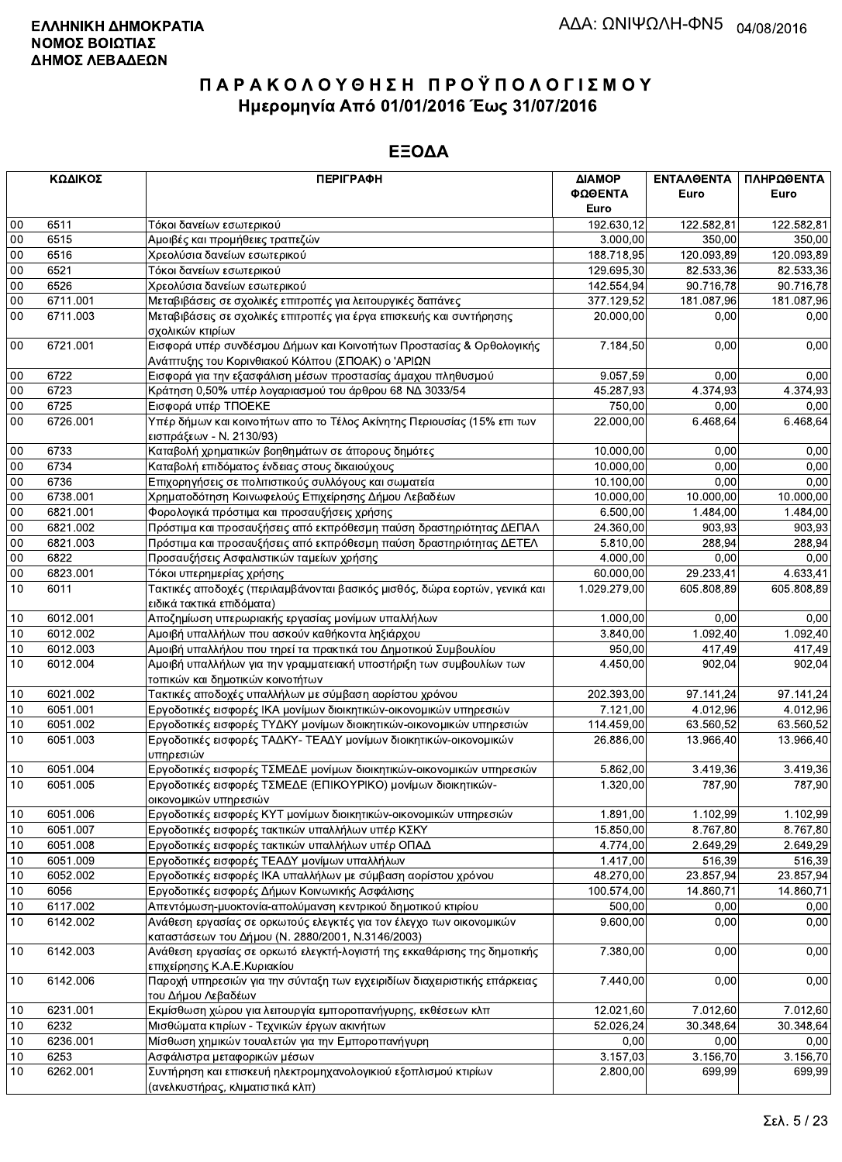|        | ΚΩΔΙΚΟΣ  | <b>ПЕРІГРАФН</b>                                                                                        | ΔΙΑΜΟΡ       | ΕΝΤΑΛΘΕΝΤΑ | ΠΛΗΡΩΘΕΝΤΑ |
|--------|----------|---------------------------------------------------------------------------------------------------------|--------------|------------|------------|
|        |          |                                                                                                         | ΦΩΘΕΝΤΑ      | Euro       | Euro       |
|        |          |                                                                                                         | Euro         |            |            |
| $00\,$ | 6511     | Τόκοι δανείων εσωτερικού                                                                                | 192.630,12   | 122.582,81 | 122.582,81 |
| 00     | 6515     | Αμοιβές και προμήθειες τραπεζών                                                                         | 3.000,00     | 350,00     | 350,00     |
| 00     | 6516     | Χρεολύσια δανείων εσωτερικού                                                                            | 188.718,95   | 120.093,89 | 120.093,89 |
| 00     | 6521     | Τόκοι δανείων εσωτερικού                                                                                | 129.695,30   | 82.533,36  | 82.533,36  |
| 00     | 6526     | Χρεολύσια δανείων εσωτερικού                                                                            | 142.554,94   | 90.716,78  | 90.716,78  |
| 00     | 6711.001 | Μεταβιβάσεις σε σχολικές επιτροπές για λειτουργικές δαπάνες                                             | 377.129,52   | 181.087,96 | 181.087,96 |
| 00     | 6711.003 | Μεταβιβάσεις σε σχολικές επιτροπές για έργα επισκευής και συντήρησης                                    | 20.000,00    | 0,00       | 0,00       |
|        |          | σχολικών κτιρίων                                                                                        |              |            |            |
| 00     | 6721.001 | Εισφορά υπέρ συνδέσμου Δήμων και Κοινοτήτων Προστασίας & Ορθολογικής                                    | 7.184,50     | 0,00       | 0,00       |
|        |          | Ανάπτυξης του Κορινθιακού Κόλπου (ΣΠΟΑΚ) ο 'ΑΡΙΩΝ                                                       |              |            |            |
| $00\,$ | 6722     | Εισφορά για την εξασφάλιση μέσων προστασίας άμαχου πληθυσμού                                            | 9.057,59     | 0,00       | 0,00       |
| $00\,$ | 6723     | Κράτηση 0,50% υπέρ λογαριασμού του άρθρου 68 ΝΔ 3033/54                                                 | 45.287,93    | 4.374,93   | 4.374,93   |
| 00     | 6725     | Εισφορά υπέρ ΤΠΟΕΚΕ                                                                                     | 750,00       | 0.00       | 0,00       |
| $00\,$ | 6726.001 | Υπέρ δήμων και κοινοτήτων απο το Τέλος Ακίνητης Περιουσίας (15% επι των                                 | 22.000,00    | 6.468,64   | 6.468,64   |
|        |          | εισπράξεων - Ν. 2130/93)                                                                                |              |            |            |
| 00     | 6733     | Καταβολή χρηματικών βοηθημάτων σε άπορους δημότες                                                       | 10.000,00    | 0,00       | 0,00       |
| $00\,$ | 6734     | Καταβολή επιδόματος ένδειας στους δικαιούχους                                                           | 10.000,00    | 0,00       | 0,00       |
| 00     | 6736     | Επιχορηγήσεις σε πολιτιστικούς συλλόγους και σωματεία                                                   | 10.100,00    | 0,00       | 0,00       |
| $00\,$ | 6738.001 | Χρηματοδότηση Κοινωφελούς Επιχείρησης Δήμου Λεβαδέων                                                    | 10.000,00    | 10.000,00  | 10.000,00  |
| $00\,$ | 6821.001 | Φορολογικά πρόστιμα και προσαυξήσεις χρήσης                                                             | 6.500,00     | 1.484,00   | 1.484,00   |
| 00     | 6821.002 | Πρόστιμα και προσαυξήσεις από εκπρόθεσμη παύση δραστηριότητας ΔΕΠΑΛ                                     | 24.360,00    | 903,93     | 903,93     |
| $00\,$ | 6821.003 | Πρόστιμα και προσαυξήσεις από εκπρόθεσμη παύση δραστηριότητας ΔΕΤΕΛ                                     | 5.810,00     | 288.94     | 288,94     |
| $00\,$ | 6822     | Προσαυξήσεις Ασφαλιστικών ταμείων χρήσης                                                                | 4.000,00     | 0,00       | 0,00       |
| 00     | 6823.001 | Τόκοι υπερημερίας χρήσης                                                                                | 60.000,00    | 29.233,41  | 4.633,41   |
| 10     | 6011     | Τακτικές αποδοχές (περιλαμβάνονται βασικός μισθός, δώρα εορτών, γενικά και                              | 1.029.279,00 | 605.808,89 | 605.808,89 |
|        |          | ειδικά τακτικά επιδόματα)                                                                               |              |            |            |
| 10     | 6012.001 | Αποζημίωση υπερωριακής εργασίας μονίμων υπαλλήλων                                                       | 1.000,00     | 0,00       | 0,00       |
| 10     | 6012.002 |                                                                                                         | 3.840,00     | 1.092,40   | 1.092,40   |
|        |          | Αμοιβή υπαλλήλων που ασκούν καθήκοντα ληξιάρχου                                                         | 950,00       |            |            |
| 10     | 6012.003 | Αμοιβή υπαλλήλου που τηρεί τα πρακτικά του Δημοτικού Συμβουλίου                                         |              | 417,49     | 417,49     |
| 10     | 6012.004 | Αμοιβή υπαλλήλων για την γραμματειακή υποστήριξη των συμβουλίων των<br>τοπικών και δημοτικών κοινοτήτων | 4.450,00     | 902,04     | 902,04     |
| 10     | 6021.002 | Τακτικές αποδοχές υπαλλήλων με σύμβαση αορίστου χρόνου                                                  | 202.393,00   | 97.141,24  | 97.141,24  |
| 10     | 6051.001 | Εργοδοτικές εισφορές ΙΚΑ μονίμων διοικητικών-οικονομικών υπηρεσιών                                      | 7.121,00     | 4.012,96   | 4.012,96   |
| 10     | 6051.002 | Εργοδοτικές εισφορές ΤΥΔΚΥ μονίμων διοικητικών-οικονομικών υπηρεσιών                                    | 114.459,00   | 63.560,52  | 63.560,52  |
| 10     | 6051.003 | Εργοδοτικές εισφορές ΤΑΔΚΥ- ΤΕΑΔΥ μονίμων διοικητικών-οικονομικών                                       | 26.886,00    | 13.966,40  | 13.966,40  |
|        |          | υπηρεσιών                                                                                               |              |            |            |
| 10     | 6051.004 | Εργοδοτικές εισφορές ΤΣΜΕΔΕ μονίμων διοικητικών-οικονομικών υπηρεσιών                                   | 5.862,00     | 3.419,36   | 3.419,36   |
| 10     | 6051.005 | Εργοδοτικές εισφορές ΤΣΜΕΔΕ (ΕΠΙΚΟΥΡΙΚΟ) μονίμων διοικητικών-                                           | 1.320,00     | 787,90     | 787,90     |
|        |          | οικονομικών υπηρεσιών                                                                                   |              |            |            |
| 10     | 6051.006 | Εργοδοτικές εισφορές ΚΥΤ μονίμων διοικητικών-οικονομικών υπηρεσιών                                      | 1.891,00     | 1.102,99   | 1.102,99   |
| 10     | 6051.007 | Εργοδοτικές εισφορές τακτικών υπαλλήλων υπέρ ΚΣΚΥ                                                       | 15.850,00    | 8.767,80   | 8.767,80   |
| 10     | 6051.008 | Εργοδοτικές εισφορές τακτικών υπαλλήλων υπέρ ΟΠΑΔ                                                       | 4.774,00     | 2.649,29   | 2.649,29   |
| 10     | 6051.009 | Εργοδοτικές εισφορές ΤΕΑΔΥ μονίμων υπαλλήλων                                                            | 1.417,00     | 516,39     | 516,39     |
| 10     | 6052.002 | Εργοδοτικές εισφορές ΙΚΑ υπαλλήλων με σύμβαση αορίστου χρόνου                                           | 48.270,00    | 23.857,94  | 23.857,94  |
| 10     | 6056     | Εργοδοτικές εισφορές Δήμων Κοινωνικής Ασφάλισης                                                         | 100.574,00   | 14.860,71  | 14.860,71  |
| 10     | 6117.002 | Απεντόμωση-μυοκτονία-απολύμανση κεντρικού δημοτικού κτιρίου                                             | 500,00       | 0,00       | 0,00       |
| 10     | 6142.002 | Ανάθεση εργασίας σε ορκωτούς ελεγκτές για τον έλεγχο των οικονομικών                                    | 9.600,00     | 0,00       | 0,00       |
|        |          | καταστάσεων του Δήμου (Ν. 2880/2001, Ν.3146/2003)                                                       |              |            |            |
| 10     | 6142.003 | Ανάθεση εργασίας σε ορκωτό ελεγκτή-λογιστή της εκκαθάρισης της δημοτικής                                | 7.380,00     | 0,00       | 0,00       |
|        |          | επιχείρησης Κ.Α.Ε.Κυριακίου                                                                             |              |            |            |
| 10     | 6142.006 | Παροχή υπηρεσιών για την σύνταξη των εγχειριδίων διαχειριστικής επάρκειας                               | 7.440,00     | 0,00       | 0,00       |
|        |          | του Δήμου Λεβαδέων                                                                                      |              |            |            |
| 10     | 6231.001 | Εκμίσθωση χώρου για λειτουργία εμποροπανήγυρης, εκθέσεων κλπ                                            | 12.021,60    | 7.012,60   | 7.012,60   |
| 10     | 6232     | Μισθώματα κτιρίων - Τεχνικών έργων ακινήτων                                                             | 52.026,24    | 30.348,64  | 30.348,64  |
| 10     | 6236.001 | Μίσθωση χημικών τουαλετών για την Εμποροπανήγυρη                                                        | 0,00         | 0,00       | 0,00       |
| 10     | 6253     | Ασφάλιστρα μεταφορικών μέσων                                                                            | 3.157,03     | 3.156,70   | 3.156,70   |
| 10     | 6262.001 | Συντήρηση και επισκευή ηλεκτρομηχανολογικιού εξοπλισμού κτιρίων                                         | 2.800,00     | 699,99     | 699,99     |
|        |          | (ανελκυστήρας, κλιματιστικά κλπ).                                                                       |              |            |            |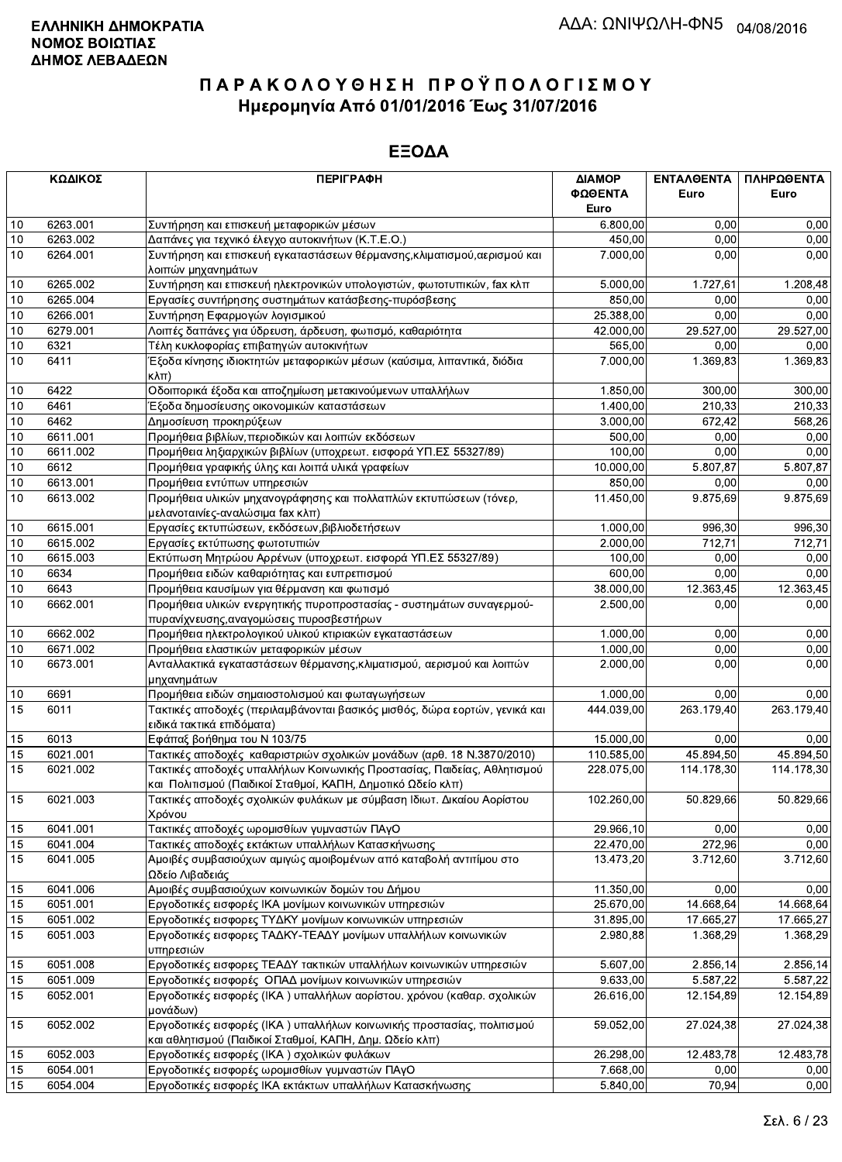|          | ΚΩΔΙΚΟΣ              | <b>ПЕРІГРАФН</b>                                                                                                                       | ΔΙΑΜΟΡ<br>ΦΩΘΕΝΤΑ  | ΕΝΤΑΛΘΕΝΤΑ<br>Euro | ΠΛΗΡΩΘΕΝΤΑ<br>Euro |
|----------|----------------------|----------------------------------------------------------------------------------------------------------------------------------------|--------------------|--------------------|--------------------|
|          |                      |                                                                                                                                        | Euro               |                    |                    |
| 10       | 6263.001             | Συντήρηση και επισκευή μεταφορικών μέσων                                                                                               | 6.800,00           | 0,00               | 0,00               |
| 10<br>10 | 6263.002<br>6264.001 | Δαπάνες για τεχνικό έλεγχο αυτοκινήτων (Κ.Τ.Ε.Ο.)<br>Συντήρηση και επισκευή εγκαταστάσεων θέρμανσης, κλιματισμού, αερισμού και         | 450,00<br>7.000,00 | 0,00<br>0.00       | 0,00<br>0,00       |
|          |                      | λοιπών μηχανημάτων                                                                                                                     |                    |                    |                    |
| 10       | 6265.002             | Συντήρηση και επισκευή ηλεκτρονικών υπολογιστών, φωτοτυπικών, fax κλπ                                                                  | 5.000,00           | 1.727,61           | 1.208,48           |
| 10       | 6265.004             | Εργασίες συντήρησης συστημάτων κατάσβεσης-πυρόσβεσης                                                                                   | 850,00             | 0,00               | 0,00               |
| 10       | 6266.001             | Συντήρηση Εφαρμογών λογισμικού                                                                                                         | 25.388,00          | 0,00               | 0,00               |
| $10$     | 6279.001             | Λοιπές δαπάνες για ύδρευση, άρδευση, φωτισμό, καθαριότητα                                                                              | 42.000,00          | 29.527,00          | 29.527,00          |
| 10       | 6321                 | Τέλη κυκλοφορίας επιβατηγών αυτοκινήτων                                                                                                | 565,00             | 0,00               | 0,00               |
| 10       | 6411                 | Έξοδα κίνησης ιδιοκτητών μεταφορικών μέσων (καύσιμα, λιπαντικά, διόδια<br>$K\lambda\pi$ )                                              | 7.000,00           | 1.369,83           | 1.369,83           |
| $10$     | 6422                 | Οδοιπορικά έξοδα και αποζημίωση μετακινούμενων υπαλλήλων                                                                               | 1.850,00           | 300,00             | 300,00             |
| 10       | 6461                 | Έξοδα δημοσίευσης οικονομικών καταστάσεων                                                                                              | 1.400,00           | 210,33             | 210,33             |
| 10       | 6462                 | Δημοσίευση προκηρύξεων                                                                                                                 | 3.000,00           | 672,42             | 568,26             |
| $10$     | 6611.001             | Προμήθεια βιβλίων, περιοδικών και λοιπών εκδόσεων                                                                                      | 500,00             | 0,00               | 0,00               |
| 10       | 6611.002             | Προμήθεια ληξιαρχικών βιβλίων (υποχρεωτ. εισφορά ΥΠ.ΕΣ 55327/89)                                                                       | 100,00             | 0,00               | 0,00               |
| 10       | 6612                 | Προμήθεια γραφικής ύλης και λοιπά υλικά γραφείων                                                                                       | 10.000,00          | 5.807,87           | 5.807,87           |
| 10       | 6613.001             | Προμήθεια εντύπων υπηρεσιών                                                                                                            | 850,00             | 0,00               | 0,00               |
| 10       | 6613.002             | Προμήθεια υλικών μηχανογράφησης και πολλαπλών εκτυπώσεων (τόνερ,<br>μελανοταινίες-αναλώσιμα fax κλπ)                                   | 11.450,00          | 9.875,69           | 9.875,69           |
| 10       | 6615.001             | Εργασίες εκτυπώσεων, εκδόσεων, βιβλιοδετήσεων                                                                                          | 1.000,00           | 996,30             | 996,30             |
| 10       | 6615.002             | Εργασίες εκτύπωσης φωτοτυπιών                                                                                                          | 2.000,00           | 712.71             | 712,71             |
| 10       | 6615.003             | Εκτύπωση Μητρώου Αρρένων (υποχρεωτ. εισφορά ΥΠ.ΕΣ 55327/89)                                                                            | 100.00             | 0,00               | 0,00               |
| 10       | 6634                 | Προμήθεια ειδών καθαριότητας και ευπρεπισμού                                                                                           | 600.00             | 0,00               | 0,00               |
| $10$     | 6643                 | Προμήθεια καυσίμων για θέρμανση και φωτισμό                                                                                            | 38.000,00          | 12.363,45          | 12.363,45          |
| 10       | 6662.001             | Προμήθεια υλικών ενεργητικής πυροπροστασίας - συστημάτων συναγερμού-<br>πυρανίχνευσης, αναγομώσεις πυροσβεστήρων                       | 2.500,00           | 0,00               | 0,00               |
| 10       | 6662.002             | Προμήθεια ηλεκτρολογικού υλικού κτιριακών εγκαταστάσεων                                                                                | 1.000,00           | 0,00               | 0,00               |
| $10$     | 6671.002             | Προμήθεια ελαστικών μεταφορικών μέσων                                                                                                  | 1.000,00           | 0.00               | 0,00               |
| 10       | 6673.001             | Ανταλλακτικά εγκαταστάσεων θέρμανσης, κλιματισμού, αερισμού και λοιπών                                                                 | 2.000,00           | 0,00               | 0,00               |
| 10       | 6691                 | μηχανημάτων<br>Προμήθεια ειδών σημαιοστολισμού και φωταγωγήσεων                                                                        | 1.000,00           | 0,00               | 0,00               |
| 15       | 6011                 | Τακτικές αποδοχές (περιλαμβάνονται βασικός μισθός, δώρα εορτών, γενικά και                                                             | 444.039,00         | 263.179,40         | 263.179,40         |
|          |                      | ειδικά τακτικά επιδόματα)                                                                                                              |                    |                    |                    |
| 15       | 6013                 | Εφάπαξ βοήθημα του Ν 103/75                                                                                                            | 15.000,00          | 0,00               | 0,00               |
| 15       | 6021.001             | Τακτικές αποδοχές καθαριστριών σχολικών μονάδων (αρθ. 18 Ν.3870/2010)                                                                  | 110.585,00         | 45.894,50          | 45.894,50          |
| 15       | 6021.002             | Τακτικές αποδοχές υπαλλήλων Κοινωνικής Προστασίας, Παιδείας, Αθλητισμού<br>και Πολιτισμού (Παιδικοί Σταθμοί, ΚΑΠΗ, Δημοτικό Ωδείο κλπ) | 228.075,00         | 114.178.30         | 114.178,30         |
| 15       | 6021.003             | Τακτικές αποδοχές σχολικών φυλάκων με σύμβαση Ιδιωτ. Δικαίου Αορίστου<br>Χρόνου                                                        | 102.260,00         | 50.829,66          | 50.829,66          |
| 15       | 6041.001             | Τακτικές αποδοχές ωρομισθίων γυμναστών ΠΑγΟ                                                                                            | 29.966,10          | 0,00               | 0,00               |
| 15       | 6041.004             | Τακτικές αποδοχές εκτάκτων υπαλλήλων Κατασκήνωσης                                                                                      | 22.470,00          | 272,96             | 0,00               |
| 15       | 6041.005             | Αμοιβές συμβασιούχων αμιγώς αμοιβομένων από καταβολή αντιτίμου στο<br>Ωδείο Λιβαδειάς                                                  | 13.473,20          | 3.712,60           | 3.712,60           |
| 15       | 6041.006             | Αμοιβές συμβασιούχων κοινωνικών δομών του Δήμου                                                                                        | 11.350,00          | 0,00               | 0,00               |
| 15       | 6051.001             | Εργοδοτικές εισφορές ΙΚΑ μονίμων κοινωνικών υπηρεσιών                                                                                  | 25.670,00          | 14.668,64          | 14.668,64          |
| 15       | 6051.002             | Εργοδοτικές εισφορες ΤΥΔΚΥ μονίμων κοινωνικών υπηρεσιών                                                                                | 31.895,00          | 17.665,27          | 17.665,27          |
| 15       | 6051.003             | Εργοδοτικές εισφορες ΤΑΔΚΥ-ΤΕΑΔΥ μονίμων υπαλλήλων κοινωνικών<br>υπηρεσιών                                                             | 2.980,88           | 1.368,29           | 1.368,29           |
| 15       | 6051.008             | Εργοδοτικές εισφορες ΤΕΑΔΥ τακτικών υπαλλήλων κοινωνικών υπηρεσιών                                                                     | 5.607,00           | 2.856,14           | 2.856,14           |
| 15       | 6051.009             | Εργοδοτικές εισφορές ΟΠΑΔ μονίμων κοινωνικών υπηρεσιών                                                                                 | 9.633,00           | 5.587,22           | 5.587.22           |
| 15       | 6052.001             | Εργοδοτικές εισφορές (ΙΚΑ) υπαλλήλων αορίστου. χρόνου (καθαρ. σχολικών<br>μονάδων)                                                     | 26.616,00          | 12.154,89          | 12.154,89          |
| 15       | 6052.002             | Εργοδοτικές εισφορές (ΙΚΑ) υπαλλήλων κοινωνικής προστασίας, πολιτισμού<br>και αθλητισμού (Παιδικοί Σταθμοί, ΚΑΠΗ, Δημ. Ωδείο κλπ)      | 59.052,00          | 27.024,38          | 27.024,38          |
| 15       | 6052.003             | Εργοδοτικές εισφορές (ΙΚΑ) σχολικών φυλάκων                                                                                            | 26.298,00          | 12.483,78          | 12.483,78          |
| 15       | 6054.001             | Εργοδοτικές εισφορές ωρομισθίων γυμναστών ΠΑγΟ                                                                                         | 7.668,00           | 0,00               | 0,00               |
| 15       | 6054.004             | Εργοδοτικές εισφορές ΙΚΑ εκτάκτων υπαλλήλων Κατασκήνωσης                                                                               | 5.840,00           | 70,94              | 0,00               |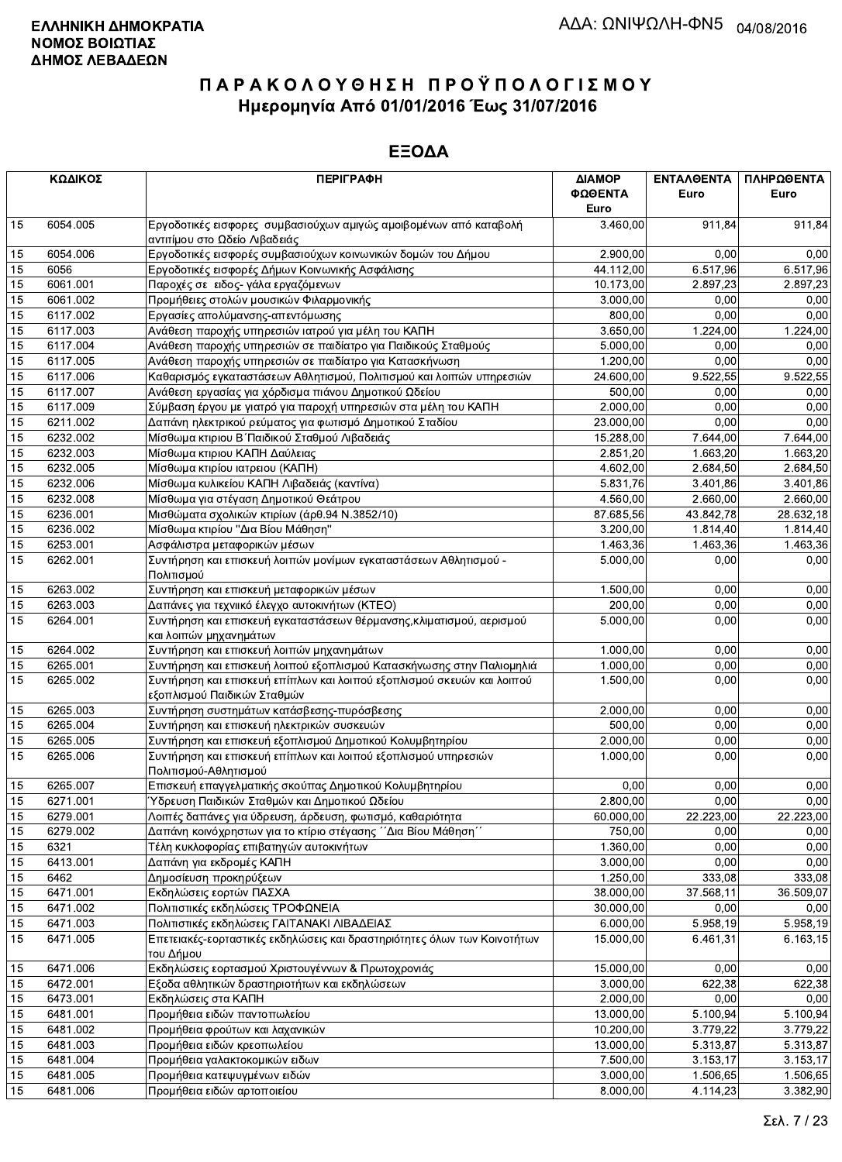|    | ΚΩΔΙΚΟΣ  | <b>ПЕРІГРАФН</b>                                                                                      | ΔΙΑΜΟΡ<br>ΦΩΘΕΝΤΑ<br>Euro | <b>ENTAAOENTA</b><br>Euro | ΠΛΗΡΩΘΕΝΤΑ<br>Euro |
|----|----------|-------------------------------------------------------------------------------------------------------|---------------------------|---------------------------|--------------------|
| 15 | 6054.005 | Εργοδοτικές εισφορες συμβασιούχων αμιγώς αμοιβομένων από καταβολή<br>αντιτίμου στο Ωδείο Λιβαδειάς    | 3.460,00                  | 911,84                    | 911,84             |
| 15 | 6054.006 | Εργοδοτικές εισφορές συμβασιούχων κοινωνικών δομών του Δήμου                                          | 2.900,00                  | 0,00                      | 0,00               |
| 15 | 6056     | Εργοδοτικές εισφορές Δήμων Κοινωνικής Ασφάλισης                                                       | 44.112,00                 | 6.517,96                  | 6.517,96           |
| 15 | 6061.001 | Παροχές σε ειδος- γάλα εργαζόμενων                                                                    | 10.173,00                 | 2.897,23                  | 2.897,23           |
| 15 | 6061.002 | Προμήθειες στολών μουσικών Φιλαρμονικής                                                               | 3.000,00                  | 0,00                      | 0,00               |
| 15 | 6117.002 | Εργασίες απολύμανσης-απεντόμωσης                                                                      | 800.00                    | 0,00                      | 0,00               |
| 15 | 6117.003 | Ανάθεση παροχής υπηρεσιών ιατρού για μέλη του ΚΑΠΗ                                                    | 3.650,00                  | 1.224,00                  | 1.224,00           |
| 15 | 6117.004 | Ανάθεση παροχής υπηρεσιών σε παιδίατρο για Παιδικούς Σταθμούς                                         | 5.000,00                  | 0,00                      | 0,00               |
| 15 | 6117.005 | Ανάθεση παροχής υπηρεσιών σε παιδίατρο για Κατασκήνωση                                                | 1.200,00                  | 0.00                      | 0,00               |
| 15 | 6117.006 | Καθαρισμός εγκαταστάσεων Αθλητισμού, Πολιτισμού και λοιπών υπηρεσιών                                  | 24.600,00                 | 9.522,55                  | 9.522,55           |
| 15 | 6117.007 | Ανάθεση εργασίας για χόρδισμα πιάνου Δημοτικού Ωδείου                                                 | 500,00                    | 0,00                      | 0,00               |
| 15 | 6117.009 | Σύμβαση έργου με γιατρό για παροχή υπηρεσιών στα μέλη του ΚΑΠΗ                                        | 2.000,00                  | 0,00                      | 0,00               |
| 15 | 6211.002 | Δαπάνη ηλεκτρικού ρεύματος για φωτισμό Δημοτικού Σταδίου                                              | 23.000,00                 | 0.00                      | 0,00               |
| 15 | 6232.002 | Μίσθωμα κτιριου Β΄ Παιδικού Σταθμού Λιβαδειάς                                                         | 15.288,00                 | 7.644,00                  | 7.644,00           |
| 15 | 6232.003 | Μίσθωμα κτιριου ΚΑΠΗ Δαύλειας                                                                         | 2.851,20                  | 1.663,20                  | 1.663,20           |
| 15 | 6232.005 | Μίσθωμα κτιρίου ιατρειου (ΚΑΠΗ)                                                                       | 4.602,00                  | 2.684,50                  | 2.684,50           |
| 15 | 6232.006 | Μίσθωμα κυλικείου ΚΑΠΗ Λιβαδειάς (καντίνα)                                                            | 5.831,76                  | 3.401,86                  | 3.401,86           |
| 15 | 6232.008 | Μίσθωμα για στέγαση Δημοτικού Θεάτρου                                                                 | 4.560,00                  | 2.660,00                  | 2.660,00           |
| 15 | 6236.001 | Μισθώματα σχολικών κτιρίων (άρθ.94 Ν.3852/10)                                                         | 87.685,56                 | 43.842,78                 | 28.632,18          |
| 15 | 6236.002 | Μίσθωμα κτιρίου "Δια Βίου Μάθηση"                                                                     | 3.200,00                  | 1.814,40                  | 1.814,40           |
| 15 | 6253.001 | Ασφάλιστρα μεταφορικών μέσων                                                                          | 1.463,36                  | 1.463,36                  | 1.463,36           |
| 15 | 6262.001 | Συντήρηση και επισκευή λοιπών μονίμων εγκαταστάσεων Αθλητισμού -<br>Πολιτισμού                        | 5.000,00                  | 0,00                      | 0,00               |
| 15 | 6263.002 | Συντήρηση και επισκευή μεταφορικών μέσων                                                              | 1.500,00                  | 0,00                      | 0,00               |
| 15 | 6263.003 | Δαπάνες για τεχνιικό έλεγχο αυτοκινήτων (ΚΤΕΟ)                                                        | 200,00                    | 0.00                      | 0,00               |
| 15 | 6264.001 | Συντήρηση και επισκευή εγκαταστάσεων θέρμανσης, κλιματισμού, αερισμού<br>και λοιπών μηχανημάτων       | 5.000,00                  | 0,00                      | 0,00               |
| 15 | 6264.002 | Συντήρηση και επισκευή λοιπών μηχανημάτων                                                             | 1.000,00                  | 0,00                      | 0,00               |
| 15 | 6265.001 | Συντήρηση και επισκευή λοιπού εξοπλισμού Κατασκήνωσης στην Παλιομηλιά                                 | 1.000,00                  | 0,00                      | 0,00               |
| 15 | 6265.002 | Συντήρηση και επισκευή επίπλων και λοιπού εξοπλισμού σκευών και λοιπού<br>εξοπλισμού Παιδικών Σταθμών | 1.500,00                  | 0,00                      | 0,00               |
| 15 | 6265.003 | Συντήρηση συστημάτων κατάσβεσης-πυρόσβεσης                                                            | 2.000,00                  | 0,00                      | 0,00               |
| 15 | 6265.004 | Συντήρηση και επισκευή ηλεκτρικών συσκευών                                                            | 500,00                    | 0,00                      | 0,00               |
| 15 | 6265.005 | Συντήρηση και επισκευή εξοπλισμού Δημοτικού Κολυμβητηρίου                                             | 2.000,00                  | 0.00                      | 0,00               |
| 15 | 6265.006 | Συντήρηση και επισκευή επίπλων και λοιπού εξοπλισμού υπηρεσιών<br>Πολιτισμού-Αθλητισμού               | 1.000,00                  | 0,00                      | 0,00               |
| 15 | 6265.007 | Επισκευή επαγγελματικής σκούπας Δημοτικού Κολυμβητηρίου                                               | 0,00                      | 0,00                      | 0,00               |
| 15 | 6271.001 | Ύδρευση Παιδικών Σταθμών και Δημοτικού Ωδείου                                                         | 2.800,00                  | 0,00                      | 0,00               |
| 15 | 6279.001 | Λοιπές δαπάνες για ύδρευση, άρδευση, φωτισμό, καθαριότητα                                             | 60.000,00                 | 22.223,00                 | 22.223,00          |
| 15 | 6279.002 | Δαπάνη κοινόχρηστων για το κτίριο στέγασης ΄΄Δια Βίου Μάθηση΄                                         | 750,00                    | 0,00                      | 0,00               |
| 15 | 6321     | Τέλη κυκλοφορίας επιβατηγών αυτοκινήτων                                                               | 1.360,00                  | 0,00                      | 0,00               |
| 15 | 6413.001 | Δαπάνη για εκδρομές ΚΑΠΗ                                                                              | 3.000,00                  | 0,00                      | 0,00               |
| 15 | 6462     | Δημοσίευση προκηρύξεων                                                                                | 1.250,00                  | 333,08                    | 333,08             |
| 15 | 6471.001 | Εκδηλώσεις εορτών ΠΑΣΧΑ                                                                               | 38.000,00                 | 37.568,11                 | 36.509,07          |
| 15 | 6471.002 | Πολιτιστικές εκδηλώσεις ΤΡΟΦΩΝΕΙΑ                                                                     | 30.000,00                 | 0,00                      | 0,00               |
| 15 | 6471.003 | Πολιτιστικές εκδηλώσεις ΓΑΙΤΑΝΑΚΙ ΛΙΒΑΔΕΙΑΣ                                                           | 6.000,00                  | 5.958,19                  | 5.958,19           |
| 15 | 6471.005 | Επετειακές-εορταστικές εκδηλώσεις και δραστηριότητες όλων των Κοινοτήτων<br>του Δήμου                 | 15.000,00                 | 6.461,31                  | 6.163,15           |
| 15 | 6471.006 | Εκδηλώσεις εορτασμού Χριστουγέννων & Πρωτοχρονιάς                                                     | 15.000,00                 | 0,00                      | 0,00               |
| 15 | 6472.001 | Εξοδα αθλητικών δραστηριοτήτων και εκδηλώσεων                                                         | 3.000,00                  | 622,38                    | 622,38             |
| 15 | 6473.001 | Εκδηλώσεις στα ΚΑΠΗ                                                                                   | 2.000,00                  | 0,00                      | 0,00               |
| 15 | 6481.001 | Προμήθεια ειδών παντοπωλείου                                                                          | 13.000,00                 | 5.100,94                  | 5.100,94           |
| 15 | 6481.002 | Προμήθεια φρούτων και λαχανικών                                                                       | 10.200,00                 | 3.779,22                  | 3.779,22           |
| 15 | 6481.003 | Προμήθεια ειδών κρεοπωλείου                                                                           | 13.000,00                 | 5.313,87                  | 5.313,87           |
| 15 | 6481.004 | Προμήθεια γαλακτοκομικών ειδων                                                                        | 7.500,00                  | 3.153,17                  | 3.153,17           |
| 15 | 6481.005 | Προμήθεια κατεψυγμένων ειδών                                                                          | 3.000,00                  | 1.506,65                  | 1.506,65           |
| 15 | 6481.006 | Προμήθεια ειδών αρτοποιείου                                                                           | 8.000,00                  | 4.114,23                  | 3.382,90           |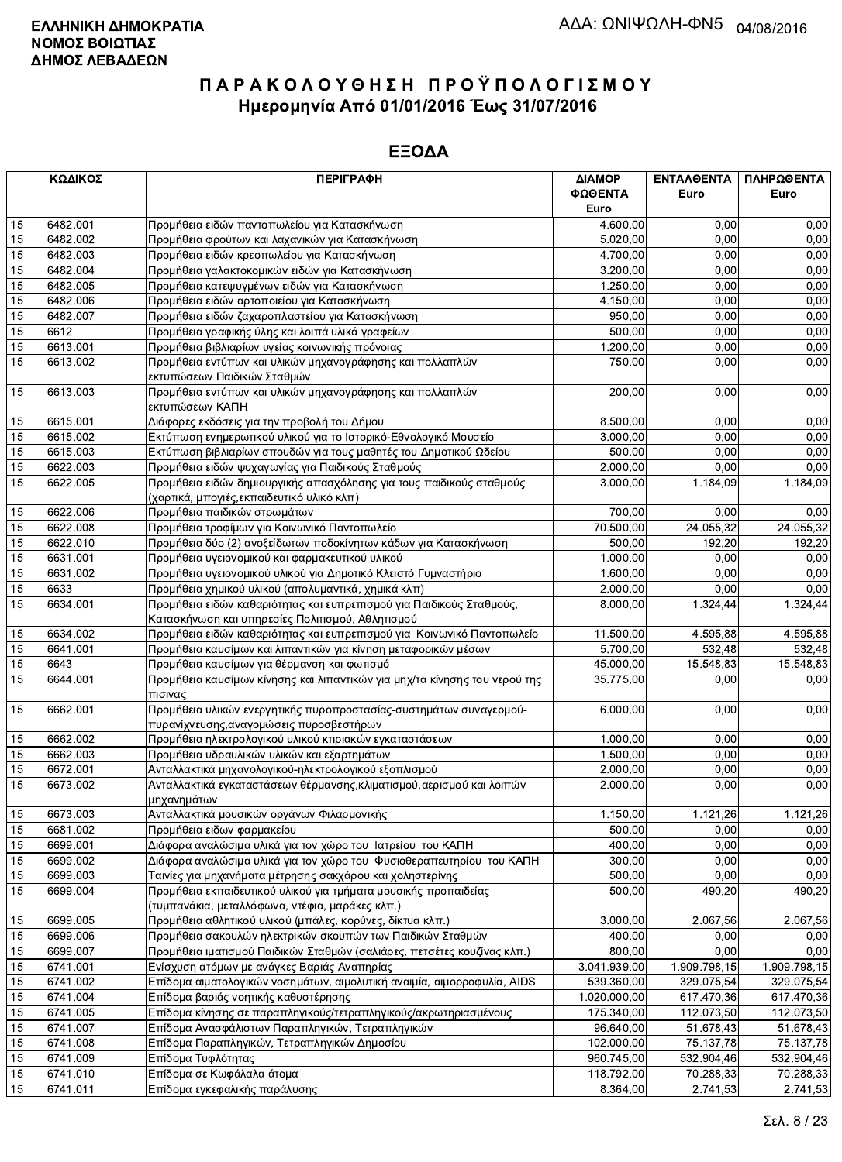|    | ΚΩΔΙΚΟΣ  | <b>ПЕРІГРАФН</b>                                                           | ΔΙΑΜΟΡ<br>ΦΩΘΕΝΤΑ | ΕΝΤΑΛΘΕΝΤΑ<br>Euro | ΠΛΗΡΩΘΕΝΤΑ<br>Euro |
|----|----------|----------------------------------------------------------------------------|-------------------|--------------------|--------------------|
|    |          |                                                                            | Euro              |                    |                    |
| 15 | 6482.001 | Προμήθεια ειδών παντοπωλείου για Κατασκήνωση                               | 4.600,00          | 0,00               | 0,00               |
| 15 | 6482.002 | Προμήθεια φρούτων και λαχανικών για Κατασκήνωση                            | 5.020,00          | 0,00               | 0,00               |
| 15 | 6482.003 | Προμήθεια ειδών κρεοπωλείου για Κατασκήνωση                                | 4.700,00          | 0,00               | 0,00               |
| 15 | 6482.004 | Προμήθεια γαλακτοκομικών ειδών για Κατασκήνωση                             | 3.200,00          | 0,00               | 0,00               |
| 15 | 6482.005 | Προμήθεια κατεψυγμένων ειδών για Κατασκήνωση                               | 1.250,00          | 0,00               | 0,00               |
| 15 | 6482.006 | Προμήθεια ειδών αρτοποιείου για Κατασκήνωση                                | 4.150,00          | 0,00               | 0,00               |
| 15 | 6482.007 | Προμήθεια ειδών ζαχαροπλαστείου για Κατασκήνωση                            | 950,00            | 0,00               | 0,00               |
| 15 | 6612     | Προμήθεια γραφικής ύλης και λοιπά υλικά γραφείων                           | 500,00            | 0,00               | 0,00               |
| 15 | 6613.001 | Προμήθεια βιβλιαρίων υγείας κοινωνικής πρόνοιας                            | 1.200,00          | 0,00               | 0,00               |
| 15 | 6613.002 | Προμήθεια εντύπων και υλικών μηχανογράφησης και πολλαπλών                  | 750,00            | 0,00               | 0,00               |
|    |          | εκτυπώσεων Παιδικών Σταθμών                                                |                   |                    |                    |
| 15 | 6613.003 | Προμήθεια εντύπων και υλικών μηχανογράφησης και πολλαπλών                  | 200,00            | 0,00               | 0,00               |
|    |          | εκτυπώσεων ΚΑΠΗ                                                            |                   |                    |                    |
| 15 | 6615.001 | Διάφορες εκδόσεις για την προβολή του Δήμου                                | 8.500,00          | 0,00               | 0,00               |
| 15 | 6615.002 | Εκτύπωση ενημερωτικού υλικού για το Ιστορικό-Εθνολογικό Μουσείο            | 3.000,00          | 0,00               | 0,00               |
| 15 | 6615.003 | Εκτύπωση βιβλιαρίων σπουδών για τους μαθητές του Δημοτικού Ωδείου          | 500,00            | 0,00               | 0,00               |
| 15 | 6622.003 | Προμήθεια ειδών ψυχαγωγίας για Παιδικούς Σταθμούς                          | 2.000,00          | 0,00               | 0,00               |
| 15 | 6622.005 | Προμήθεια ειδών δημιουργικής απασχόλησης για τους παιδικούς σταθμούς       | 3.000,00          | 1.184,09           | 1.184,09           |
|    |          | (χαρτικά, μπογιές, εκπαιδευτικό υλικό κλπ)                                 |                   |                    |                    |
| 15 | 6622.006 | Προμήθεια παιδικών στρωμάτων                                               | 700,00            | 0.00               | 0,00               |
| 15 | 6622.008 | Προμήθεια τροφίμων για Κοινωνικό Παντοπωλείο                               | 70.500,00         | 24.055,32          | 24.055,32          |
| 15 | 6622.010 | Προμήθεια δύο (2) ανοξείδωτων ποδοκίνητων κάδων για Κατασκήνωση            | 500,00            | 192,20             | 192,20             |
| 15 | 6631.001 | Προμήθεια υγειονομικού και φαρμακευτικού υλικού                            | 1.000,00          | 0,00               | 0,00               |
| 15 | 6631.002 | Προμήθεια υγειονομικού υλικού για Δημοτικό Κλειστό Γυμναστήριο             | 1.600,00          | 0,00               | 0,00               |
| 15 | 6633     | Προμήθεια χημικού υλικού (απολυμαντικά, χημικά κλπ)                        | 2.000,00          | 0,00               | 0,00               |
| 15 | 6634.001 | Προμήθεια ειδών καθαριότητας και ευπρεπισμού για Παιδικούς Σταθμούς,       | 8.000,00          | 1.324,44           | 1.324,44           |
|    |          | Κατασκήνωση και υπηρεσίες Πολιτισμού, Αθλητισμού                           |                   |                    |                    |
| 15 | 6634.002 | Προμήθεια ειδών καθαριότητας και ευπρεπισμού για Κοινωνικό Παντοπωλείο     | 11.500,00         | 4.595,88           | 4.595,88           |
| 15 | 6641.001 | Προμήθεια καυσίμων και λιπαντικών για κίνηση μεταφορικών μέσων             | 5.700,00          | 532,48             | 532,48             |
| 15 | 6643     | Προμήθεια καυσίμων για θέρμανση και φωτισμό                                | 45.000,00         | 15.548,83          | 15.548,83          |
| 15 | 6644.001 | Προμήθεια καυσίμων κίνησης και λιπαντικών για μηχ/τα κίνησης του νερού της | 35.775,00         | 0,00               | 0,00               |
|    |          | πισινας                                                                    |                   |                    |                    |
| 15 | 6662.001 | Προμήθεια υλικών ενεργητικής πυροπροστασίας-συστημάτων συναγερμού-         | 6.000,00          | 0,00               | 0,00               |
|    |          | πυρανίχνευσης, αναγομώσεις πυροσβεστήρων                                   |                   |                    |                    |
| 15 | 6662.002 | Προμήθεια ηλεκτρολογικού υλικού κτιριακών εγκαταστάσεων                    | 1.000,00          | 0,00               | 0,00               |
| 15 | 6662.003 | Προμήθεια υδραυλικών υλικών και εξαρτημάτων                                | 1.500,00          | 0,00               | 0,00               |
| 15 | 6672.001 | Ανταλλακτικά μηχανολογικού-ηλεκτρολογικού εξοπλισμού                       | 2.000,00          | 0,00               | 0,00               |
| 15 | 6673.002 | Ανταλλακτικά εγκαταστάσεων θέρμανσης, κλιματισμού, αερισμού και λοιπών     | 2.000,00          | 0,00               | 0,00               |
|    |          | μηχανημάτων                                                                |                   |                    |                    |
| 15 | 6673.003 | Ανταλλακτικά μουσικών οργάνων Φιλαρμονικής                                 | 1.150,00          | 1.121,26           | 1.121,26           |
| 15 | 6681.002 | Προμήθεια ειδων φαρμακείου                                                 | 500,00            | 0,00               | 0,00               |
| 15 | 6699.001 | Διάφορα αναλώσιμα υλικά για τον χώρο του Ιατρείου του ΚΑΠΗ                 | 400,00            | 0,00               | 0,00               |
| 15 | 6699.002 | Διάφορα αναλώσιμα υλικά για τον χώρο του Φυσιοθεραπευτηρίου του ΚΑΠΗ       | 300,00            | 0,00               | 0,00               |
| 15 | 6699.003 | Ταινίες για μηχανήματα μέτρησης σακχάρου και χοληστερίνης                  | 500,00            | 0,00               | 0,00               |
| 15 | 6699.004 | Προμήθεια εκπαιδευτικού υλικού για τμήματα μουσικής προπαιδείας            | 500,00            | 490,20             | 490,20             |
|    |          | (τυμπανάκια, μεταλλόφωνα, ντέφια, μαράκες κλπ.)                            |                   |                    |                    |
| 15 | 6699.005 | Προμήθεια αθλητικού υλικού (μπάλες, κορύνες, δίκτυα κλπ.)                  | 3.000,00          | 2.067,56           | 2.067,56           |
| 15 | 6699.006 | Προμήθεια σακουλών ηλεκτρικών σκουπών των Παιδικών Σταθμών                 | 400,00            | 0,00               | 0,00               |
| 15 | 6699.007 | Προμήθεια ιματισμού Παιδικών Σταθμών (σαλιάρες, πετσέτες κουζίνας κλπ.)    | 800,00            | 0,00               | 0,00               |
| 15 | 6741.001 | Ενίσχυση ατόμων με ανάγκες Βαριάς Αναπηρίας                                | 3.041.939,00      | 1.909.798,15       | 1.909.798,15       |
| 15 | 6741.002 | Επίδομα αιματολογικών νοσημάτων, αιμολυτική αναιμία, αιμορροφυλία, AIDS    | 539.360,00        | 329.075,54         | 329.075,54         |
| 15 | 6741.004 | Επίδομα βαριάς νοητικής καθυστέρησης                                       | 1.020.000,00      | 617.470,36         | 617.470,36         |
| 15 | 6741.005 | Επίδομα κίνησης σε παραπληγικούς/τετραπληγικούς/ακρωτηριασμένους           | 175.340,00        | 112.073,50         | 112.073,50         |
| 15 | 6741.007 | Επίδομα Ανασφάλιστων Παραπληγικών, Τετραπληγικών                           | 96.640,00         | 51.678,43          | 51.678,43          |
| 15 | 6741.008 | Επίδομα Παραπληγικών, Τετραπληγικών Δημοσίου                               | 102.000,00        | 75.137,78          | 75.137,78          |
| 15 | 6741.009 | Επίδομα Τυφλότητας                                                         | 960.745,00        | 532.904,46         | 532.904,46         |
| 15 | 6741.010 | Επίδομα σε Κωφάλαλα άτομα                                                  | 118.792,00        | 70.288,33          | 70.288,33          |
| 15 | 6741.011 | Επίδομα εγκεφαλικής παράλυσης                                              | 8.364,00          | 2.741.53           | 2.741,53           |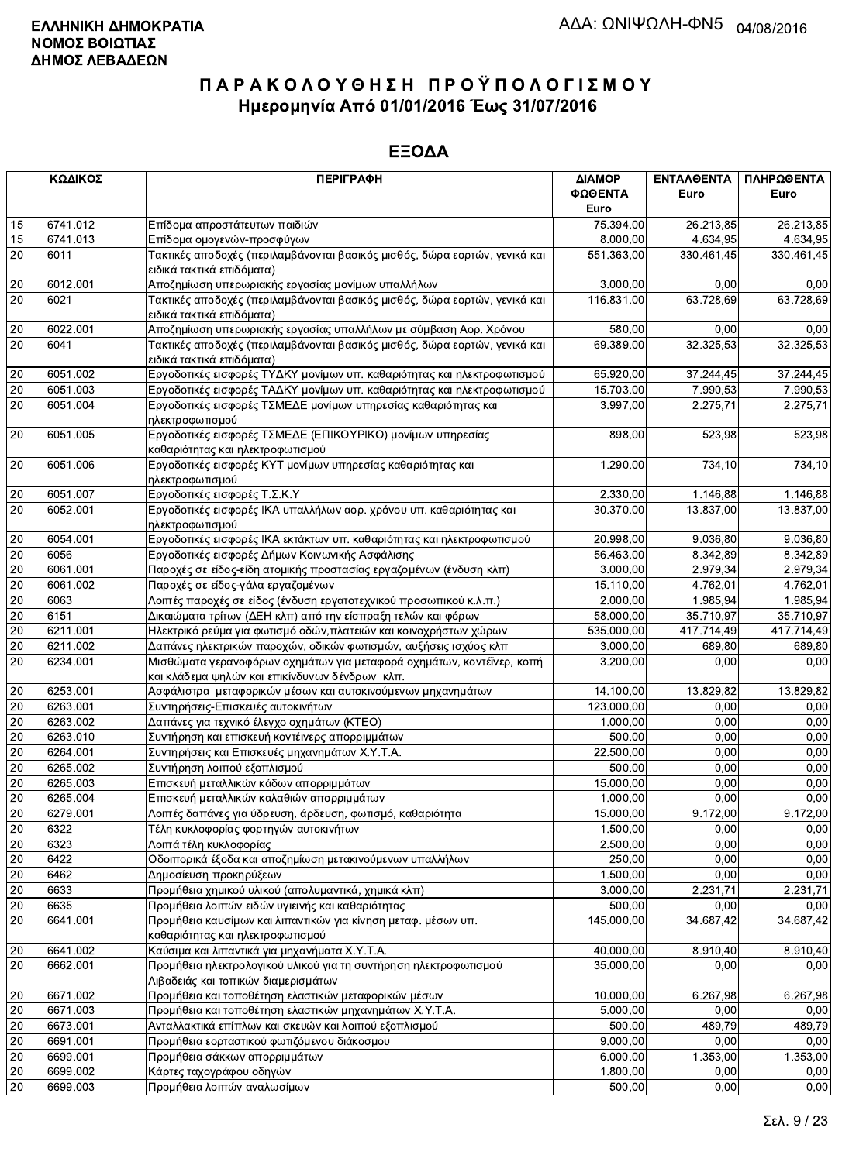|                 | ΚΩΔΙΚΟΣ  | <b>ПЕРІГРАФН</b>                                                                                                        | ΔΙΑΜΟΡ          | <b>ENTAAGENTA</b> | ΠΛΗΡΩΘΕΝΤΑ |
|-----------------|----------|-------------------------------------------------------------------------------------------------------------------------|-----------------|-------------------|------------|
|                 |          |                                                                                                                         | ΦΩΘΕΝΤΑ<br>Euro | Euro              | Euro       |
| 15              | 6741.012 | Επίδομα απροστάτευτων παιδιών                                                                                           | 75.394,00       | 26.213,85         | 26.213,85  |
| 15              | 6741.013 | Επίδομα ομογενών-προσφύγων                                                                                              | 8.000,00        | 4.634,95          | 4.634,95   |
| 20              | 6011     | Τακτικές αποδοχές (περιλαμβάνονται βασικός μισθός, δώρα εορτών, γενικά και<br>ειδικά τακτικά επιδόματα)                 | 551.363,00      | 330.461,45        | 330.461,45 |
| 20              | 6012.001 | Αποζημίωση υπερωριακής εργασίας μονίμων υπαλλήλων                                                                       | 3.000,00        | 0.00              | 0,00       |
| 20              | 6021     | Τακτικές αποδοχές (περιλαμβάνονται βασικός μισθός, δώρα εορτών, γενικά και                                              | 116.831,00      | 63.728,69         | 63.728,69  |
|                 |          | ειδικά τακτικά επιδόματα)                                                                                               |                 |                   |            |
| 20              | 6022.001 | Αποζημίωση υπερωριακής εργασίας υπαλλήλων με σύμβαση Αορ. Χρόνου                                                        | 580.00          | 0,00              | 0,00       |
| 20              | 6041     | Τακτικές αποδοχές (περιλαμβάνονται βασικός μισθός, δώρα εορτών, γενικά και<br>ειδικά τακτικά επιδόματα)                 | 69.389,00       | 32.325,53         | 32.325,53  |
| 20              | 6051.002 | Εργοδοτικές εισφορές ΤΥΔΚΥ μονίμων υπ. καθαριότητας και ηλεκτροφωτισμού                                                 | 65.920,00       | 37.244,45         | 37.244,45  |
| 20              | 6051.003 | Εργοδοτικές εισφορές ΤΑΔΚΥ μονίμων υπ. καθαριότητας και ηλεκτροφωτισμού                                                 | 15.703,00       | 7.990,53          | 7.990,53   |
| 20              | 6051.004 | Εργοδοτικές εισφορές ΤΣΜΕΔΕ μονίμων υπηρεσίας καθαριότητας και<br>ηλεκτροφωτισμού                                       | 3.997,00        | 2.275,71          | 2.275,71   |
| 20              | 6051.005 | Εργοδοτικές εισφορές ΤΣΜΕΔΕ (ΕΠΙΚΟΥΡΙΚΟ) μονίμων υπηρεσίας<br>καθαριότητας και ηλεκτροφωτισμού                          | 898,00          | 523,98            | 523,98     |
| 20              | 6051.006 | Εργοδοτικές εισφορές ΚΥΤ μονίμων υπηρεσίας καθαριότητας και                                                             | 1.290,00        | 734,10            | 734,10     |
|                 |          | ηλεκτροφωτισμού                                                                                                         |                 |                   |            |
| 20              | 6051.007 | Εργοδοτικές εισφορές Τ.Σ.Κ.Υ                                                                                            | 2.330,00        | 1.146,88          | 1.146,88   |
| 20              | 6052.001 | Εργοδοτικές εισφορές ΙΚΑ υπαλλήλων αορ. χρόνου υπ. καθαριότητας και<br>ηλεκτροφωτισμού                                  | 30.370,00       | 13.837,00         | 13.837,00  |
| $20\,$          | 6054.001 | Εργοδοτικές εισφορές ΙΚΑ εκτάκτων υπ. καθαριότητας και ηλεκτροφωτισμού                                                  | 20.998,00       | 9.036,80          | 9.036,80   |
| 20              | 6056     | Εργοδοτικές εισφορές Δήμων Κοινωνικής Ασφάλισης                                                                         | 56.463,00       | 8.342,89          | 8.342,89   |
| 20              | 6061.001 | Παροχές σε είδος-είδη ατομικής προστασίας εργαζομένων (ένδυση κλπ)                                                      | 3.000,00        | 2.979,34          | 2.979,34   |
| 20              | 6061.002 | Παροχές σε είδος-γάλα εργαζομένων                                                                                       | 15.110,00       | 4.762,01          | 4.762,01   |
| 20              | 6063     | Λοιπές παροχές σε είδος (ένδυση εργατοτεχνικού προσωπικού κ.λ.π.)                                                       | 2.000,00        | 1.985,94          | 1.985,94   |
| 20              | 6151     | Δικαιώματα τρίτων (ΔΕΗ κλπ) από την είσπραξη τελών και φόρων                                                            | 58.000,00       | 35.710,97         | 35.710,97  |
| 20              | 6211.001 | Ηλεκτρικό ρεύμα για φωτισμό οδών, πλατειών και κοινοχρήστων χώρων                                                       | 535.000,00      | 417.714,49        | 417.714,49 |
| 20              | 6211.002 | Δαπάνες ηλεκτρικών παροχών, οδικών φωτισμών, αυξήσεις ισχύος κλπ                                                        | 3.000,00        | 689,80            | 689,80     |
| $\overline{20}$ | 6234.001 | Μισθώματα γερανοφόρων οχημάτων για μεταφορά οχημάτων, κοντέϊνερ, κοπή<br>και κλάδεμα ψηλών και επικίνδυνων δένδρων κλπ. | 3.200,00        | 0,00              | 0,00       |
| 20              | 6253.001 | Ασφάλιστρα μεταφορικών μέσων και αυτοκινούμενων μηχανημάτων                                                             | 14.100,00       | 13.829,82         | 13.829,82  |
| 20              | 6263.001 | Συντηρήσεις-Επισκευές αυτοκινήτων                                                                                       | 123.000,00      | 0,00              | 0,00       |
| 20              | 6263.002 | Δαπάνες για τεχνικό έλεγχο οχημάτων (ΚΤΕΟ)                                                                              | 1.000,00        | 0,00              | 0,00       |
| 20              | 6263.010 | Συντήρηση και επισκευή κοντέινερς απορριμμάτων                                                                          | 500,00          | 0,00              | 0,00       |
| 20              | 6264.001 | Συντηρήσεις και Επισκευές μηχανημάτων Χ.Υ.Τ.Α.                                                                          | 22.500,00       | 0,00              | 0,00       |
| $20\,$          | 6265.002 | Συντήρηση λοιπού εξοπλισμού                                                                                             | 500.00          | 0.00              | 0,00       |
| 20              | 6265.003 | Επισκευή μεταλλικών κάδων απορριμμάτων                                                                                  | 15.000,00       | 0,00              | 0,00       |
| 20              | 6265.004 | Επισκευή μεταλλικών καλαθιών απορριμμάτων                                                                               | 1.000,00        | 0,00              | 0,00       |
| 20              | 6279.001 | Λοιπές δαπάνες για ύδρευση, άρδευση, φωτισμό, καθαριότητα                                                               | 15.000,00       | 9.172,00          | 9.172,00   |
| 20              | 6322     | Τέλη κυκλοφορίας φορτηγών αυτοκινήτων                                                                                   | 1.500,00        | 0,00              | 0,00       |
| 20              | 6323     | Λοιπά τέλη κυκλοφορίας                                                                                                  | 2.500,00        | 0,00              | 0,00       |
| 20              | 6422     | Οδοιπορικά έξοδα και αποζημίωση μετακινούμενων υπαλλήλων                                                                | 250,00          | 0,00              | 0,00       |
| 20              | 6462     | Δημοσίευση προκηρύξεων                                                                                                  | 1.500,00        | 0,00              | 0,00       |
| 20              | 6633     | Προμήθεια χημικού υλικού (απολυμαντικά, χημικά κλπ)                                                                     | 3.000,00        | 2.231,71          | 2.231,71   |
| 20              | 6635     | Προμήθεια λοιπών ειδών υγιεινής και καθαριότητας                                                                        | 500,00          | 0,00              | 0,00       |
| 20              | 6641.001 | Προμήθεια καυσίμων και λιπαντικών για κίνηση μεταφ. μέσων υπ.<br>καθαριότητας και ηλεκτροφωτισμού                       | 145.000,00      | 34.687,42         | 34.687,42  |
| 20              | 6641.002 | Καύσιμα και λιπαντικά για μηχανήματα Χ.Υ.Τ.Α.                                                                           | 40.000,00       | 8.910,40          | 8.910,40   |
| 20              | 6662.001 | Προμήθεια ηλεκτρολογικού υλικού για τη συντήρηση ηλεκτροφωτισμού<br>Λιβαδειάς και τοπικών διαμερισμάτων                 | 35.000,00       | 0,00              | 0,00       |
| 20              | 6671.002 | Προμήθεια και τοποθέτηση ελαστικών μεταφορικών μέσων                                                                    | 10.000,00       | 6.267,98          | 6.267,98   |
| 20              | 6671.003 | Προμήθεια και τοποθέτηση ελαστικών μηχανημάτων Χ.Υ.Τ.Α.                                                                 | 5.000,00        | 0,00              | 0,00       |
| 20              | 6673.001 | Ανταλλακτικά επίπλων και σκευών και λοιπού εξοπλισμού                                                                   | 500,00          | 489,79            | 489,79     |
| 20              | 6691.001 | Προμήθεια εορταστικού φωτιζόμενου διάκοσμου                                                                             | 9.000,00        | 0,00              | 0,00       |
| 20              | 6699.001 | Προμήθεια σάκκων απορριμμάτων                                                                                           | 6.000,00        | 1.353,00          | 1.353,00   |
| 20              | 6699.002 | Κάρτες ταχογράφου οδηγών                                                                                                | 1.800,00        | 0,00              | 0,00       |
| 20              | 6699.003 | Προμήθεια λοιπών αναλωσίμων                                                                                             | 500,00          | 0,00              | 0,00       |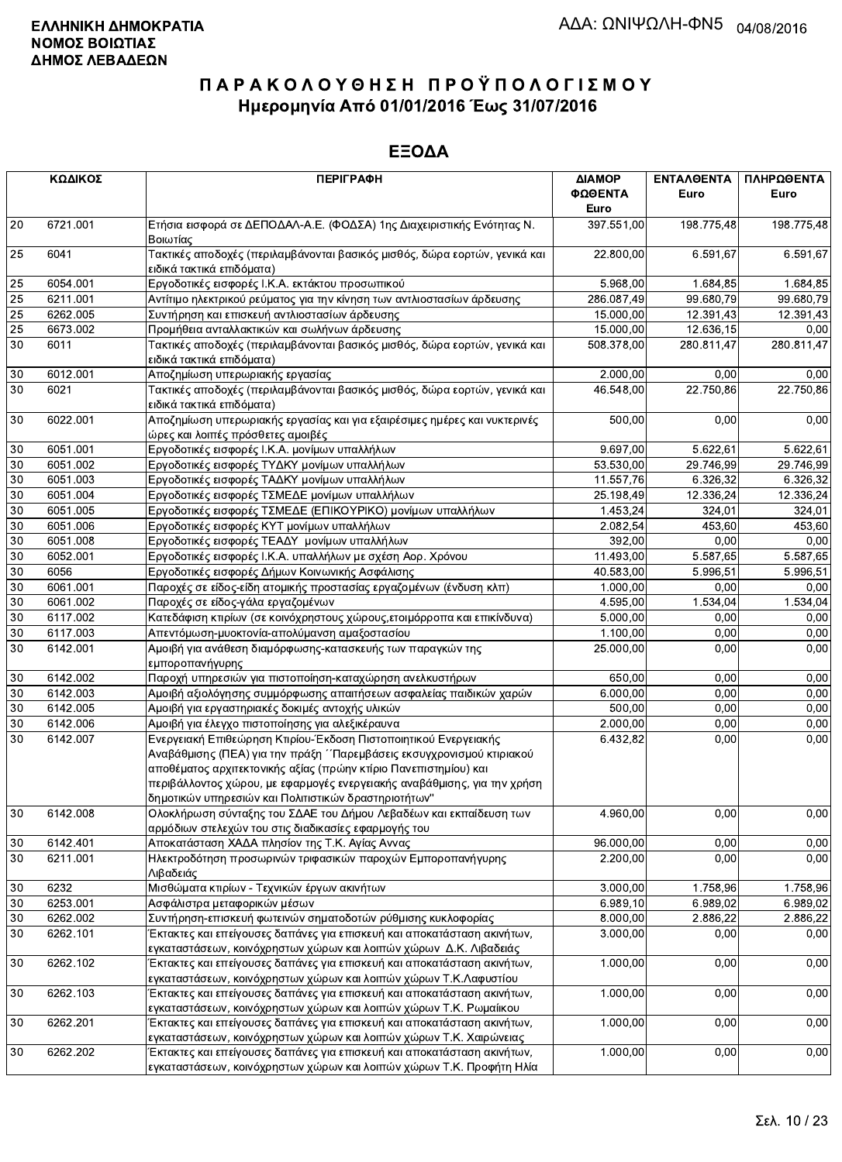|    | ΚΩΔΙΚΟΣ  | <b>ПЕРІГРАФН</b>                                                                                                                                                                                                                                                                                                                                  | ΔΙΑΜΟΡ<br>ΦΩΘΕΝΤΑ<br>Euro | ΕΝΤΑΛΘΕΝΤΑ<br>Euro    | ΠΛΗΡΩΘΕΝΤΑ<br>Euro |
|----|----------|---------------------------------------------------------------------------------------------------------------------------------------------------------------------------------------------------------------------------------------------------------------------------------------------------------------------------------------------------|---------------------------|-----------------------|--------------------|
| 20 | 6721.001 | Ετήσια εισφορά σε ΔΕΠΟΔΑΛ-Α.Ε. (ΦΟΔΣΑ) 1ης Διαχειριστικής Ενότητας Ν.<br>Βοιωτίας                                                                                                                                                                                                                                                                 | 397.551,00                | 198.775,48            | 198.775,48         |
| 25 | 6041     | Τακτικές αποδοχές (περιλαμβάνονται βασικός μισθός, δώρα εορτών, γενικά και<br>ειδικά τακτικά επιδόματα)                                                                                                                                                                                                                                           | 22.800,00                 | 6.591,67              | 6.591,67           |
| 25 | 6054.001 | Εργοδοτικές εισφορές Ι.Κ.Α. εκτάκτου προσωπικού                                                                                                                                                                                                                                                                                                   | 5.968,00                  | $\overline{1.684,85}$ | 1.684,85           |
| 25 | 6211.001 | Αντίτιμο ηλεκτρικού ρεύματος για την κίνηση των αντλιοστασίων άρδευσης                                                                                                                                                                                                                                                                            | 286.087,49                | 99.680,79             | 99.680,79          |
| 25 | 6262.005 | Συντήρηση και επισκευή αντλιοστασίων άρδευσης                                                                                                                                                                                                                                                                                                     | 15.000,00                 | 12.391,43             | 12.391,43          |
| 25 | 6673.002 | Προμήθεια ανταλλακτικών και σωλήνων άρδευσης                                                                                                                                                                                                                                                                                                      | 15.000,00                 | 12.636,15             | 0,00               |
| 30 | 6011     | Τακτικές αποδοχές (περιλαμβάνονται βασικός μισθός, δώρα εορτών, γενικά και<br>ειδικά τακτικά επιδόματα)                                                                                                                                                                                                                                           | 508.378,00                | 280.811,47            | 280.811,47         |
| 30 | 6012.001 | Αποζημίωση υπερωριακής εργασίας                                                                                                                                                                                                                                                                                                                   | 2.000,00                  | 0,00                  | 0,00               |
| 30 | 6021     | Τακτικές αποδοχές (περιλαμβάνονται βασικός μισθός, δώρα εορτών, γενικά και<br>ειδικά τακτικά επιδόματα)                                                                                                                                                                                                                                           | 46.548,00                 | 22.750,86             | 22.750,86          |
| 30 | 6022.001 | Αποζημίωση υπερωριακής εργασίας και για εξαιρέσιμες ημέρες και νυκτερινές<br>ώρες και λοιπές πρόσθετες αμοιβές                                                                                                                                                                                                                                    | 500,00                    | 0,00                  | 0,00               |
| 30 | 6051.001 | Εργοδοτικές εισφορές Ι.Κ.Α. μονίμων υπαλλήλων                                                                                                                                                                                                                                                                                                     | 9.697,00                  | 5.622,61              | 5.622,61           |
| 30 | 6051.002 | Εργοδοτικές εισφορές ΤΥΔΚΥ μονίμων υπαλλήλων                                                                                                                                                                                                                                                                                                      | 53.530,00                 | 29.746,99             | 29.746,99          |
| 30 | 6051.003 | Εργοδοτικές εισφορές ΤΑΔΚΥ μονίμων υπαλλήλων                                                                                                                                                                                                                                                                                                      | 11.557,76                 | 6.326,32              | 6.326,32           |
| 30 | 6051.004 | Εργοδοτικές εισφορές ΤΣΜΕΔΕ μονίμων υπαλλήλων                                                                                                                                                                                                                                                                                                     | 25.198,49                 | 12.336,24             | 12.336,24          |
| 30 | 6051.005 | Εργοδοτικές εισφορές ΤΣΜΕΔΕ (ΕΠΙΚΟΥΡΙΚΟ) μονίμων υπαλλήλων                                                                                                                                                                                                                                                                                        | 1.453,24                  | 324,01                | 324,01             |
| 30 | 6051.006 | Εργοδοτικές εισφορές ΚΥΤ μονίμων υπαλλήλων                                                                                                                                                                                                                                                                                                        | 2.082,54                  | 453,60                | 453,60             |
| 30 | 6051.008 | Εργοδοτικές εισφορές ΤΕΑΔΥ μονίμων υπαλλήλων                                                                                                                                                                                                                                                                                                      | 392,00                    | 0,00                  | 0,00               |
| 30 | 6052.001 | Εργοδοτικές εισφορές Ι.Κ.Α. υπαλλήλων με σχέση Αορ. Χρόνου                                                                                                                                                                                                                                                                                        | 11.493,00                 | 5.587,65              | 5.587,65           |
| 30 | 6056     | Εργοδοτικές εισφορές Δήμων Κοινωνικής Ασφάλισης                                                                                                                                                                                                                                                                                                   | 40.583,00                 | 5.996.51              | 5.996,51           |
| 30 | 6061.001 | Παροχές σε είδος-είδη ατομικής προστασίας εργαζομένων (ένδυση κλπ)                                                                                                                                                                                                                                                                                | 1.000,00                  | 0,00                  | 0,00               |
| 30 | 6061.002 | Παροχές σε είδος-γάλα εργαζομένων                                                                                                                                                                                                                                                                                                                 | 4.595,00                  | 1.534,04              | 1.534,04           |
| 30 | 6117.002 | Κατεδάφιση κτιρίων (σε κοινόχρηστους χώρους, ετοιμόρροπα και επικίνδυνα)                                                                                                                                                                                                                                                                          | 5.000,00                  | 0,00                  | 0,00               |
| 30 | 6117.003 | Απεντόμωση-μυοκτονία-απολύμανση αμαξοστασίου                                                                                                                                                                                                                                                                                                      | 1.100,00                  | 0,00                  | 0,00               |
| 30 | 6142.001 | Αμοιβή για ανάθεση διαμόρφωσης-κατασκευής των παραγκών της                                                                                                                                                                                                                                                                                        | 25.000,00                 | 0,00                  | 0,00               |
|    |          | εμποροπανήγυρης                                                                                                                                                                                                                                                                                                                                   |                           |                       |                    |
| 30 | 6142.002 | Παροχή υπηρεσιών για πιστοποίηση-καταχώρηση ανελκυστήρων                                                                                                                                                                                                                                                                                          | 650,00                    | 0,00                  | 0,00               |
| 30 | 6142.003 | Αμοιβή αξιολόγησης συμμόρφωσης απαιτήσεων ασφαλείας παιδικών χαρών                                                                                                                                                                                                                                                                                | 6.000,00                  | 0,00                  | 0,00               |
| 30 | 6142.005 | Αμοιβή για εργαστηριακές δοκιμές αντοχής υλικών                                                                                                                                                                                                                                                                                                   | 500,00                    | 0,00                  | 0,00               |
| 30 | 6142.006 | Αμοιβή για έλεγχο πιστοποίησης για αλεξικέραυνα                                                                                                                                                                                                                                                                                                   | 2.000,00                  | 0,00                  | 0,00               |
| 30 | 6142.007 | Ενεργειακή Επιθεώρηση Κτιρίου-Έκδοση Πιστοποιητικού Ενεργειακής<br>Αναβάθμισης (ΠΕΑ) για την πράξη ΄΄Παρεμβάσεις εκσυγχρονισμού κτιριακού<br>αποθέματος αρχιτεκτονικής αξίας (πρώην κτίριο Πανεπιστημίου) και<br>περιβάλλοντος χώρου, με εφαρμογές ενεργειακής αναβάθμισης, για την χρήση<br>δημοτικών υπηρεσιών και Πολιτιστικών δραστηριοτήτων" | 6.432,82                  | 0,00                  | 0,00               |
| 30 | 6142.008 | Ολοκλήρωση σύνταξης του ΣΔΑΕ του Δήμου Λεβαδέων και εκπαίδευση των<br>αρμόδιων στελεχών του στις διαδικασίες εφαρμογής του                                                                                                                                                                                                                        | 4.960,00                  | 0,00                  | 0,00               |
| 30 | 6142.401 | Αποκατάσταση ΧΑΔΑ πλησίον της Τ.Κ. Αγίας Αννας                                                                                                                                                                                                                                                                                                    | 96.000,00                 | 0,00                  | 0,00               |
| 30 | 6211.001 | Ηλεκτροδότηση προσωρινών τριφασικών παροχών Εμποροπανήγυρης<br>Λιβαδειάς                                                                                                                                                                                                                                                                          | 2.200,00                  | 0,00                  | 0,00               |
| 30 | 6232     | Μισθώματα κτιρίων - Τεχνικών έργων ακινήτων                                                                                                                                                                                                                                                                                                       | 3.000,00                  | 1.758,96              | 1.758,96           |
| 30 | 6253.001 | Ασφάλιστρα μεταφορικών μέσων                                                                                                                                                                                                                                                                                                                      | 6.989, 10                 | 6.989,02              | 6.989,02           |
| 30 | 6262.002 | Συντήρηση-επισκευή φωτεινών σηματοδοτών ρύθμισης κυκλοφορίας                                                                                                                                                                                                                                                                                      | 8.000,00                  | 2.886,22              | 2.886,22           |
| 30 | 6262.101 | Έκτακτες και επείγουσες δαπάνες για επισκευή και αποκατάσταση ακινήτων,                                                                                                                                                                                                                                                                           | 3.000,00                  | 0,00                  | 0,00               |
|    |          | εγκαταστάσεων, κοινόχρηστων χώρων και λοιπών χώρων Δ.Κ. Λιβαδειάς                                                                                                                                                                                                                                                                                 |                           |                       |                    |
| 30 | 6262.102 | Έκτακτες και επείγουσες δαπάνες για επισκευή και αποκατάσταση ακινήτων,<br>εγκαταστάσεων, κοινόχρηστων χώρων και λοιπών χώρων Τ.Κ.Λαφυστίου                                                                                                                                                                                                       | 1.000,00                  | 0,00                  | 0,00               |
| 30 | 6262.103 | Έκτακτες και επείγουσες δαπάνες για επισκευή και αποκατάσταση ακινήτων,                                                                                                                                                                                                                                                                           | 1.000,00                  | 0,00                  | 0,00               |
|    |          | εγκαταστάσεων, κοινόχρηστων χώρων και λοιπών χώρων Τ.Κ. Ρωμαίικου                                                                                                                                                                                                                                                                                 |                           |                       |                    |
| 30 | 6262.201 | Έκτακτες και επείγουσες δαπάνες για επισκευή και αποκατάσταση ακινήτων,<br>εγκαταστάσεων, κοινόχρηστων χώρων και λοιπών χώρων Τ.Κ. Χαιρώνειας                                                                                                                                                                                                     | 1.000,00                  | 0,00                  | 0,00               |
| 30 | 6262.202 | Έκτακτες και επείγουσες δαπάνες για επισκευή και αποκατάσταση ακινήτων,<br>ενκαταστάσεων, κοινόχρηστων χώρων και λοιπών χώρων Τ.Κ. Προφήτη Ηλία                                                                                                                                                                                                   | 1.000,00                  | 0,00                  | 0,00               |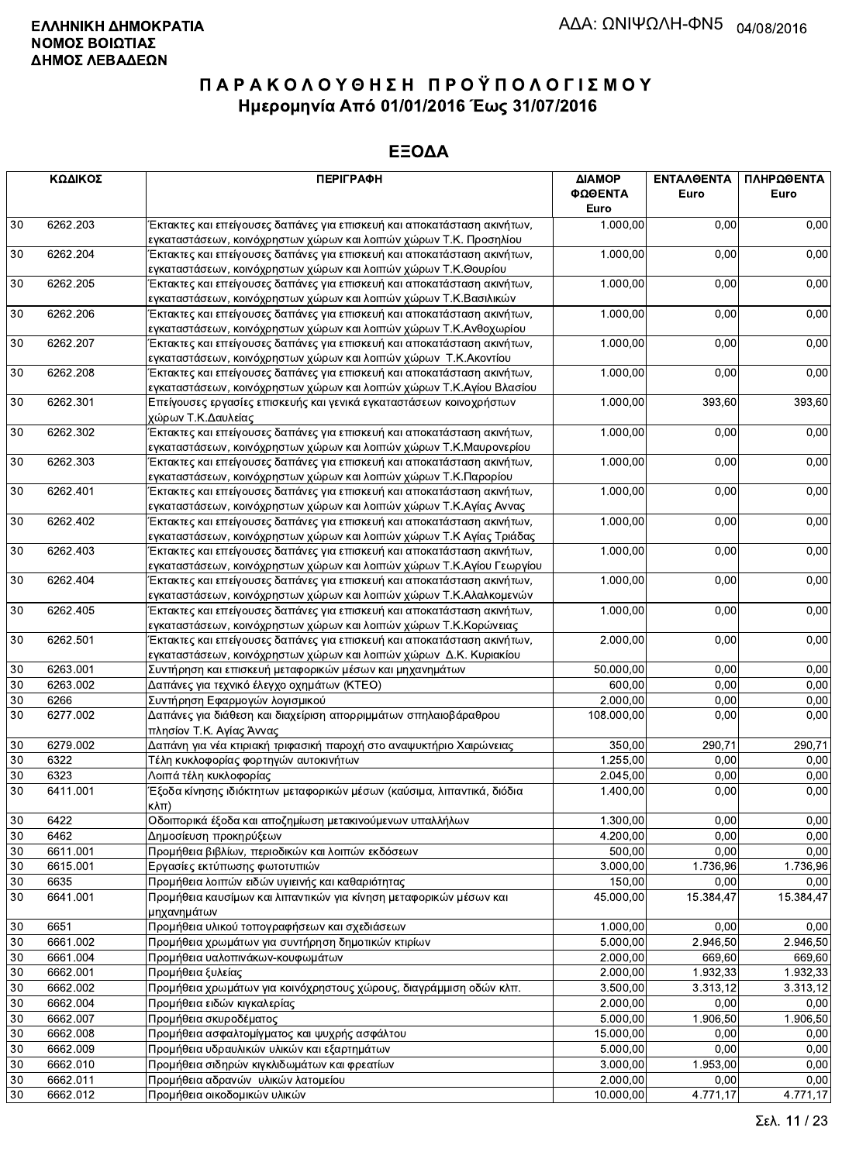|          | ΚΩΔΙΚΟΣ              | <b>ПЕРІГРАФН</b>                                                                                                                                 | ΔΙΑΜΟΡ<br>ΦΩΘΕΝΤΑ<br>Euro | <b>ENTAAGENTA</b><br>Euro | ΠΛΗΡΩΘΕΝΤΑ<br>Euro |
|----------|----------------------|--------------------------------------------------------------------------------------------------------------------------------------------------|---------------------------|---------------------------|--------------------|
| 30       | 6262.203             | Έκτακτες και επείγουσες δαπάνες για επισκευή και αποκατάσταση ακινήτων,                                                                          | 1.000,00                  | 0,00                      | 0,00               |
|          |                      | εγκαταστάσεων, κοινόχρηστων χώρων και λοιπών χώρων Τ.Κ. Προσηλίου                                                                                |                           |                           |                    |
| 30       | 6262.204             | Έκτακτες και επείγουσες δαπάνες για επισκευή και αποκατάσταση ακινήτων,<br>εγκαταστάσεων, κοινόχρηστων χώρων και λοιπών χώρων Τ.Κ.Θουρίου        | 1.000,00                  | 0,00                      | 0,00               |
| 30       | 6262.205             | Έκτακτες και επείγουσες δαπάνες για επισκευή και αποκατάσταση ακινήτων,<br>εγκαταστάσεων, κοινόχρηστων χώρων και λοιπών χώρων Τ.Κ.Βασιλικών      | 1.000,00                  | 0,00                      | 0,00               |
| 30       | 6262.206             | Έκτακτες και επείγουσες δαπάνες για επισκευή και αποκατάσταση ακινήτων,<br>εγκαταστάσεων, κοινόχρηστων χώρων και λοιπών χώρων Τ.Κ.Ανθοχωρίου     | 1.000,00                  | 0,00                      | 0,00               |
| 30       | 6262.207             | Έκτακτες και επείγουσες δαπάνες για επισκευή και αποκατάσταση ακινήτων,<br>εγκαταστάσεων, κοινόχρηστων χώρων και λοιπών χώρων Τ.Κ. Ακοντίου      | 1.000,00                  | 0,00                      | 0,00               |
| 30       | 6262.208             | Έκτακτες και επείγουσες δαπάνες για επισκευή και αποκατάσταση ακινήτων,<br>εγκαταστάσεων, κοινόχρηστων χώρων και λοιπών χώρων Τ.Κ.Αγίου Βλασίου  | 1.000,00                  | 0,00                      | 0,00               |
| 30       | 6262.301             | Επείγουσες εργασίες επισκευής και γενικά εγκαταστάσεων κοινοχρήστων<br>χώρων Τ.Κ.Δαυλείας                                                        | 1.000,00                  | 393,60                    | 393,60             |
| 30       | 6262.302             | Έκτακτες και επείγουσες δαπάνες για επισκευή και αποκατάσταση ακινήτων,<br>εγκαταστάσεων, κοινόχρηστων χώρων και λοιπών χώρων Τ.Κ.Μαυρονερίου    | 1.000,00                  | 0,00                      | 0,00               |
| 30       | 6262.303             | Έκτακτες και επείγουσες δαπάνες για επισκευή και αποκατάσταση ακινήτων,<br>εγκαταστάσεων, κοινόχρηστων χώρων και λοιπών χώρων Τ.Κ.Παρορίου       | 1.000,00                  | 0,00                      | 0,00               |
| 30       | 6262.401             | Έκτακτες και επείγουσες δαπάνες για επισκευή και αποκατάσταση ακινήτων,<br>εγκαταστάσεων, κοινόχρηστων χώρων και λοιπών χώρων Τ.Κ.Αγίας Αννας    | 1.000,00                  | 0,00                      | 0,00               |
| $30\,$   | 6262.402             | Έκτακτες και επείγουσες δαπάνες για επισκευή και αποκατάσταση ακινήτων,<br>εγκαταστάσεων, κοινόχρηστων χώρων και λοιπών χώρων Τ.Κ Αγίας Τριάδας  | 1.000,00                  | 0,00                      | 0,00               |
| 30       | 6262.403             | Έκτακτες και επείγουσες δαπάνες για επισκευή και αποκατάσταση ακινήτων,<br>εγκαταστάσεων, κοινόχρηστων χώρων και λοιπών χώρων Τ.Κ.Αγίου Γεωργίου | 1.000,00                  | 0,00                      | 0,00               |
| 30       | 6262.404             | Έκτακτες και επείγουσες δαπάνες για επισκευή και αποκατάσταση ακινήτων,<br>εγκαταστάσεων, κοινόχρηστων χώρων και λοιπών χώρων Τ.Κ.Αλαλκομενών    | 1.000,00                  | 0,00                      | 0,00               |
| 30       | 6262.405             | Έκτακτες και επείγουσες δαπάνες για επισκευή και αποκατάσταση ακινήτων,<br>εγκαταστάσεων, κοινόχρηστων χώρων και λοιπών χώρων Τ.Κ.Κορώνειας      | 1.000,00                  | 0,00                      | 0,00               |
| $30\,$   | 6262.501             | Έκτακτες και επείγουσες δαπάνες για επισκευή και αποκατάσταση ακινήτων,<br>εγκαταστάσεων, κοινόχρηστων χώρων και λοιπών χώρων Δ.Κ. Κυριακίου     | 2.000,00                  | 0,00                      | 0,00               |
| 30       | 6263.001             | Συντήρηση και επισκευή μεταφορικών μέσων και μηχανημάτων                                                                                         | 50.000,00                 | 0,00                      | 0,00               |
| 30       | 6263.002             | Δαπάνες για τεχνικό έλεγχο οχημάτων (ΚΤΕΟ)                                                                                                       | 600,00                    | 0,00                      | 0,00               |
| 30       | 6266                 | Συντήρηση Εφαρμογών λογισμικού                                                                                                                   | 2.000,00                  | 0,00                      | 0,00               |
| 30       | 6277.002             | Δαπάνες για διάθεση και διαχείριση απορριμμάτων σπηλαιοβάραθρου<br>πλησίον Τ.Κ. Αγίας Άννας                                                      | 108.000,00                | 0,00                      | 0,00               |
| 30       | 6279.002             | Δαπάνη για νέα κτιριακή τριφασική παροχή στο αναψυκτήριο Χαιρώνειας                                                                              | 350,00                    | 290,71                    | 290,71             |
| 30       | 6322                 | Τέλη κυκλοφορίας φορτηγών αυτοκινήτων                                                                                                            | 1.255,00                  | 0,00                      | 0,00               |
| 30       | 6323                 | Λοιπά τέλη κυκλοφορίας                                                                                                                           | 2.045,00                  | 0,00                      | 0,00               |
| 30       | 6411.001             | Έξοδα κίνησης ιδιόκτητων μεταφορικών μέσων (καύσιμα, λιπαντικά, διόδια<br>Kλπ)                                                                   | 1.400,00                  | 0,00                      | 0,00               |
| 30       | 6422                 | Οδοιπορικά έξοδα και αποζημίωση μετακινούμενων υπαλλήλων                                                                                         | 1.300,00                  | 0,00                      | 0,00               |
| 30       | 6462                 | Δημοσίευση προκηρύξεων                                                                                                                           | 4.200,00                  | 0,00                      | 0,00               |
| 30       | 6611.001             | Προμήθεια βιβλίων, περιοδικών και λοιπών εκδόσεων                                                                                                | 500,00                    | 0,00                      | 0,00               |
| 30       | 6615.001             | Εργασίες εκτύπωσης φωτοτυπιών                                                                                                                    | 3.000,00                  | 1.736,96                  | 1.736,96           |
| 30       | 6635                 | Προμήθεια λοιπών ειδών υγιεινής και καθαριότητας                                                                                                 | 150,00                    | 0,00                      | 0,00               |
| 30       | 6641.001             | Προμήθεια καυσίμων και λιπαντικών για κίνηση μεταφορικών μέσων και<br>μηχανημάτων                                                                | 45.000,00                 | 15.384,47                 | 15.384,47          |
| $30\,$   | 6651                 | Προμήθεια υλικού τοπογραφήσεων και σχεδιάσεων                                                                                                    | 1.000,00                  | 0.00                      | 0,00               |
| 30       | 6661.002             | Προμήθεια χρωμάτων για συντήρηση δημοτικών κτιρίων                                                                                               | 5.000,00                  | 2.946,50                  | 2.946,50           |
| $30\,$   | 6661.004             | Προμήθεια υαλοπινάκων-κουφωμάτων                                                                                                                 | 2.000,00                  | 669,60                    | 669,60             |
| 30       | 6662.001             | Προμήθεια ξυλείας                                                                                                                                | 2.000,00                  | 1.932,33                  | 1.932,33           |
| 30       | 6662.002             | Προμήθεια χρωμάτων για κοινόχρηστους χώρους, διαγράμμιση οδών κλπ.                                                                               | 3.500,00                  | 3.313,12                  | 3.313,12           |
| 30       | 6662.004             | Προμήθεια ειδών κιγκαλερίας                                                                                                                      | 2.000,00                  | 0,00                      | 0.00               |
| 30<br>30 | 6662.007             | Προμήθεια σκυροδέματος                                                                                                                           | 5.000,00                  | 1.906,50                  | 1.906,50           |
| 30       | 6662.008             | Προμήθεια ασφαλτομίγματος και ψυχρής ασφάλτου                                                                                                    | 15.000,00                 | 0,00                      | 0,00               |
| 30       | 6662.009<br>6662.010 | Προμήθεια υδραυλικών υλικών και εξαρτημάτων<br>Προμήθεια σιδηρών κιγκλιδωμάτων και φρεατίων                                                      | 5.000,00<br>3.000,00      | 0,00<br>1.953,00          | 0,00<br>0,00       |
| 30       | 6662.011             | Προμήθεια αδρανών υλικών λατομείου                                                                                                               | 2.000,00                  | 0,00                      | 0,00               |
| $30\,$   | 6662.012             | Προμήθεια οικοδομικών υλικών                                                                                                                     | 10.000,00                 | 4.771,17                  | 4.771,17           |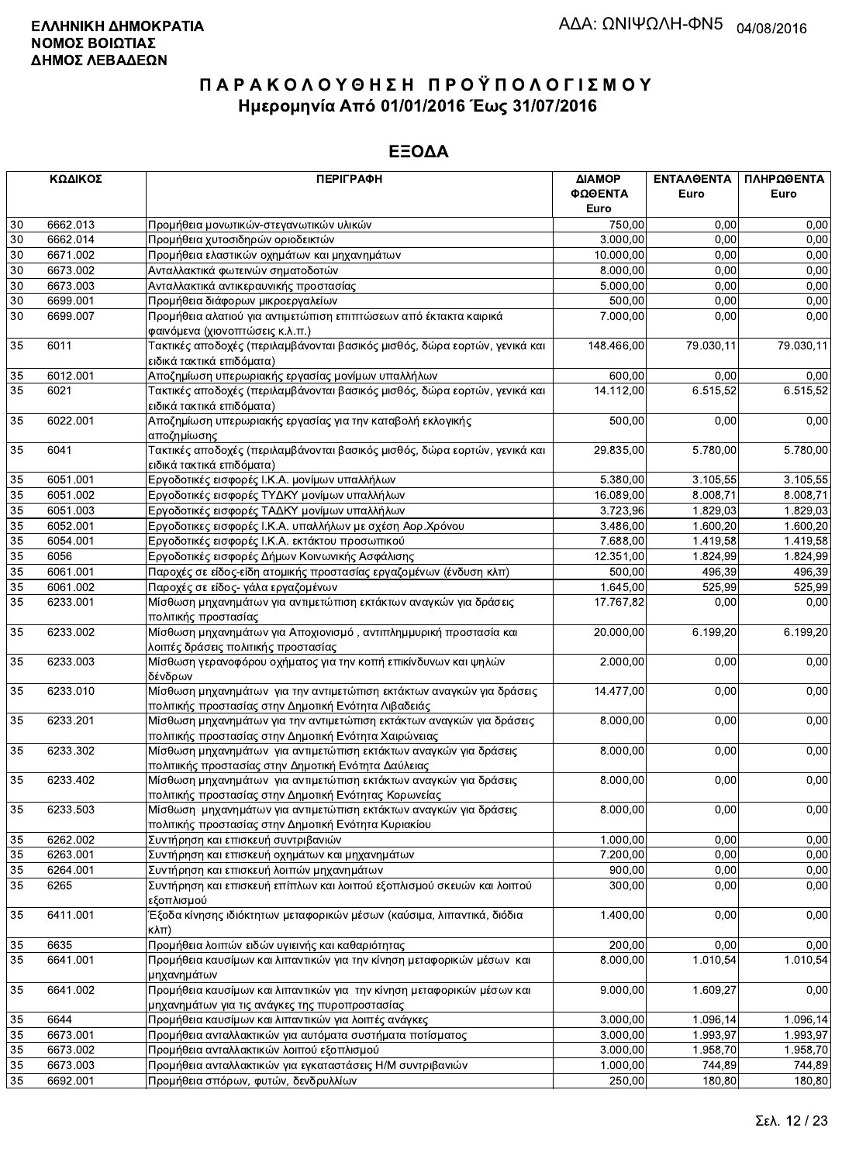|                 | ΚΩΔΙΚΟΣ  | <b>ПЕРІГРАФН</b>                                                                                                          | ΔΙΑΜΟΡ     | ΕΝΤΑΛΘΕΝΤΑ | ΠΛΗΡΩΘΕΝΤΑ |
|-----------------|----------|---------------------------------------------------------------------------------------------------------------------------|------------|------------|------------|
|                 |          |                                                                                                                           | ΦΩΘΕΝΤΑ    | Euro       | Euro       |
|                 |          |                                                                                                                           | Euro       |            |            |
| 30              | 6662.013 | Προμήθεια μονωτικών-στεγανωτικών υλικών                                                                                   | 750,00     | 0,00       | 0,00       |
| 30              | 6662.014 | Προμήθεια χυτοσιδηρών οριοδεικτών                                                                                         | 3.000,00   | 0,00       | 0,00       |
| 30              | 6671.002 | Προμήθεια ελαστικών οχημάτων και μηχανημάτων                                                                              | 10.000,00  | 0,00       | 0,00       |
| 30              | 6673.002 | Ανταλλακτικά φωτεινών σηματοδοτών                                                                                         | 8.000,00   | 0,00       | 0,00       |
| $30\,$          | 6673.003 | Ανταλλακτικά αντικεραυνικής προστασίας                                                                                    | 5.000,00   | 0,00       | 0,00       |
| 30              | 6699.001 | Προμήθεια διάφορων μικροεργαλείων                                                                                         | 500,00     | 0,00       | 0,00       |
| 30              | 6699.007 | Προμήθεια αλατιού για αντιμετώπιση επιπτώσεων από έκτακτα καιρικά                                                         | 7.000,00   | 0,00       | 0,00       |
|                 |          | φαινόμενα (χιονοπτώσεις κ.λ.π.)                                                                                           |            |            |            |
| 35              | 6011     | Τακτικές αποδοχές (περιλαμβάνονται βασικός μισθός, δώρα εορτών, γενικά και<br>ειδικά τακτικά επιδόματα)                   | 148.466,00 | 79.030,11  | 79.030,11  |
| 35              | 6012.001 | Αποζημίωση υπερωριακής εργασίας μονίμων υπαλλήλων                                                                         | 600,00     | 0,00       | 0,00       |
| 35              | 6021     | Τακτικές αποδοχές (περιλαμβάνονται βασικός μισθός, δώρα εορτών, γενικά και<br>ειδικά τακτικά επιδόματα)                   | 14.112,00  | 6.515,52   | 6.515,52   |
| 35              | 6022.001 | Αποζημίωση υπερωριακής εργασίας για την καταβολή εκλογικής                                                                | 500,00     | 0,00       | 0,00       |
|                 |          | αποζημίωσης                                                                                                               |            |            |            |
| 35              | 6041     | Τακτικές αποδοχές (περιλαμβάνονται βασικός μισθός, δώρα εορτών, γενικά και<br>ειδικά τακτικά επιδόματα)                   | 29.835,00  | 5.780,00   | 5.780,00   |
| 35              | 6051.001 | Εργοδοτικές εισφορές Ι.Κ.Α. μονίμων υπαλλήλων                                                                             | 5.380,00   | 3.105,55   | 3.105,55   |
| 35              | 6051.002 | Εργοδοτικές εισφορές ΤΥΔΚΥ μονίμων υπαλλήλων                                                                              | 16.089,00  | 8.008,71   | 8.008.71   |
| 35              | 6051.003 | Εργοδοτικές εισφορές ΤΑΔΚΥ μονίμων υπαλλήλων                                                                              | 3.723,96   | 1.829,03   | 1.829,03   |
| 35              | 6052.001 | Εργοδοτικες εισφορές Ι.Κ.Α. υπαλλήλων με σχέση Αορ.Χρόνου                                                                 | 3.486,00   | 1.600,20   | 1.600,20   |
| 35              | 6054.001 | Εργοδοτικές εισφορές Ι.Κ.Α. εκτάκτου προσωπικού                                                                           | 7.688,00   | 1.419,58   | 1.419,58   |
| 35              | 6056     | Εργοδοτικές εισφορές Δήμων Κοινωνικής Ασφάλισης                                                                           | 12.351,00  | 1.824,99   | 1.824,99   |
| 35              | 6061.001 | Παροχές σε είδος-είδη ατομικής προστασίας εργαζομένων (ένδυση κλπ)                                                        | 500,00     | 496,39     | 496,39     |
| 35              | 6061.002 | Παροχές σε είδος- γάλα εργαζομένων                                                                                        | 1.645,00   | 525,99     | 525,99     |
| $\overline{35}$ | 6233.001 |                                                                                                                           |            | 0,00       |            |
|                 |          | Μίσθωση μηχανημάτων για αντιμετώπιση εκτάκτων αναγκών για δράσεις<br>πολιτικής προστασίας                                 | 17.767,82  |            | 0,00       |
| 35              | 6233.002 | Μίσθωση μηχανημάτων για Αποχιονισμό, αντιπλημμυρική προστασία και<br>λοιπές δράσεις πολιτικής προστασίας                  | 20.000,00  | 6.199,20   | 6.199,20   |
| 35              | 6233.003 | Μίσθωση γερανοφόρου οχήματος για την κοπή επικίνδυνων και ψηλών<br>δένδρων                                                | 2.000,00   | 0,00       | 0,00       |
| 35              | 6233.010 | Μίσθωση μηχανημάτων για την αντιμετώπιση εκτάκτων αναγκών για δράσεις                                                     | 14.477,00  | 0,00       | 0,00       |
|                 |          | πολιτικής προστασίας στην Δημοτική Ενότητα Λιβαδειάς                                                                      |            |            |            |
| 35              | 6233.201 | Μίσθωση μηχανημάτων για την αντιμετώπιση εκτάκτων αναγκών για δράσεις                                                     | 8.000,00   | 0,00       | 0,00       |
|                 |          | πολιτικής προστασίας στην Δημοτική Ενότητα Χαιρώνειας                                                                     |            |            |            |
| 35              | 6233.302 | Μίσθωση μηχανημάτων για αντιμετώπιση εκτάκτων αναγκών για δράσεις                                                         | 8.000,00   | 0,00       | 0,00       |
|                 |          | πολιτιικής προστασίας στην Δημοτική Ενότητα Δαύλειας                                                                      |            |            |            |
| 35              | 6233.402 | Μίσθωση μηχανημάτων για αντιμετώπιση εκτάκτων αναγκών για δράσεις                                                         | 8.000,00   | 0,00       | 0,00       |
|                 |          | πολιτικής προστασίας στην Δημοτική Ενότητας Κορωνείας                                                                     |            |            |            |
| 35              | 6233.503 | Μίσθωση μηχανημάτων για αντιμετώπιση εκτάκτων αναγκών για δράσεις<br>πολιτικής προστασίας στην Δημοτική Ενότητα Κυριακίου | 8.000,00   | 0,00       | 0,00       |
| 35              | 6262.002 | Συντήρηση και επισκευή συντριβανιών                                                                                       | 1.000,00   | 0,00       | 0,00       |
| 35              | 6263.001 | Συντήρηση και επισκευή οχημάτων και μηχανημάτων                                                                           | 7.200,00   | 0,00       | 0,00       |
| 35              | 6264.001 | Συντήρηση και επισκευή λοιπών μηχανημάτων                                                                                 | 900,00     | 0,00       | 0,00       |
| 35              | 6265     | Συντήρηση και επισκευή επίπλων και λοιπού εξοπλισμού σκευών και λοιπού                                                    | 300,00     | 0,00       | 0,00       |
|                 |          | εξοπλισμού                                                                                                                |            |            |            |
| 35              | 6411.001 | Έξοδα κίνησης ιδιόκτητων μεταφορικών μέσων (καύσιμα, λιπαντικά, διόδια<br>$K\lambda\pi$ )                                 | 1.400,00   | 0,00       | 0,00       |
| 35              | 6635     | Προμήθεια λοιπών ειδών υγιεινής και καθαριότητας                                                                          | 200,00     | 0,00       | 0,00       |
| 35              | 6641.001 | Προμήθεια καυσίμων και λιπαντικών για την κίνηση μεταφορικών μέσων και                                                    | 8.000,00   | 1.010,54   | 1.010,54   |
|                 |          | μηχανημάτων                                                                                                               |            |            |            |
| 35              | 6641.002 | Προμήθεια καυσίμων και λιπαντικών για την κίνηση μεταφορικών μέσων και                                                    | 9.000,00   | 1.609,27   | 0,00       |
|                 |          | μηχανημάτων για τις ανάγκες της πυροπροστασίας                                                                            |            |            |            |
| 35              | 6644     | Προμήθεια καυσίμων και λιπαντικών για λοιπές ανάγκες                                                                      | 3.000,00   | 1.096, 14  | 1.096,14   |
| 35              | 6673.001 | Προμήθεια ανταλλακτικών για αυτόματα συστήματα ποτίσματος                                                                 | 3.000,00   | 1.993,97   | 1.993,97   |
| 35              | 6673.002 | Προμήθεια ανταλλακτικών λοιπού εξοπλισμού                                                                                 | 3.000,00   | 1.958,70   | 1.958,70   |
| 35              | 6673.003 | Προμήθεια ανταλλακτικών για εγκαταστάσεις Η/Μ συντριβανιών                                                                | 1.000,00   | 744,89     | 744.89     |
| 35              | 6692.001 | Προμήθεια σπόρων, φυτών, δενδρυλλίων                                                                                      | 250,00     | 180,80     | 180,80     |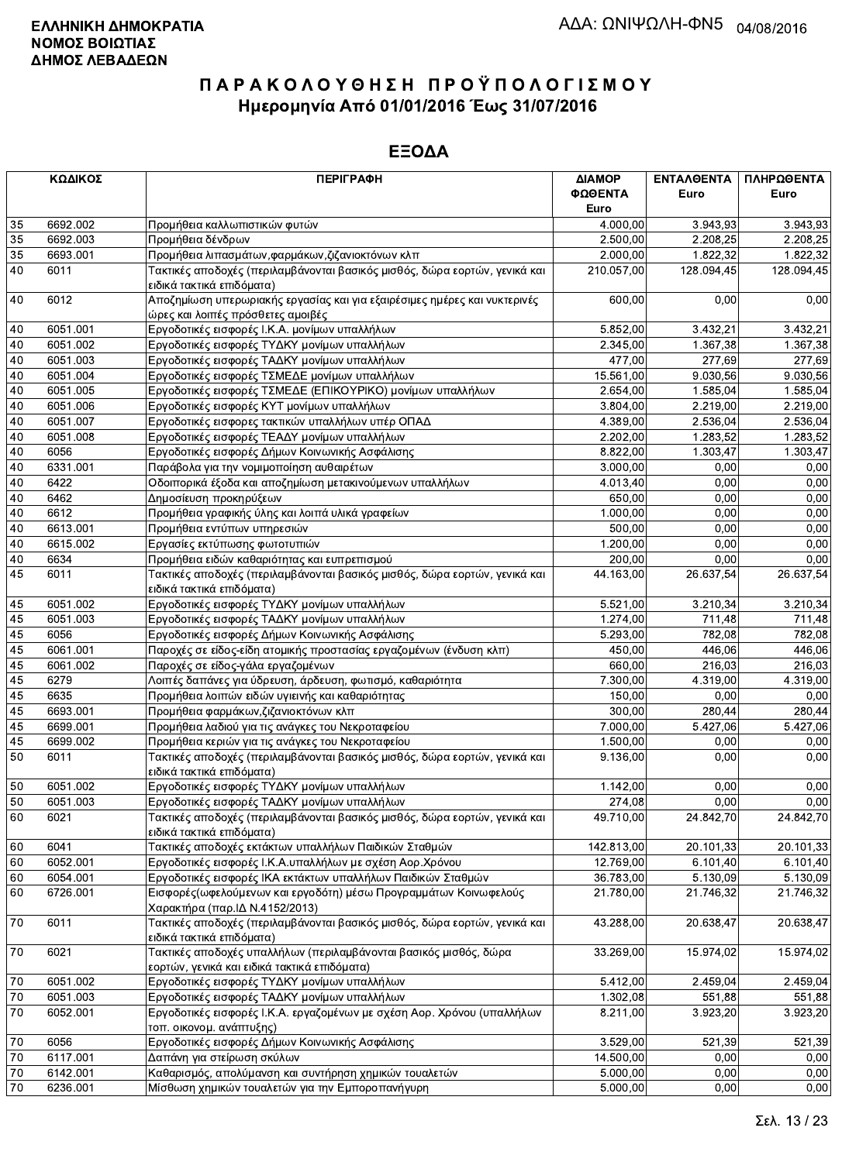|    | ΚΩΔΙΚΟΣ  | <b>ПЕРІГРАФН</b>                                                                                                  | ΔΙΑΜΟΡ     | ΕΝΤΑΛΘΕΝΤΑ | ΠΛΗΡΩΘΕΝΤΑ |
|----|----------|-------------------------------------------------------------------------------------------------------------------|------------|------------|------------|
|    |          |                                                                                                                   | ΦΩΘΕΝΤΑ    | Euro       | Euro       |
|    |          |                                                                                                                   | Euro       |            |            |
| 35 | 6692.002 | Προμήθεια καλλωπιστικών φυτών                                                                                     | 4.000,00   | 3.943,93   | 3.943,93   |
| 35 | 6692.003 | Προμήθεια δένδρων                                                                                                 | 2.500,00   | 2.208,25   | 2.208,25   |
| 35 | 6693.001 | Προμήθεια λιπασμάτων, φαρμάκων, ζιζανιοκτόνων κλπ                                                                 | 2.000,00   | 1.822,32   | 1.822,32   |
| 40 | 6011     | Τακτικές αποδοχές (περιλαμβάνονται βασικός μισθός, δώρα εορτών, γενικά και<br>ειδικά τακτικά επιδόματα)           | 210.057,00 | 128.094.45 | 128.094,45 |
| 40 | 6012     | Αποζημίωση υπερωριακής εργασίας και για εξαιρέσιμες ημέρες και νυκτερινές<br>ώρες και λοιπές πρόσθετες αμοιβές    | 600,00     | 0,00       | 0,00       |
| 40 | 6051.001 | Εργοδοτικές εισφορές Ι.Κ.Α. μονίμων υπαλλήλων                                                                     | 5.852,00   | 3.432,21   | 3.432,21   |
| 40 | 6051.002 | Εργοδοτικές εισφορές ΤΥΔΚΥ μονίμων υπαλλήλων                                                                      | 2.345,00   | 1.367,38   | 1.367,38   |
| 40 | 6051.003 | Εργοδοτικές εισφορές ΤΑΔΚΥ μονίμων υπαλλήλων                                                                      | 477,00     | 277,69     | 277.69     |
| 40 | 6051.004 | Εργοδοτικές εισφορές ΤΣΜΕΔΕ μονίμων υπαλλήλων                                                                     | 15.561,00  | 9.030,56   | 9.030,56   |
| 40 | 6051.005 | Εργοδοτικές εισφορές ΤΣΜΕΔΕ (ΕΠΙΚΟΥΡΙΚΟ) μονίμων υπαλλήλων                                                        | 2.654,00   | 1.585,04   | 1.585,04   |
| 40 | 6051.006 | Εργοδοτικές εισφορές ΚΥΤ μονίμων υπαλλήλων                                                                        | 3.804,00   | 2.219,00   | 2.219,00   |
| 40 | 6051.007 | Εργοδοτικές εισφορες τακτικών υπαλλήλων υπέρ ΟΠΑΔ                                                                 | 4.389,00   | 2.536,04   | 2.536,04   |
| 40 | 6051.008 | Εργοδοτικές εισφορές ΤΕΑΔΥ μονίμων υπαλλήλων                                                                      | 2.202,00   | 1.283,52   | 1.283,52   |
| 40 | 6056     | Εργοδοτικές εισφορές Δήμων Κοινωνικής Ασφάλισης                                                                   | 8.822,00   | 1.303,47   | 1.303,47   |
| 40 | 6331.001 | Παράβολα για την νομιμοποίηση αυθαιρέτων                                                                          | 3.000,00   | 0,00       | 0,00       |
| 40 | 6422     | Οδοιπορικά έξοδα και αποζημίωση μετακινούμενων υπαλλήλων                                                          | 4.013,40   | 0,00       | 0,00       |
| 40 | 6462     | Δημοσίευση προκηρύξεων                                                                                            | 650,00     | 0,00       | 0,00       |
| 40 | 6612     | Προμήθεια γραφικής ύλης και λοιπά υλικά γραφείων                                                                  | 1.000.00   | 0.00       | 0,00       |
| 40 | 6613.001 | Προμήθεια εντύπων υπηρεσιών                                                                                       | 500,00     | 0,00       | 0,00       |
| 40 | 6615.002 | Εργασίες εκτύπωσης φωτοτυπιών                                                                                     | 1.200,00   | 0,00       | 0,00       |
| 40 | 6634     | Προμήθεια ειδών καθαριότητας και ευπρεπισμού                                                                      | 200,00     | 0,00       | 0,00       |
| 45 | 6011     | Τακτικές αποδοχές (περιλαμβάνονται βασικός μισθός, δώρα εορτών, γενικά και<br>ειδικά τακτικά επιδόματα)           | 44.163,00  | 26.637,54  | 26.637,54  |
| 45 | 6051.002 | Εργοδοτικές εισφορές ΤΥΔΚΥ μονίμων υπαλλήλων                                                                      | 5.521,00   | 3.210,34   | 3.210,34   |
| 45 | 6051.003 | Εργοδοτικές εισφορές ΤΑΔΚΥ μονίμων υπαλλήλων                                                                      | 1.274,00   | 711,48     | 711,48     |
| 45 | 6056     | Εργοδοτικές εισφορές Δήμων Κοινωνικής Ασφάλισης                                                                   | 5.293,00   | 782,08     | 782,08     |
| 45 | 6061.001 | Παροχές σε είδος-είδη ατομικής προστασίας εργαζομένων (ένδυση κλπ)                                                | 450.00     | 446,06     | 446,06     |
| 45 | 6061.002 | Παροχές σε είδος-γάλα εργαζομένων                                                                                 | 660,00     | 216,03     | 216,03     |
| 45 | 6279     | Λοιπές δαπάνες για ύδρευση, άρδευση, φωτισμό, καθαριότητα                                                         | 7.300,00   | 4.319,00   | 4.319,00   |
| 45 | 6635     | Προμήθεια λοιπών ειδών υγιεινής και καθαριότητας                                                                  | 150,00     | 0.00       | 0,00       |
| 45 | 6693.001 | Προμήθεια φαρμάκων, ζιζανιοκτόνων κλπ                                                                             | 300,00     | 280,44     | 280,44     |
| 45 | 6699.001 | Προμήθεια λαδιού για τις ανάγκες του Νεκροταφείου                                                                 | 7.000,00   | 5.427,06   | 5.427,06   |
| 45 | 6699.002 | Προμήθεια κεριών για τις ανάγκες του Νεκροταφείου                                                                 | 1.500,00   | 0,00       | 0,00       |
| 50 | 6011     | Τακτικές αποδοχές (περιλαμβάνονται βασικός μισθός, δώρα εορτών, γενικά και<br>ειδικά τακτικά επιδόματα)           | 9.136,00   | 0,00       | 0,00       |
| 50 | 6051.002 | Εργοδοτικές εισφορές ΤΥΔΚΥ μονίμων υπαλλήλων                                                                      | 1.142,00   | 0,00       | 0,00       |
| 50 | 6051.003 | Εργοδοτικές εισφορές ΤΑΔΚΥ μονίμων υπαλλήλων                                                                      | 274,08     | 0,00       | 0,00       |
| 60 | 6021     | Τακτικές αποδοχές (περιλαμβάνονται βασικός μισθός, δώρα εορτών, γενικά και<br>ειδικά τακτικά επιδόματα)           | 49.710,00  | 24.842,70  | 24.842,70  |
| 60 | 6041     | Τακτικές αποδοχές εκτάκτων υπαλλήλων Παιδικών Σταθμών                                                             | 142.813,00 | 20.101,33  | 20.101,33  |
| 60 | 6052.001 | Εργοδοτικές εισφορές Ι.Κ.Α.υπαλλήλων με σχέση Αορ.Χρόνου                                                          | 12.769,00  | 6.101,40   | 6.101,40   |
| 60 | 6054.001 | Εργοδοτικές εισφορές ΙΚΑ εκτάκτων υπαλλήλων Παιδικών Σταθμών                                                      | 36.783,00  | 5.130,09   | 5.130,09   |
| 60 | 6726.001 | Εισφορές (ωφελούμενων και εργοδότη) μέσω Προγραμμάτων Κοινωφελούς<br>Χαρακτήρα (παρ. ΙΔ Ν.4152/2013)              | 21.780,00  | 21.746,32  | 21.746,32  |
| 70 | 6011     | Τακτικές αποδοχές (περιλαμβάνονται βασικός μισθός, δώρα εορτών, γενικά και<br>ειδικά τακτικά επιδόματα)           | 43.288,00  | 20.638,47  | 20.638,47  |
| 70 | 6021     | Τακτικές αποδοχές υπαλλήλων (περιλαμβάνονται βασικός μισθός, δώρα<br>εορτών, γενικά και ειδικά τακτικά επιδόματα) | 33.269,00  | 15.974,02  | 15.974,02  |
| 70 | 6051.002 | Εργοδοτικές εισφορές ΤΥΔΚΥ μονίμων υπαλλήλων                                                                      | 5.412,00   | 2.459,04   | 2.459,04   |
| 70 | 6051.003 | Εργοδοτικές εισφορές ΤΑΔΚΥ μονίμων υπαλλήλων                                                                      | 1.302,08   | 551,88     | 551,88     |
| 70 | 6052.001 | Εργοδοτικές εισφορές Ι.Κ.Α. εργαζομένων με σχέση Αορ. Χρόνου (υπαλλήλων<br>τοπ. οικονομ. ανάπτυξης)               | 8.211,00   | 3.923,20   | 3.923,20   |
| 70 | 6056     | Εργοδοτικές εισφορές Δήμων Κοινωνικής Ασφάλισης                                                                   | 3.529,00   | 521,39     | 521,39     |
| 70 | 6117.001 | Δαπάνη για στείρωση σκύλων                                                                                        | 14.500,00  | 0,00       | 0,00       |
| 70 | 6142.001 | Καθαρισμός, απολύμανση και συντήρηση χημικών τουαλετών                                                            | 5.000,00   | 0,00       | 0,00       |
| 70 | 6236.001 | Μίσθωση χημικών τουαλετών για την Εμποροπανήγυρη                                                                  | 5.000,00   | 0,00       | 0,00       |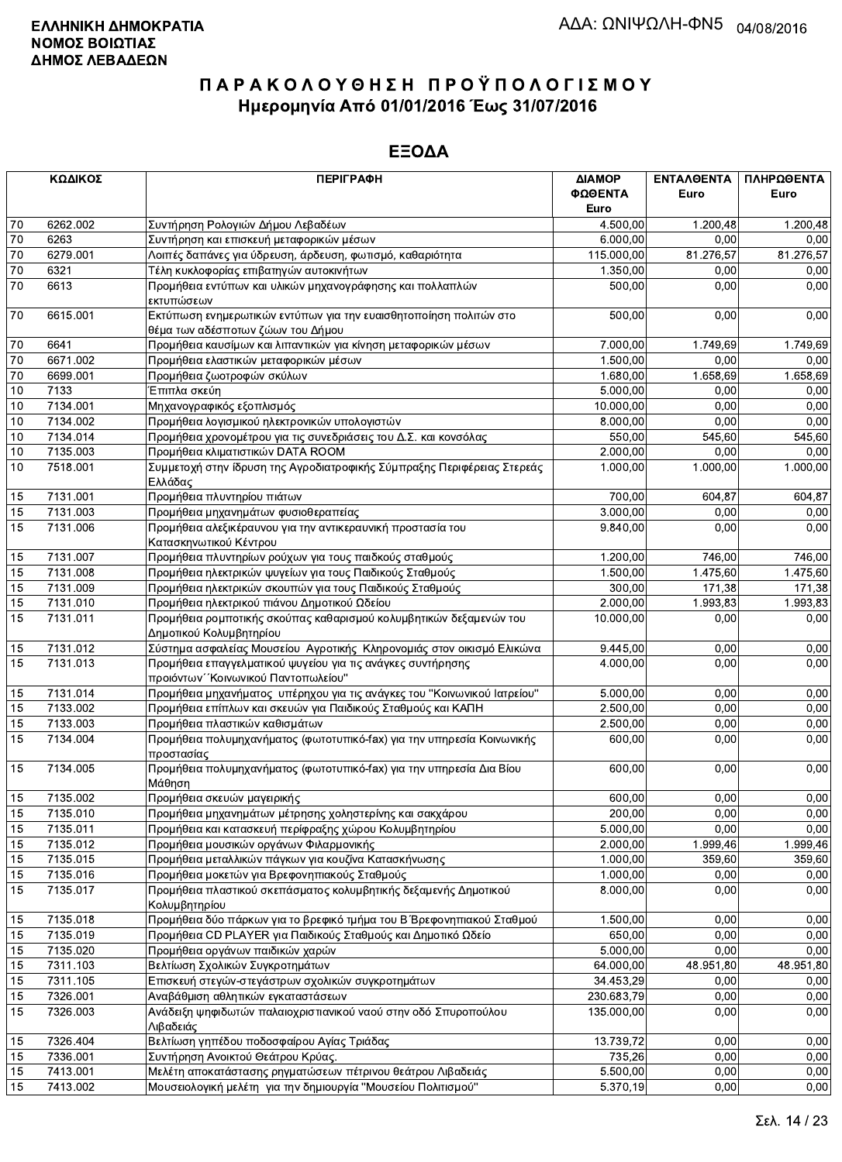|                 | ΚΩΔΙΚΟΣ  | <b>ПЕРІГРАФН</b>                                                                              | ΔΙΑΜΟΡ<br>ΦΩΘΕΝΤΑ<br>Euro | ΕΝΤΑΛΘΕΝΤΑ<br>Euro   | ΠΛΗΡΩΘΕΝΤΑ<br>Euro |
|-----------------|----------|-----------------------------------------------------------------------------------------------|---------------------------|----------------------|--------------------|
| 70              | 6262.002 | Συντήρηση Ρολογιών Δήμου Λεβαδέων                                                             | 4.500,00                  | 1.200,48             | 1.200,48           |
| $70\,$          | 6263     | Συντήρηση και επισκευή μεταφορικών μέσων                                                      | 6.000,00                  | 0,00                 | 0,00               |
| 70              | 6279.001 | Λοιπές δαπάνες για ύδρευση, άρδευση, φωτισμό, καθαριότητα                                     | 115.000,00                | 81.276,57            | 81.276,57          |
| $\overline{70}$ | 6321     | Τέλη κυκλοφορίας επιβατηγών αυτοκινήτων                                                       | 1.350,00                  | 0,00                 | 0,00               |
| 70              | 6613     | Προμήθεια εντύπων και υλικών μηχανογράφησης και πολλαπλών                                     | 500,00                    | 0,00                 | 0,00               |
|                 |          | εκτυπώσεων                                                                                    |                           |                      |                    |
| 70              | 6615.001 | Εκτύπωση ενημερωτικών εντύπων για την ευαισθητοποίηση πολιτών στο                             | 500,00                    | 0,00                 | 0,00               |
|                 |          | θέμα των αδέσποτων ζώων του Δήμου                                                             |                           |                      |                    |
| 70              | 6641     | Προμήθεια καυσίμων και λιπαντικών για κίνηση μεταφορικών μέσων                                | 7.000,00                  | 1.749,69             | 1.749,69           |
| 70              | 6671.002 | Προμήθεια ελαστικών μεταφορικών μέσων                                                         | 1.500,00                  | 0.00                 | 0,00               |
| $70\,$          | 6699.001 | Προμήθεια ζωοτροφών σκύλων                                                                    | 1.680,00                  | 1.658,69             | 1.658,69           |
| 10              | 7133     | Έπιπλα σκεύη                                                                                  | 5.000,00                  | 0,00                 | 0,00               |
| 10              | 7134.001 | Μηχανογραφικός εξοπλισμός                                                                     | 10.000,00                 | 0.00                 | 0,00               |
| 10              | 7134.002 | Προμήθεια λογισμικού ηλεκτρονικών υπολογιστών                                                 | 8.000,00                  | 0,00                 | 0,00               |
| 10              | 7134.014 | Προμήθεια χρονομέτρου για τις συνεδριάσεις του Δ.Σ. και κονσόλας                              | 550,00                    | $\overline{5}$ 45,60 | 545,60             |
| 10              | 7135.003 | Προμήθεια κλιματιστικών DATA ROOM                                                             | 2.000,00                  | 0,00                 | 0,00               |
| 10              | 7518.001 | Συμμετοχή στην ίδρυση της Αγροδιατροφικής Σύμπραξης Περιφέρειας Στερεάς<br>Ελλάδας            | 1.000,00                  | 1.000,00             | 1.000,00           |
| 15              | 7131.001 | Προμήθεια πλυντηρίου πιάτων                                                                   | 700,00                    | 604,87               | 604,87             |
| 15              | 7131.003 | Προμήθεια μηχανημάτων φυσιοθεραπείας                                                          | 3.000,00                  | 0,00                 | 0,00               |
| 15              | 7131.006 | Προμήθεια αλεξικέραυνου για την αντικεραυνική προστασία του                                   | 9.840,00                  | 0,00                 | 0,00               |
|                 |          | Κατασκηνωτικού Κέντρου                                                                        |                           |                      |                    |
| 15              | 7131.007 | Προμήθεια πλυντηρίων ρούχων για τους παιδκούς σταθμούς                                        | 1.200,00                  | 746,00               | 746,00             |
| 15              | 7131.008 | Προμήθεια ηλεκτρικών ψυγείων για τους Παιδικούς Σταθμούς                                      | 1.500,00                  | 1.475,60             | 1.475,60           |
| 15              | 7131.009 | Προμήθεια ηλεκτρικών σκουπών για τους Παιδικούς Σταθμούς                                      | 300,00                    | 171,38               | 171,38             |
| 15              | 7131.010 | Προμήθεια ηλεκτρικού πιάνου Δημοτικού Ωδείου                                                  | 2.000,00                  | 1.993,83             | 1.993,83           |
| 15              | 7131.011 | Προμήθεια ρομποτικής σκούπας καθαρισμού κολυμβητικών δεξαμενών του<br>Δημοτικού Κολυμβητηρίου | 10.000,00                 | 0,00                 | 0,00               |
| 15              | 7131.012 | Σύστημα ασφαλείας Μουσείου Αγροτικής Κληρονομιάς στον οικισμό Ελικώνα                         | 9.445,00                  | 0.00                 | 0,00               |
| 15              | 7131.013 | Προμήθεια επαγγελματικού ψυγείου για τις ανάγκες συντήρησης                                   | 4.000,00                  | 0,00                 | 0,00               |
|                 |          | προιόντων "Κοινωνικού Παντοπωλείου"                                                           |                           |                      |                    |
| 15              | 7131.014 | Προμήθεια μηχανήματος υπέρηχου για τις ανάγκες του "Κοινωνικού Ιατρείου"                      | 5.000,00                  | 0,00                 | 0,00               |
| 15              | 7133.002 | Προμήθεια επίπλων και σκευών για Παιδικούς Σταθμούς και ΚΑΠΗ                                  | 2.500,00                  | 0,00                 | 0,00               |
| 15              | 7133.003 | Προμήθεια πλαστικών καθισμάτων                                                                | 2.500,00                  | 0,00                 | 0,00               |
| 15              | 7134.004 | Προμήθεια πολυμηχανήματος (φωτοτυπικό-fax) για την υπηρεσία Κοινωνικής<br>προστασίας          | 600,00                    | 0,00                 | 0,00               |
| 15              | 7134.005 | Προμήθεια πολυμηχανήματος (φωτοτυπικό-fax) για την υπηρεσία Δια Βίου<br>Μάθηση                | 600,00                    | 0,00                 | 0,00               |
| 15              | 7135.002 | Προμήθεια σκευών μαγειρικής                                                                   | $\overline{600,00}$       | 0,00                 | 0,00               |
| 15              | 7135.010 | Προμήθεια μηχανημάτων μέτρησης χοληστερίνης και σακχάρου                                      | 200,00                    | 0,00                 | 0,00               |
| 15              | 7135.011 | Προμήθεια και κατασκευή περίφραξης χώρου Κολυμβητηρίου                                        | 5.000,00                  | 0,00                 | 0,00               |
| 15              | 7135.012 | Προμήθεια μουσικών οργάνων Φιλαρμονικής                                                       | 2.000,00                  | 1.999,46             | 1.999,46           |
| 15              | 7135.015 | Προμήθεια μεταλλικών πάγκων για κουζίνα Κατασκήνωσης                                          | 1.000,00                  | 359,60               | 359,60             |
| 15              | 7135.016 | Προμήθεια μοκετών για Βρεφονηπιακούς Σταθμούς                                                 | 1.000,00                  | 0,00                 | 0,00               |
| 15              | 7135.017 | Προμήθεια πλαστικού σκεπάσματος κολυμβητικής δεξαμενής Δημοτικού<br>Κολυμβητηρίου             | 8.000,00                  | 0,00                 | 0,00               |
| 15              | 7135.018 | Προμήθεια δύο πάρκων για το βρεφικό τμήμα του Β΄ Βρεφονηπιακού Σταθμού                        | 1.500,00                  | 0,00                 | 0,00               |
| 15              | 7135.019 | Προμήθεια CD PLAYER για Παιδικούς Σταθμούς και Δημοτικό Ωδείο                                 | 650,00                    | 0,00                 | 0,00               |
| 15              | 7135.020 | Προμήθεια οργάνων παιδικών χαρών                                                              | 5.000,00                  | 0,00                 | 0,00               |
| 15              | 7311.103 | Βελτίωση Σχολικών Συγκροτημάτων                                                               | 64.000,00                 | 48.951,80            | 48.951,80          |
| 15              | 7311.105 | Επισκευή στεγών-στεγάστρων σχολικών συγκροτημάτων                                             | 34.453,29                 | 0,00                 | 0,00               |
| 15              | 7326.001 | Αναβάθμιση αθλητικών εγκαταστάσεων                                                            | 230.683,79                | 0,00                 | 0,00               |
| 15              | 7326.003 | Ανάδειξη ψηφιδωτών παλαιοχριστιανικού ναού στην οδό Σπυροπούλου                               | 135.000,00                | 0,00                 | 0,00               |
| 15              | 7326.404 | Λιβαδειάς<br>Βελτίωση γηπέδου ποδοσφαίρου Αγίας Τριάδας                                       | 13.739,72                 | 0,00                 | 0,00               |
| 15              | 7336.001 | Συντήρηση Ανοικτού Θεάτρου Κρύας.                                                             | 735,26                    | 0,00                 | 0,00               |
| 15              | 7413.001 | Μελέτη αποκατάστασης ρηγματώσεων πέτρινου θεάτρου Λιβαδειάς                                   | 5.500,00                  | 0,00                 | 0,00               |
| 15              | 7413.002 | Μουσειολογική μελέτη για την δημιουργία "Μουσείου Πολιτισμού"                                 | 5.370,19                  | 0,00                 | 0,00               |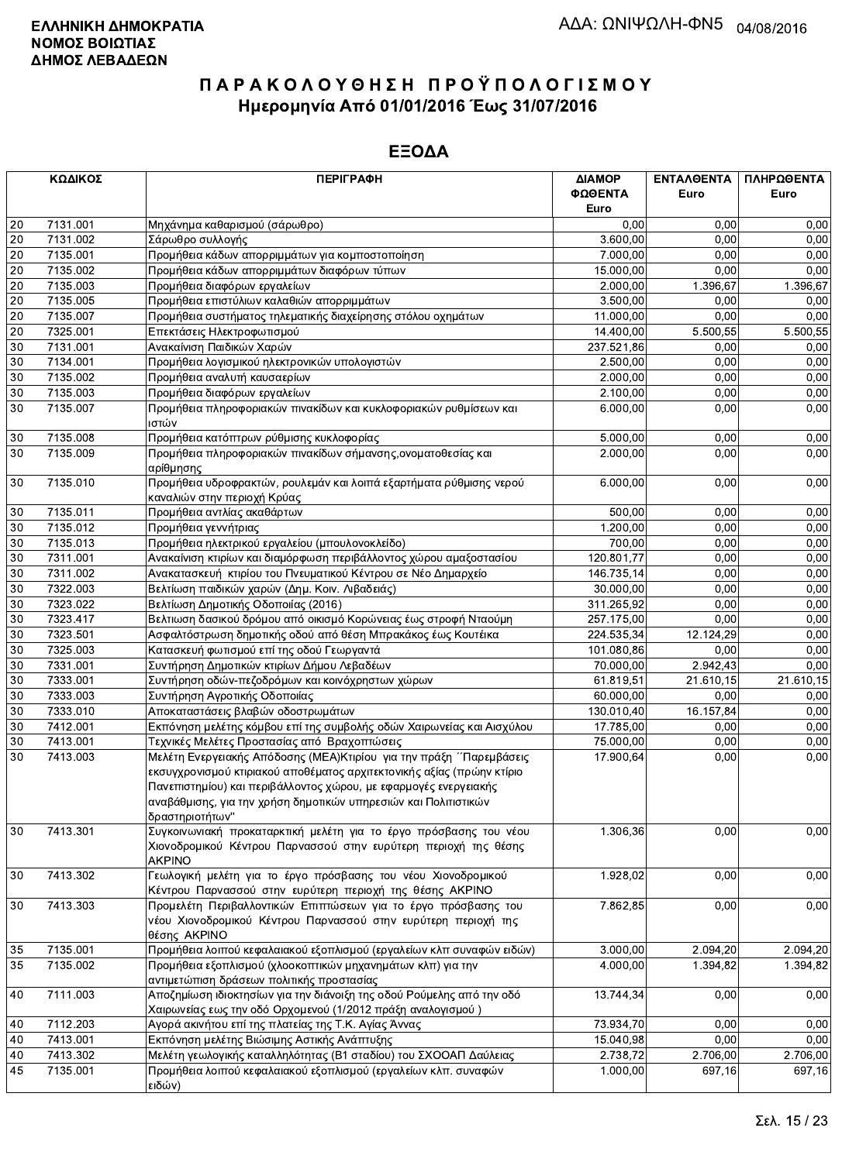|        | ΚΩΔΙΚΟΣ  | <b>ПЕРІГРАФН</b>                                                                                                                                                                                                                 | ΔΙΑΜΟΡ     | ΕΝΤΑΛΘΕΝΤΑ | ΠΛΗΡΩΘΕΝΤΑ |
|--------|----------|----------------------------------------------------------------------------------------------------------------------------------------------------------------------------------------------------------------------------------|------------|------------|------------|
|        |          |                                                                                                                                                                                                                                  | ΦΩΘΕΝΤΑ    | Euro       | Euro       |
|        |          |                                                                                                                                                                                                                                  | Euro       |            |            |
| 20     | 7131.001 | Μηχάνημα καθαρισμού (σάρωθρο)                                                                                                                                                                                                    | 0.00       | 0.00       | 0,00       |
| 20     | 7131.002 | Σάρωθρο συλλογής                                                                                                                                                                                                                 | 3.600,00   | 0,00       | 0,00       |
| 20     | 7135.001 | Προμήθεια κάδων απορριμμάτων για κομποστοποίηση                                                                                                                                                                                  | 7.000,00   | 0,00       | 0,00       |
| 20     | 7135.002 | Προμήθεια κάδων απορριμμάτων διαφόρων τύπων                                                                                                                                                                                      | 15.000,00  | 0,00       | 0,00       |
| 20     | 7135.003 | Προμήθεια διαφόρων εργαλείων                                                                                                                                                                                                     | 2.000,00   | 1.396,67   | 1.396,67   |
| 20     | 7135.005 | Προμήθεια επιστύλιων καλαθιών απορριμμάτων                                                                                                                                                                                       | 3.500,00   | 0,00       | 0,00       |
| 20     | 7135.007 | Προμήθεια συστήματος τηλεματικής διαχείρησης στόλου οχημάτων                                                                                                                                                                     | 11.000,00  | 0,00       | 0,00       |
| 20     | 7325.001 | Επεκτάσεις Ηλεκτροφωτισμού                                                                                                                                                                                                       | 14.400,00  | 5.500,55   | 5.500,55   |
| 30     | 7131.001 | Ανακαίνιση Παιδικών Χαρών                                                                                                                                                                                                        | 237.521,86 | 0,00       | 0,00       |
| 30     | 7134.001 | Προμήθεια λογισμικού ηλεκτρονικών υπολογιστών                                                                                                                                                                                    | 2.500,00   | 0.00       | 0,00       |
| 30     | 7135.002 | Προμήθεια αναλυτή καυσαερίων                                                                                                                                                                                                     | 2.000,00   | 0,00       | 0,00       |
| 30     | 7135.003 | Προμήθεια διαφόρων εργαλείων                                                                                                                                                                                                     | 2.100,00   | 0,00       | 0,00       |
| 30     | 7135.007 | Προμήθεια πληροφοριακών πινακίδων και κυκλοφοριακών ρυθμίσεων και                                                                                                                                                                | 6.000,00   | 0,00       | 0,00       |
|        |          | ιστών                                                                                                                                                                                                                            |            |            |            |
| 30     | 7135.008 | Προμήθεια κατόπτρων ρύθμισης κυκλοφορίας                                                                                                                                                                                         | 5.000,00   | 0,00       | 0,00       |
| 30     | 7135.009 | Προμήθεια πληροφοριακών πινακίδων σήμανσης, ονοματοθεσίας και<br>αρίθμησης                                                                                                                                                       | 2.000,00   | 0,00       | 0,00       |
| 30     | 7135.010 | Προμήθεια υδροφρακτών, ρουλεμάν και λοιπά εξαρτήματα ρύθμισης νερού<br>καναλιών στην περιοχή Κρύας                                                                                                                               | 6.000,00   | 0,00       | 0,00       |
| 30     | 7135.011 | Προμήθεια αντλίας ακαθάρτων                                                                                                                                                                                                      | 500,00     | 0,00       | 0,00       |
| 30     | 7135.012 | Προμήθεια γεννήτριας                                                                                                                                                                                                             | 1.200.00   | 0.00       | 0,00       |
| 30     | 7135.013 | Προμήθεια ηλεκτρικού εργαλείου (μπουλονοκλείδο)                                                                                                                                                                                  | 700,00     | 0.00       | 0,00       |
| $30\,$ | 7311.001 | Ανακαίνιση κτιρίων και διαμόρφωση περιβάλλοντος χώρου αμαξοστασίου                                                                                                                                                               | 120.801,77 | 0,00       | 0,00       |
| 30     | 7311.002 | Ανακατασκευή κτιρίου του Πνευματικού Κέντρου σε Νέο Δημαρχείο                                                                                                                                                                    | 146.735,14 | 0,00       | 0,00       |
| 30     | 7322.003 | Βελτίωση παιδικών χαρών (Δημ. Κοιν. Λιβαδειάς)                                                                                                                                                                                   | 30.000,00  | 0,00       | 0,00       |
| 30     | 7323.022 | Βελτίωση Δημοτικής Οδοποιίας (2016)                                                                                                                                                                                              | 311.265,92 | 0,00       | 0,00       |
| 30     | 7323.417 | Βελτιωση δασικού δρόμου από οικισμό Κορώνειας έως στροφή Νταούμη                                                                                                                                                                 | 257.175,00 | 0,00       | 0,00       |
| 30     | 7323.501 | Ασφαλτόστρωση δημοτικής οδού από θέση Μπρακάκος έως Κουτέικα                                                                                                                                                                     | 224.535,34 | 12.124,29  | 0,00       |
| 30     | 7325.003 | Κατασκευή φωτισμού επί της οδού Γεωργαντά                                                                                                                                                                                        | 101.080,86 | 0,00       | 0,00       |
| 30     | 7331.001 | Συντήρηση Δημοτικών κτιρίων Δήμου Λεβαδέων                                                                                                                                                                                       | 70.000,00  | 2.942,43   | 0,00       |
| 30     | 7333.001 | Συντήρηση οδών-πεζοδρόμων και κοινόχρηστων χώρων                                                                                                                                                                                 | 61.819,51  | 21.610,15  | 21.610,15  |
| 30     | 7333.003 | Συντήρηση Αγροτικής Οδοποιίας                                                                                                                                                                                                    | 60.000,00  | 0,00       | 0,00       |
| 30     | 7333.010 | Αποκαταστάσεις βλαβών οδοστρωμάτων                                                                                                                                                                                               | 130.010,40 | 16.157,84  | 0,00       |
| 30     | 7412.001 | Εκπόνηση μελέτης κόμβου επί της συμβολής οδών Χαιρωνείας και Αισχύλου                                                                                                                                                            | 17.785,00  | 0,00       | 0,00       |
| 30     | 7413.001 | Τεχνικές Μελέτες Προστασίας από Βραχοπτώσεις                                                                                                                                                                                     | 75.000,00  | 0.00       | 0,00       |
| 30     | 7413.003 | Μελέτη Ενεργειακής Απόδοσης (ΜΕΑ) Κτιρίου για την πράξη ΄ Παρεμβάσεις                                                                                                                                                            | 17.900,64  | 0,00       | 0,00       |
|        |          | εκσυγχρονισμού κτιριακού αποθέματος αρχιτεκτονικής αξίας (πρώην κτίριο<br>Πανεπιστημίου) και περιβάλλοντος χώρου, με εφαρμογές ενεργειακής<br>αναβάθμισης, για την χρήση δημοτικών υπηρεσιών και Πολιτιστικών<br>δραστηριοτήτων" |            |            |            |
| 30     | 7413.301 | Συγκοινωνιακή προκαταρκτική μελέτη για το έργο πρόσβασης του νέου<br>Χιονοδρομικού Κέντρου Παρνασσού στην ευρύτερη περιοχή της θέσης<br><b>AKPINO</b>                                                                            | 1.306,36   | 0,00       | 0,00       |
| 30     | 7413.302 | Γεωλογική μελέτη για το έργο πρόσβασης του νέου Χιονοδρομικού<br>Κέντρου Παρνασσού στην ευρύτερη περιοχή της θέσης ΑΚΡΙΝΟ                                                                                                        | 1.928,02   | 0,00       | 0,00       |
| 30     | 7413.303 | Προμελέτη Περιβαλλοντικών Επιπτώσεων για το έργο πρόσβασης του<br>νέου Χιονοδρομικού Κέντρου Παρνασσού στην ευρύτερη περιοχή της<br>θέσης AKPINO                                                                                 | 7.862,85   | 0,00       | 0,00       |
| 35     | 7135.001 | Προμήθεια λοιπού κεφαλαιακού εξοπλισμού (εργαλείων κλπ συναφών ειδών)                                                                                                                                                            | 3.000,00   | 2.094,20   | 2.094,20   |
| 35     | 7135.002 | Προμήθεια εξοπλισμού (χλοοκοπτικών μηχανημάτων κλπ) για την                                                                                                                                                                      | 4.000,00   | 1.394,82   | 1.394,82   |
|        |          | αντιμετώπιση δράσεων πολιτικής προστασίας                                                                                                                                                                                        |            |            |            |
| 40     | 7111.003 | Αποζημίωση ιδιοκτησίων για την διάνοιξη της οδού Ρούμελης από την οδό<br>Χαιρωνείας εως την οδό Ορχομενού (1/2012 πράξη αναλογισμού)                                                                                             | 13.744,34  | 0,00       | 0,00       |
| 40     | 7112.203 | Αγορά ακινήτου επί της πλατείας της Τ.Κ. Αγίας Άννας                                                                                                                                                                             | 73.934,70  | 0,00       | 0,00       |
| 40     | 7413.001 | Εκπόνηση μελέτης Βιώσιμης Αστικής Ανάπτυξης                                                                                                                                                                                      | 15.040,98  | 0,00       | 0,00       |
| 40     | 7413.302 | Μελέτη γεωλογικής καταλληλότητας (Β1 σταδίου) του ΣΧΟΟΑΠ Δαύλειας                                                                                                                                                                | 2.738,72   | 2.706,00   | 2.706,00   |
| 45     | 7135.001 | Προμήθεια λοιπού κεφαλαιακού εξοπλισμού (εργαλείων κλπ. συναφών<br>ειδών)                                                                                                                                                        | 1.000,00   | 697,16     | 697,16     |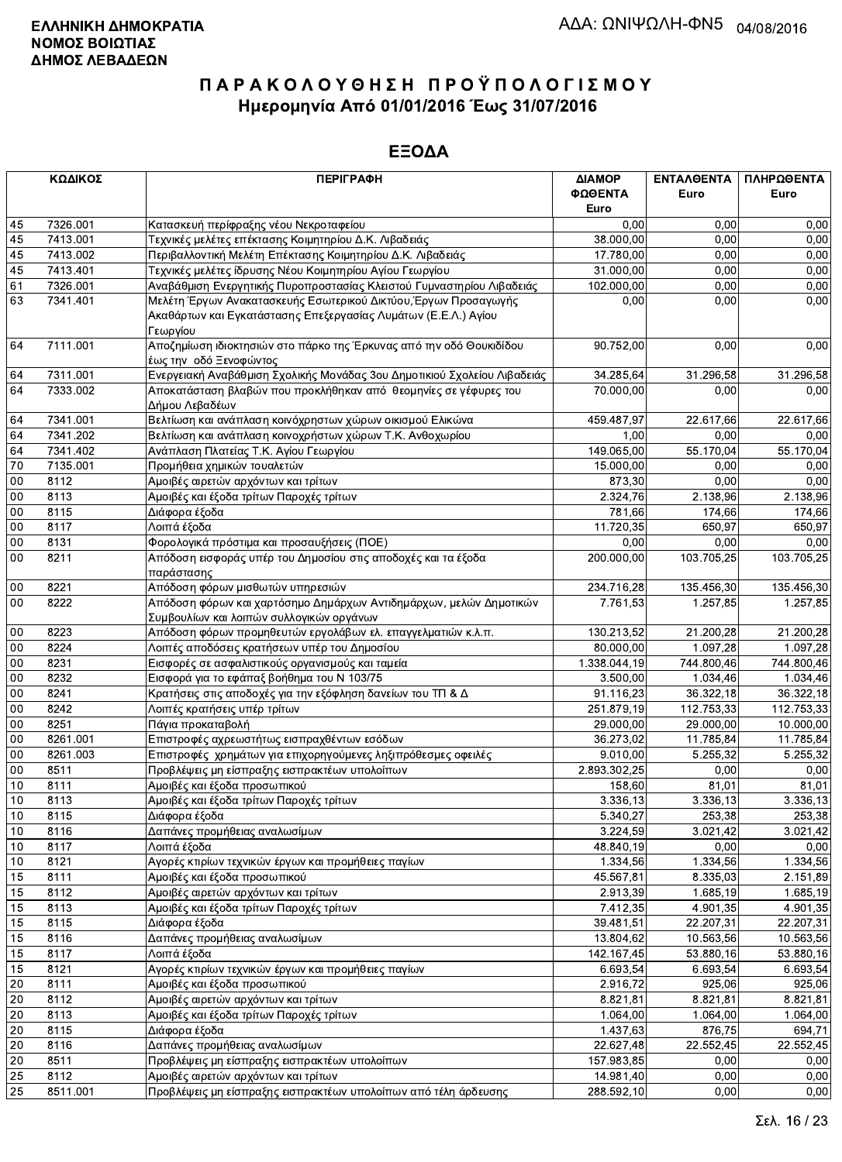|                 | ΚΩΔΙΚΟΣ  | <b>ПЕРІГРАФН</b>                                                                                               | ΔΙΑΜΟΡ<br>ΦΩΘΕΝΤΑ<br>Euro | ΕΝΤΑΛΘΕΝΤΑ<br>Euro    | ΠΛΗΡΩΘΕΝΤΑ<br>Euro |
|-----------------|----------|----------------------------------------------------------------------------------------------------------------|---------------------------|-----------------------|--------------------|
| 45              | 7326.001 | Κατασκευή περίφραξης νέου Νεκροταφείου                                                                         | 0,00                      | 0,00                  | 0,00               |
| 45              | 7413.001 | Τεχνικές μελέτες επέκτασης Κοιμητηρίου Δ.Κ. Λιβαδειάς                                                          | 38.000,00                 | 0.00                  | 0,00               |
| 45              | 7413.002 | Περιβαλλοντική Μελέτη Επέκτασης Κοιμητηρίου Δ.Κ. Λιβαδειάς                                                     | 17.780,00                 | 0.00                  | 0,00               |
| 45              | 7413.401 | Τεχνικές μελέτες ίδρυσης Νέου Κοιμητηρίου Αγίου Γεωργίου                                                       | 31.000,00                 | 0,00                  | 0,00               |
| 61              | 7326.001 | Αναβάθμιση Ενεργητικής Πυροπροστασίας Κλειστού Γυμναστηρίου Λιβαδειάς                                          | 102.000,00                | 0,00                  | 0,00               |
| 63              | 7341.401 | Μελέτη Έργων Ανακατασκευής Εσωτερικού Δικτύου, Έργων Προσαγωγής                                                | 0,00                      | 0,00                  | 0,00               |
|                 |          | Ακαθάρτων και Εγκατάστασης Επεξεργασίας Λυμάτων (Ε.Ε.Λ.) Αγίου<br>Γεωργίου                                     |                           |                       |                    |
| 64              | 7111.001 | Αποζημίωση ιδιοκτησιών στο πάρκο της Έρκυνας από την οδό Θουκιδίδου<br>έως την οδό Ξενοφώντος                  | 90.752,00                 | 0,00                  | 0,00               |
| 64              | 7311.001 | Ενεργειακή Αναβάθμιση Σχολικής Μονάδας 3ου Δημοτικιού Σχολείου Λιβαδειάς                                       | 34.285,64                 | 31.296,58             | 31.296,58          |
| 64              | 7333.002 | Αποκατάσταση βλαβών που προκλήθηκαν από θεομηνίες σε γέφυρες του                                               | 70.000,00                 | 0,00                  | 0,00               |
|                 |          | Δήμου Λεβαδέων                                                                                                 |                           |                       |                    |
| 64              | 7341.001 | Βελτίωση και ανάπλαση κοινόχρηστων χώρων οικισμού Ελικώνα                                                      | 459.487,97                | 22.617,66             | 22.617,66          |
| 64              | 7341.202 | Βελτίωση και ανάπλαση κοινοχρήστων χώρων Τ.Κ. Ανθοχωρίου                                                       | 1,00                      | 0.00                  | 0,00               |
| 64              | 7341.402 | Ανάπλαση Πλατείας Τ.Κ. Αγίου Γεωργίου                                                                          | 149.065,00                | 55.170,04             | 55.170,04          |
| $\overline{70}$ | 7135.001 | Προμήθεια χημικών τουαλετών                                                                                    | 15.000,00                 | 0,00                  | 0,00               |
| 00              | 8112     | Αμοιβές αιρετών αρχόντων και τρίτων                                                                            | 873,30                    | 0,00                  | 0,00               |
| 00              | 8113     | Αμοιβές και έξοδα τρίτων Παροχές τρίτων                                                                        | 2.324,76                  | 2.138,96              | 2.138,96           |
| $00\,$          | 8115     | Διάφορα έξοδα                                                                                                  | 781,66                    | 174,66                | 174,66             |
| $00\,$          | 8117     | Λοιπά έξοδα                                                                                                    | 11.720,35                 | 650,97                | 650,97             |
| $00\,$          | 8131     | Φορολογικά πρόστιμα και προσαυξήσεις (ΠΟΕ)                                                                     | 0,00                      | 0,00                  | 0,00               |
| 00              | 8211     | Απόδοση εισφοράς υπέρ του Δημοσίου στις αποδοχές και τα έξοδα<br>παράστασης                                    | 200.000.00                | 103.705,25            | 103.705,25         |
| 00              | 8221     | Απόδοση φόρων μισθωτών υπηρεσιών                                                                               | 234.716,28                | 135.456,30            | 135.456,30         |
| 00              | 8222     | Απόδοση φόρων και χαρτόσημο Δημάρχων Αντιδημάρχων, μελών Δημοτικών<br>Συμβουλίων και λοιπών συλλογικών οργάνων | 7.761,53                  | 1.257,85              | 1.257,85           |
| 00              | 8223     | Απόδοση φόρων προμηθευτών εργολάβων ελ. επαγγελματιών κ.λ.π.                                                   | 130.213,52                | 21.200,28             | 21.200,28          |
| 00              | 8224     | Λοιπές αποδόσεις κρατήσεων υπέρ του Δημοσίου                                                                   | 80.000,00                 | 1.097,28              | 1.097,28           |
| 00              | 8231     | Εισφορές σε ασφαλιστικούς οργανισμούς και ταμεία                                                               | 1.338.044,19              | 744.800,46            | 744.800,46         |
| $00\,$          | 8232     | Εισφορά για το εφάπαξ βοήθημα του Ν 103/75                                                                     | 3.500,00                  | 1.034,46              | 1.034,46           |
| 00              | 8241     | Κρατήσεις στις αποδοχές για την εξόφληση δανείων του ΤΠ & Δ                                                    | 91.116,23                 | 36.322,18             | 36.322,18          |
| 00              | 8242     | Λοιπές κρατήσεις υπέρ τρίτων                                                                                   | 251.879,19                | 112.753,33            | 112.753,33         |
| $00\,$          | 8251     | Πάγια προκαταβολή                                                                                              | 29.000,00                 | 29.000,00             | 10.000,00          |
| 00              | 8261.001 | Επιστροφές αχρεωστήτως εισπραχθέντων εσόδων                                                                    | 36.273,02                 | 11.785,84             | 11.785,84          |
| $00\,$          | 8261.003 | Επιστροφές χρημάτων για επιχορηγούμενες ληξιπρόθεσμες οφειλές                                                  | 9.010,00                  | 5.255,32              | 5.255,32           |
| $00\,$          | 8511     | Προβλέψεις μη είσπραξης εισπρακτέων υπολοίπων                                                                  | 2.893.302,25              | 0,00                  | 0,00               |
| 10              | 8111     | Αμοιβές και έξοδα προσωπικού                                                                                   | 158,60                    | 81,01                 | 81,01              |
| $10$            | 8113     | Αμοιβές και έξοδα τρίτων Παροχές τρίτων                                                                        | 3.336, 13                 | 3.336,13              | 3.336,13           |
| 10              | 8115     | Διάφορα έξοδα                                                                                                  | 5.340,27                  | 253,38                | 253,38             |
| 10              | 8116     | Δαπάνες προμήθειας αναλωσίμων                                                                                  | 3.224,59                  | 3.021,42              | 3.021,42           |
| 10              | 8117     | Λοιπά έξοδα                                                                                                    | 48.840,19                 | 0,00                  | 0,00               |
| 10              | 8121     | Αγορές κτιρίων τεχνικών έργων και προμήθειες παγίων                                                            | 1.334,56                  | 1.334,56              | 1.334,56           |
|                 | 8111     | Αμοιβές και έξοδα προσωπικού                                                                                   | 45.567,81                 | 8.335,03              | 2.151,89           |
| 15<br>15        | 8112     |                                                                                                                | 2.913,39                  | 1.685,19              | 1.685,19           |
|                 |          | Αμοιβές αιρετών αρχόντων και τρίτων<br>Αμοιβές και έξοδα τρίτων Παροχές τρίτων                                 |                           |                       | 4.901,35           |
| 15              | 8113     |                                                                                                                | 7.412,35                  | 4.901,35              |                    |
| 15              | 8115     | Διάφορα έξοδα                                                                                                  | 39.481,51                 | 22.207,31             | 22.207,31          |
| 15              | 8116     | Δαπάνες προμήθειας αναλωσίμων                                                                                  | 13.804,62                 | 10.563,56             | 10.563,56          |
| 15              | 8117     | Λοιπά έξοδα                                                                                                    | 142.167,45                | 53.880,16             | 53.880,16          |
| 15              | 8121     | Αγορές κτιρίων τεχνικών έργων και προμήθειες παγίων                                                            | 6.693,54                  | 6.693,54              | 6.693,54           |
| 20              | 8111     | Αμοιβές και έξοδα προσωπικού                                                                                   | 2.916,72                  | 925,06                | 925,06             |
| $20\,$          | 8112     | Αμοιβές αιρετών αρχόντων και τρίτων                                                                            | 8.821,81                  | 8.821,81              | 8.821,81           |
| 20              | 8113     | Αμοιβές και έξοδα τρίτων Παροχές τρίτων                                                                        | 1.064,00                  | $\overline{1.064,00}$ | 1.064,00           |
| 20              | 8115     | Διάφορα έξοδα                                                                                                  | 1.437,63                  | 876,75                | 694,71             |
| 20              | 8116     | Δαπάνες προμήθειας αναλωσίμων                                                                                  | 22.627,48                 | 22.552,45             | 22.552,45          |
| 20              | 8511     | Προβλέψεις μη είσπραξης εισπρακτέων υπολοίπων                                                                  | 157.983,85                | 0,00                  | 0,00               |
| 25              | 8112     | Αμοιβές αιρετών αρχόντων και τρίτων                                                                            | 14.981,40                 | 0,00                  | 0,00               |
| 25              | 8511.001 | Προβλέψεις μη είσπραξης εισπρακτέων υπολοίπων από τέλη άρδευσης                                                | 288.592,10                | 0,00                  | 0,00               |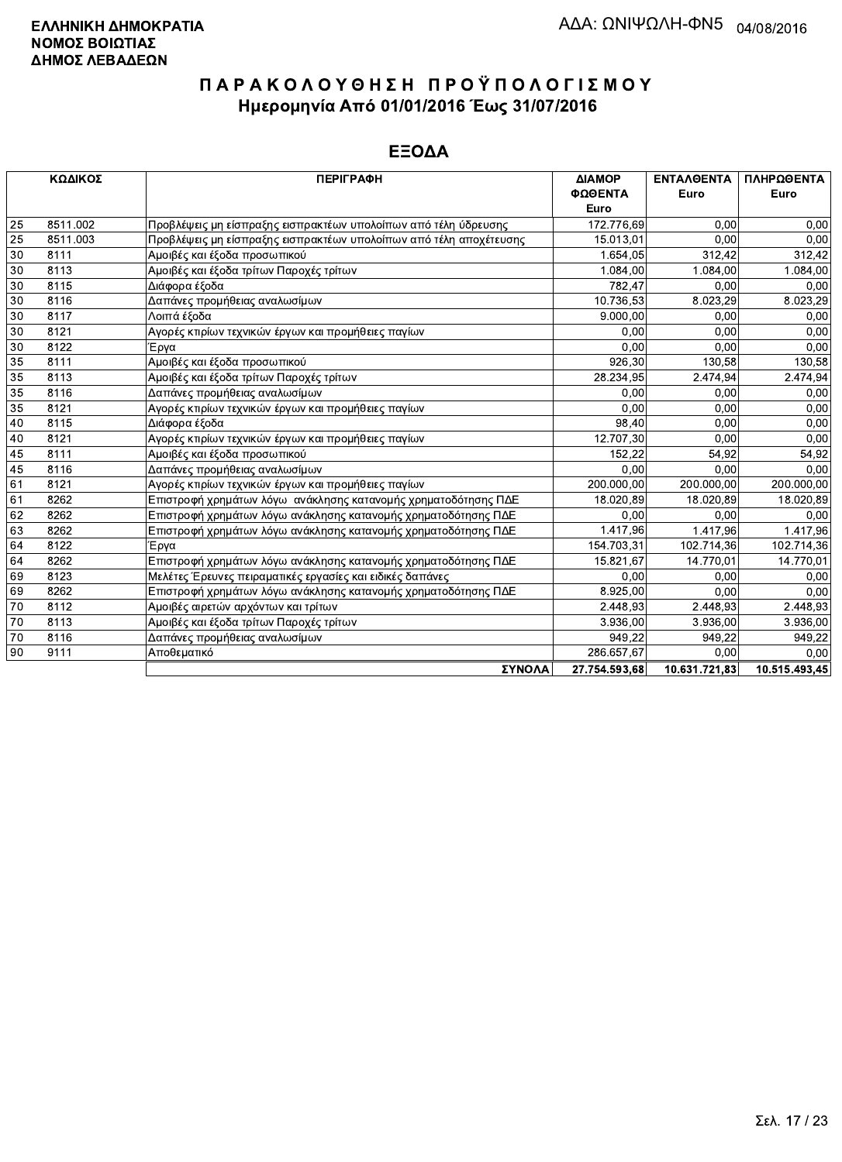|    | ΚΩΔΙΚΟΣ  | <b>ПЕРІГРАФН</b>                                                   | ΔΙΑΜΟΡ        | <b>ENTAAGENTA</b> | ΠΛΗΡΩΘΕΝΤΑ    |
|----|----------|--------------------------------------------------------------------|---------------|-------------------|---------------|
|    |          |                                                                    | ΦΩΘΕΝΤΑ       | Euro              | Euro          |
|    |          |                                                                    | Euro          |                   |               |
| 25 | 8511.002 | Προβλέψεις μη είσπραξης εισπρακτέων υπολοίπων από τέλη ύδρευσης    | 172.776,69    | 0,00              | 0,00          |
| 25 | 8511.003 | Προβλέψεις μη είσπραξης εισπρακτέων υπολοίπων από τέλη αποχέτευσης | 15.013,01     | 0.00              | 0,00          |
| 30 | 8111     | Αμοιβές και έξοδα προσωπικού                                       | 1.654,05      | 312.42            | 312,42        |
| 30 | 8113     | Αμοιβές και έξοδα τρίτων Παροχές τρίτων                            | 1.084,00      | 1.084,00          | 1.084,00      |
| 30 | 8115     | Διάφορα έξοδα                                                      | 782.47        | 0,00              | 0,00          |
| 30 | 8116     | Δαπάνες προμήθειας αναλωσίμων                                      | 10.736,53     | 8.023,29          | 8.023,29      |
| 30 | 8117     | Λοιπά έξοδα                                                        | 9.000,00      | 0,00              | 0,00          |
| 30 | 8121     | Αγορές κτιρίων τεχνικών έργων και προμήθειες παγίων                | 0.00          | 0.00              | 0,00          |
| 30 | 8122     | Έργα                                                               | 0.00          | 0.00              | 0,00          |
| 35 | 8111     | Αμοιβές και έξοδα προσωπικού                                       | 926,30        | 130,58            | 130,58        |
| 35 | 8113     | Αμοιβές και έξοδα τρίτων Παροχές τρίτων                            | 28.234,95     | 2.474,94          | 2.474,94      |
| 35 | 8116     | Δαπάνες προμήθειας αναλωσίμων                                      | 0.00          | 0,00              | 0,00          |
| 35 | 8121     | Αγορές κτιρίων τεχνικών έργων και προμήθειες παγίων                | 0.00          | 0,00              | 0,00          |
| 40 | 8115     | Διάφορα έξοδα                                                      | 98,40         | 0.00              | 0.00          |
| 40 | 8121     | Αγορές κτιρίων τεχνικών έργων και προμήθειες παγίων                | 12.707,30     | 0,00              | 0,00          |
| 45 | 8111     | Αμοιβές και έξοδα προσωπικού                                       | 152.22        | 54,92             | 54,92         |
| 45 | 8116     | Δαπάνες προμήθειας αναλωσίμων                                      | 0,00          | 0,00              | 0,00          |
| 61 | 8121     | Αγορές κτιρίων τεχνικών έργων και προμήθειες παγίων                | 200.000,00    | 200.000,00        | 200.000,00    |
| 61 | 8262     | Επιστροφή χρημάτων λόγω ανάκλησης κατανομής χρηματοδότησης ΠΔΕ     | 18.020,89     | 18.020,89         | 18.020,89     |
| 62 | 8262     | Επιστροφή χρημάτων λόγω ανάκλησης κατανομής χρηματοδότησης ΠΔΕ     | 0.00          | 0,00              | 0,00          |
| 63 | 8262     | Επιστροφή χρημάτων λόγω ανάκλησης κατανομής χρηματοδότησης ΠΔΕ     | 1.417,96      | 1.417,96          | 1.417,96      |
| 64 | 8122     | Έργα                                                               | 154.703,31    | 102.714,36        | 102.714,36    |
| 64 | 8262     | Επιστροφή χρημάτων λόγω ανάκλησης κατανομής χρηματοδότησης ΠΔΕ     | 15.821,67     | 14.770.01         | 14.770,01     |
| 69 | 8123     | Μελέτες Έρευνες πειραματικές εργασίες και ειδικές δαπάνες          | 0.00          | 0.00              | 0,00          |
| 69 | 8262     | Επιστροφή χρημάτων λόγω ανάκλησης κατανομής χρηματοδότησης ΠΔΕ     | 8.925,00      | 0,00              | 0,00          |
| 70 | 8112     | Αμοιβές αιρετών αρχόντων και τρίτων                                | 2.448,93      | 2.448,93          | 2.448,93      |
| 70 | 8113     | Αμοιβές και έξοδα τρίτων Παροχές τρίτων                            | 3.936.00      | 3.936,00          | 3.936,00      |
| 70 | 8116     | Δαπάνες προμήθειας αναλωσίμων                                      | 949,22        | 949,22            | 949,22        |
| 90 | 9111     | Αποθεματικό                                                        | 286.657,67    | 0.00              | 0.00          |
|    |          | ΣΥΝΟΛΑ                                                             | 27.754.593.68 | 10.631.721.83     | 10.515.493.45 |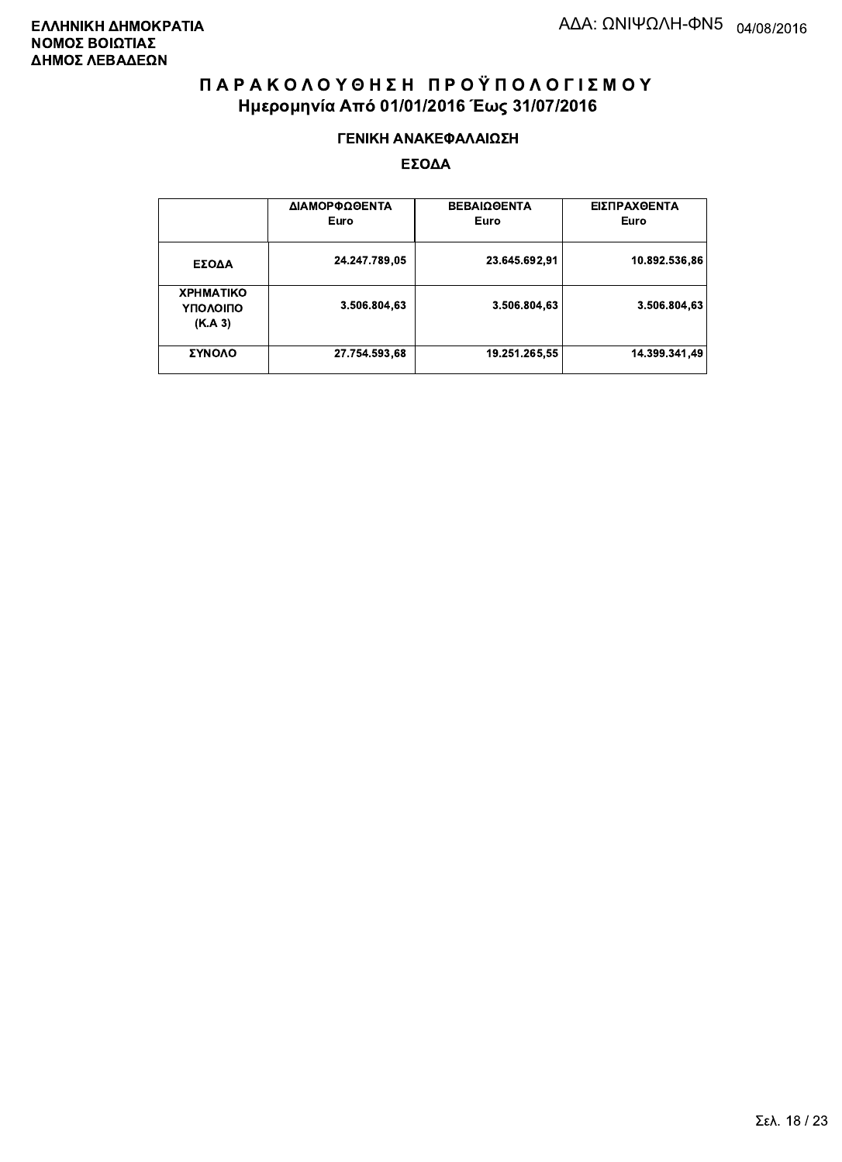#### ΓΕΝΙΚΗ ΑΝΑΚΕΦΑΛΑΙΩΣΗ

|                                         | ΔΙΑΜΟΡΦΩΘΕΝΤΑ<br>Euro | <b>ΒΕΒΑΙΩΘΕΝΤΑ</b><br>Euro | ΕΙΣΠΡΑΧΘΕΝΤΑ<br>Euro |
|-----------------------------------------|-----------------------|----------------------------|----------------------|
| ΕΣΟΔΑ                                   | 24.247.789,05         | 23.645.692,91              | 10.892.536,86        |
| <b>XPHMATIKO</b><br>ΥΠΟΛΟΙΠΟ<br>(K.A.3) | 3.506.804,63          | 3.506.804.63               | 3.506.804.63         |
| ΣΥΝΟΛΟ                                  | 27.754.593,68         | 19.251.265,55              | 14.399.341.49        |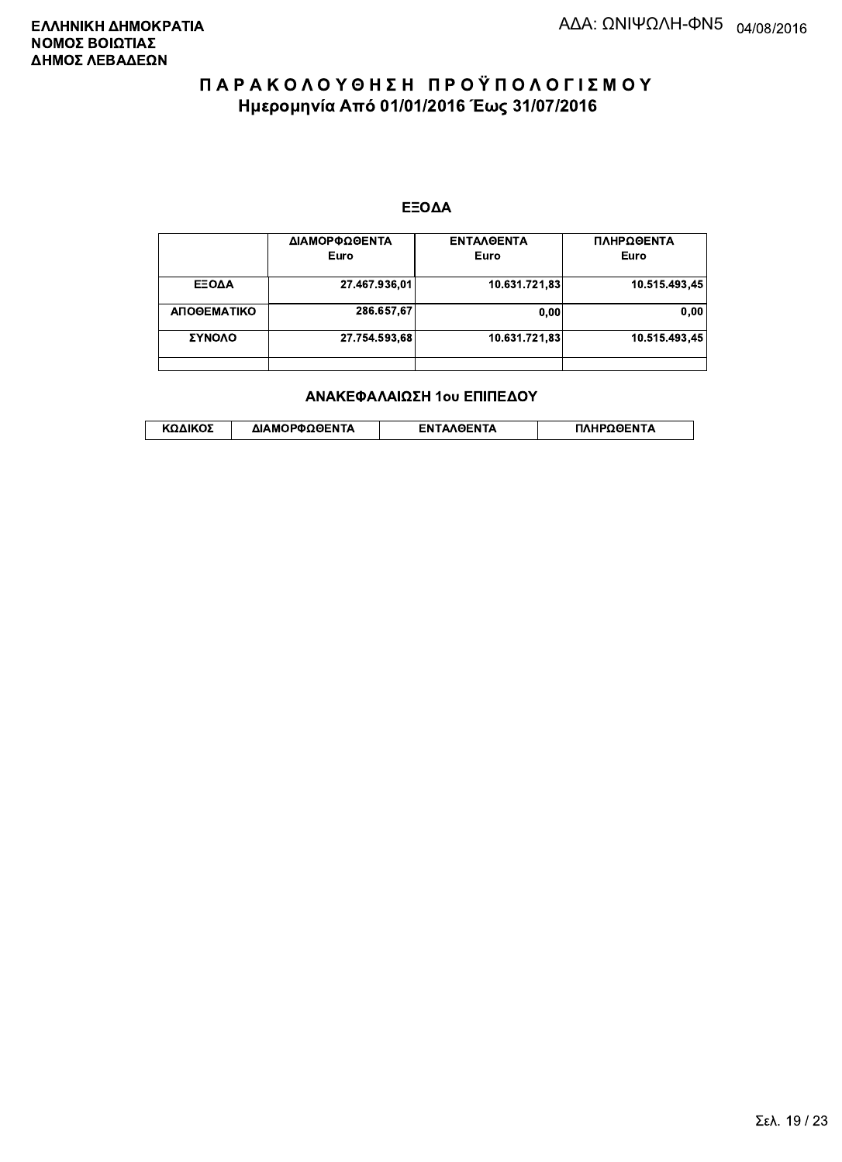#### ΕΞΟΔΑ

|             | ΔΙΑΜΟΡΦΩΘΕΝΤΑ<br>Euro | <b>ENTAAGENTA</b><br>Euro | ΠΛΗΡΩΘΕΝΤΑ<br>Euro |
|-------------|-----------------------|---------------------------|--------------------|
| ΕΞΟΔΑ       | 27.467.936,01         | 10.631.721,83             | 10.515.493.45      |
| ΑΠΟΘΕΜΑΤΙΚΟ | 286.657.67            | 0.00                      | 0.00               |
| ΣΥΝΟΛΟ      | 27.754.593.68         | 10.631.721.83             | 10.515.493.45      |
|             |                       |                           |                    |

#### ΑΝΑΚΕΦΑΛΑΙΩΣΗ 1ου ΕΠΙΠΕΔΟΥ

|  | ΚΩΔΙΚΟΣ | ΔΙΑΜΟΡΦΩΘΕΝΤΑ | <b>AOENTA</b><br>FΝ | ≀OΘFNTA |
|--|---------|---------------|---------------------|---------|
|--|---------|---------------|---------------------|---------|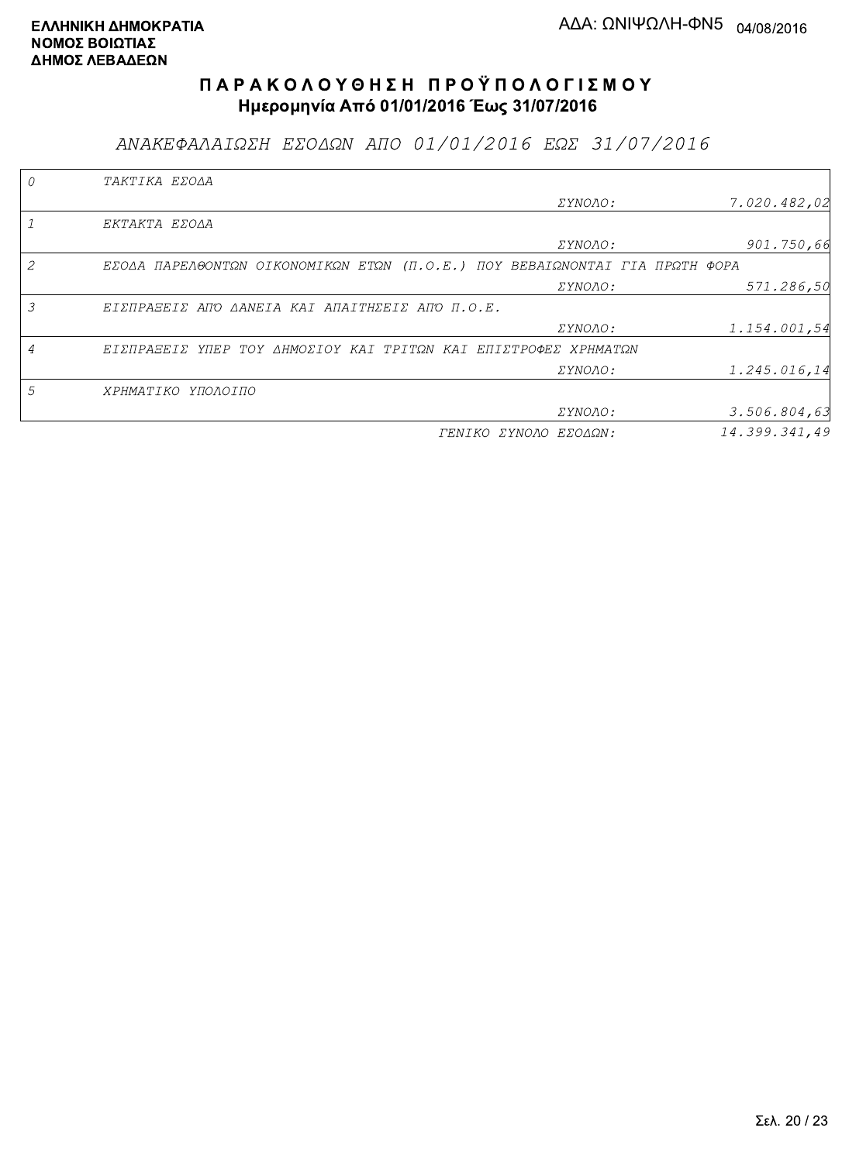ΑΝΑΚΕΦΑΛΑΙΩΣΗ ΕΣΟΔΩΝ ΑΠΟ 01/01/2016 ΕΩΣ 31/07/2016

|   | TAKTIKA EZOAA                                                               |                       |               |
|---|-----------------------------------------------------------------------------|-----------------------|---------------|
|   |                                                                             | ΣΥΝΟΛΟ:               | 7.020.482.02  |
|   | EKTAKTA EZOAA                                                               |                       |               |
|   |                                                                             | <i>EYNOAO:</i>        | 901.750,66    |
| 2 | EZOAA ΠΑΡΕΛΘΟΝΤΩΝ ΟΙΚΟΝΟΜΙΚΩΝ ΕΤΩΝ (Π.Ο.Ε.) ΠΟΥ ΒΕΒΑΙΩΝΟΝΤΑΙ ΓΙΑ ΠΡΩΤΗ ΦΟΡΑ |                       |               |
|   |                                                                             | ΣΥΝΟΛΟ:               | 571.286,50    |
| 3 | ΕΙΣΠΡΑΞΕΙΣ ΑΠΌ ΔΑΝΕΙΑ ΚΑΙ ΑΠΑΙΤΗΣΕΙΣ ΑΠΌ Π.Ο.Ε.                             |                       |               |
|   |                                                                             | ΣΥΝΟΛΟ:               | 1.154.001,54  |
|   | ΕΙΣΠΡΑΞΕΙΣ ΥΠΕΡ ΤΟΥ ΔΗΜΟΣΙΟΥ ΚΑΙ ΤΡΙΤΩΝ ΚΑΙ ΕΠΙΣΤΡΟΦΕΣ ΧΡΗΜΑΤΩΝ             |                       |               |
|   |                                                                             | <i>EYNOAO:</i>        | 1.245.016,14  |
| 5 | ΧΡΗΜΑΤΙΚΟ ΥΠΟΛΟΙΠΟ                                                          |                       |               |
|   |                                                                             | <i>EYNOAO:</i>        | 3.506.804, 63 |
|   |                                                                             | ΓΕΝΙΚΟ ΣΥΝΟΛΟ ΕΣΟΔΩΝ: | 14.399.341.49 |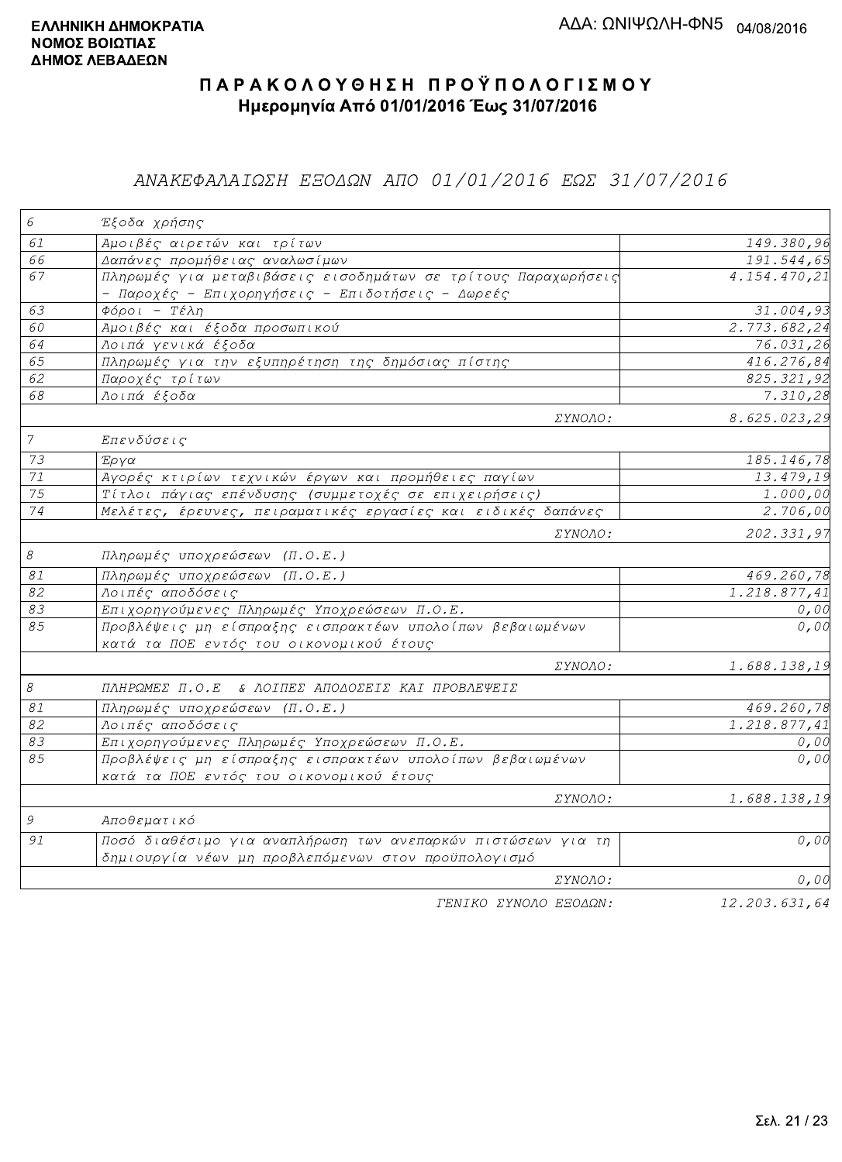### ΑΝΑΚΕΦΑΛΑΙΩΣΗ ΕΞΟΔΩΝ ΑΠΟ 01/01/2016 ΕΩΣ 31/07/2016

| 6               | Έξοδα χρήσης                                                                                                      |                           |
|-----------------|-------------------------------------------------------------------------------------------------------------------|---------------------------|
| 61              | Αμοιβές αιρετών και τρίτων                                                                                        | 149.380,96                |
| 66              | Δαπάνες προμήθειας αναλωσίμων                                                                                     | 191.544,65                |
| 67              | Πληρωμές για μεταβιβάσεις εισοδημάτων σε τρίτους Παραχωρήσεις<br>- Παροχές - Επιχορηγήσεις - Επιδοτήσεις - Δωρεές | 4.154.470,21              |
| 63              | $\Phi$ όροι - Τέλη                                                                                                | 31.004,93                 |
| 60              | Αμοιβές και έξοδα προσωπικού                                                                                      | 2.773.682,24              |
| 64              | Λοιπά γενικά έξοδα                                                                                                | 76.031,26                 |
| 65              | Πληρωμές για την εξυπηρέτηση της δημόσιας πίστης                                                                  | 416.276,84                |
| 62              | Παροχές τρίτων                                                                                                    | 825.321,92                |
| 68              | Λοιπά έξοδα                                                                                                       | 7.310,28                  |
|                 | ΣΥΝΟΛΟ:                                                                                                           | 8.625.023,29              |
| $\overline{7}$  | Επενδύσεις                                                                                                        |                           |
| 73              | Έργα                                                                                                              | 185.146,78                |
| $71\,$          | Αγορές κτιρίων τεχνικών έργων και προμήθειες παγίων                                                               | 13.479,19                 |
| 75              | Τίτλοι πάγιας επένδυσης (συμμετοχές σε επιχειρήσεις)                                                              | 1.000,00                  |
| 74              | Μελέτες, έρευνες, πειραματικές εργασίες και ειδικές δαπάνες                                                       | 2.706,00                  |
|                 | <i>EYNOAO:</i>                                                                                                    | 202.331,97                |
| $\mathcal S$    | Πληρωμές υποχρεώσεων (Π.Ο.Ε.)                                                                                     |                           |
| $\mathcal{S}1$  | Πληρωμές υποχρεώσεων (Π.Ο.Ε.)                                                                                     | 469.260,78                |
| $\overline{82}$ | Λοιπές αποδόσεις                                                                                                  | 1.218.877,41              |
| 83              | Επιχορηγούμενες Πληρωμές Υποχρεώσεων Π.Ο.Ε.                                                                       | 0,00                      |
| 85              | Προβλέψεις μη είσπραξης εισπρακτέων υπολοίπων βεβαιωμένων<br>κατά τα ΠΟΕ εντός του οικονομικού έτους              | 0,00                      |
|                 | ΣΥΝΟΛΟ:                                                                                                           | 1.688.138,19              |
| $\mathcal S$    | ΠΛΗΡΩΜΕΣ Π.Ο.Ε & ΛΟΙΠΕΣ ΑΠΟΔΟΣΕΙΣ ΚΑΙ ΠΡΟΒΛΕΨΕΙΣ                                                                  |                           |
| $\mathcal{S}1$  | Πληρωμές υποχρεώσεων (Π.Ο.Ε.)                                                                                     | 469.260,78                |
| 82              | Λοιπές αποδόσεις                                                                                                  | $\overline{1.218.877,41}$ |
| 83              | Επιχορηγούμενες Πληρωμές Υποχρεώσεων Π.Ο.Ε.                                                                       | 0,00                      |
| 85              | Προβλέψεις μη είσπραξης εισπρακτέων υπολοίπων βεβαιωμένων                                                         | 0,00                      |
|                 | κατά τα ΠΟΕ εντός του οικονομικού έτους                                                                           |                           |
| 9               | ΣΥΝΟΛΟ:<br>Αποθεματικό                                                                                            | 1.688.138,19              |
| 91              | Ποσό διαθέσιμο για αναπλήρωση των ανεπαρκών πιστώσεων για τη                                                      | 0,00                      |
|                 | δημιουργία νέων μη προβλεπόμενων στον προϋπολογισμό                                                               |                           |
|                 | ΣΥΝΟΛΟ:                                                                                                           | 0,00                      |
|                 | FENIKO XYNOAO ESOAON:                                                                                             | 12, 203, 631, 64          |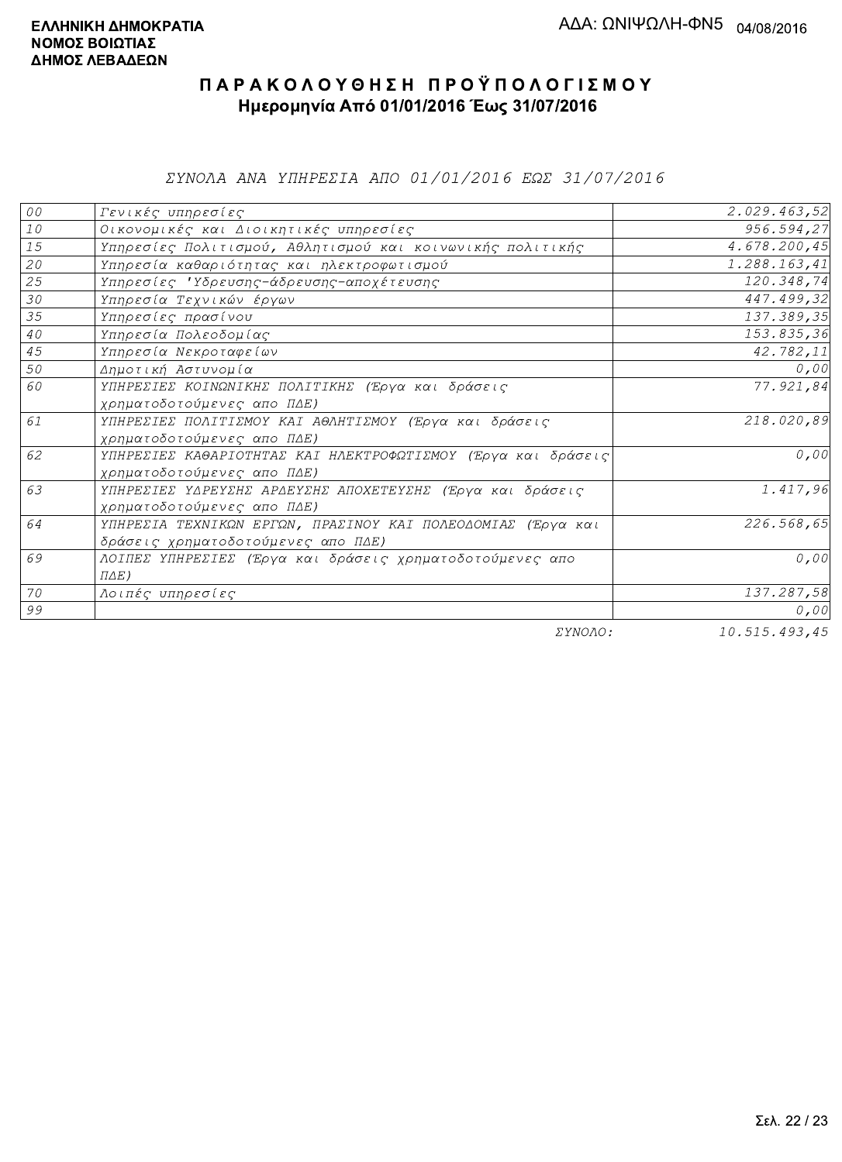*EYNOAA ANA YHHPEZIA AHO 01/01/2016 EQE 31/07/2016* 

| ${\cal O} \, {\cal O}$ | Γενικές υπηρεσίες                                             | 2.029.463,52  |
|------------------------|---------------------------------------------------------------|---------------|
| ${\it 10}$             | Οικονομικές και Διοικητικές υπηρεσίες                         | 956.594,27    |
| 15                     | Υπηρεσίες Πολιτισμού, Αθλητισμού και κοινωνικής πολιτικής     | 4.678.200,45  |
| 20                     | Υπηρεσία καθαριότητας και ηλεκτροφωτισμού                     | 1.288.163,41  |
| 25                     | Υπηρεσίες 'Υδρευσης-άδρευσης-αποχέτευσης                      | 120.348,74    |
| 30                     | Υπηρεσία Τεχνικών έργων                                       | 447.499,32    |
| 35                     | Υπηρεσίες πρασίνου                                            | 137.389,35    |
| $4\,\mathrm{O}$        | Υπηρεσία Πολεοδομίας                                          | 153.835,36    |
| 45                     | Υπηρεσία Νεκροταφείων                                         | 42.782,11     |
| 50                     | Δημοτική Αστυνομία                                            | 0,00          |
| 60                     | ΥΠΗΡΕΣΙΕΣ ΚΟΙΝΩΝΙΚΗΣ ΠΟΛΙΤΙΚΗΣ (Έργα και δράσεις              | 77.921,84     |
|                        | χρηματοδοτούμενες απο ΠΔΕ)                                    |               |
| 61                     | ΥΠΗΡΕΣΙΕΣ ΠΟΛΙΤΙΣΜΟΥ ΚΑΙ ΑΘΛΗΤΙΣΜΟΥ (Έργα και δράσεις         | 218.020,89    |
|                        | χρηματοδοτούμενες απο ΠΔΕ)                                    |               |
| 62                     | ΥΠΗΡΕΣΙΕΣ ΚΑΘΑΡΙΟΤΗΤΑΣ ΚΑΙ ΗΛΕΚΤΡΟΦΩΤΙΣΜΟΥ (Έργα και δράσεις) | 0,00          |
|                        | χρηματοδοτούμενες απο ΠΔΕ)                                    |               |
| 63                     | ΥΠΗΡΕΣΙΕΣ ΥΔΡΕΥΣΗΣ ΑΡΔΕΥΣΗΣ ΑΠΟΧΕΤΕΥΣΗΣ (Έργα και δράσεις     | 1.417,96      |
|                        | χρηματοδοτούμενες απο ΠΔΕ)                                    |               |
| 64                     | ΥΠΗΡΕΣΙΑ ΤΕΧΝΙΚΩΝ ΕΡΓΩΝ, ΠΡΑΣΙΝΟΥ ΚΑΙ ΠΟΛΕΟΔΟΜΙΑΣ (Έργα και   | 226.568,65    |
|                        | δράσεις χρηματοδοτούμενες απο ΠΔΕ)                            |               |
| 69                     | ΛΟΙΠΕΣ ΥΠΗΡΕΣΙΕΣ (Έργα και δράσεις χρηματοδοτούμενες απο      | 0,00          |
|                        | $\Pi\Delta E$ )                                               |               |
| 70                     | Λοιπές υπηρεσίες                                              | 137.287,58    |
| 99                     |                                                               | 0,00          |
|                        | $\Box$                                                        | 10.715.102.15 |

ΣΥΝΟΛΟ:

10.515.493,45